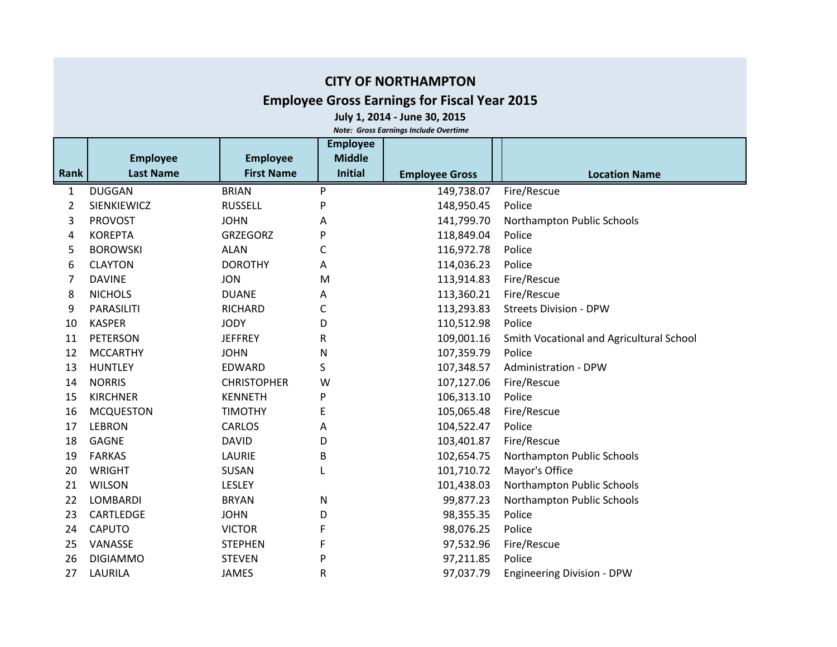## **CITY OF NORTHAMPTON**

## **Employee Gross Earnings for Fiscal Year 2015**

**July 1, 2014 - June 30, 2015**

*Note: Gross Earnings Include Overtime*

|      |                    |                    | <b>Employee</b> |                       |                                          |
|------|--------------------|--------------------|-----------------|-----------------------|------------------------------------------|
|      | <b>Employee</b>    | <b>Employee</b>    | <b>Middle</b>   |                       |                                          |
| Rank | <b>Last Name</b>   | <b>First Name</b>  | <b>Initial</b>  | <b>Employee Gross</b> | <b>Location Name</b>                     |
| 1    | <b>DUGGAN</b>      | <b>BRIAN</b>       | P               | 149,738.07            | Fire/Rescue                              |
| 2    | <b>SIENKIEWICZ</b> | <b>RUSSELL</b>     | P               | 148,950.45            | Police                                   |
| 3    | <b>PROVOST</b>     | <b>JOHN</b>        | Α               | 141,799.70            | Northampton Public Schools               |
| 4    | <b>KOREPTA</b>     | <b>GRZEGORZ</b>    | P               | 118,849.04            | Police                                   |
| 5    | <b>BOROWSKI</b>    | <b>ALAN</b>        | C               | 116,972.78            | Police                                   |
| 6    | <b>CLAYTON</b>     | <b>DOROTHY</b>     | Α               | 114,036.23            | Police                                   |
| 7    | <b>DAVINE</b>      | <b>JON</b>         | M               | 113,914.83            | Fire/Rescue                              |
| 8    | <b>NICHOLS</b>     | <b>DUANE</b>       | A               | 113,360.21            | Fire/Rescue                              |
| 9    | PARASILITI         | RICHARD            | C               | 113,293.83            | <b>Streets Division - DPW</b>            |
| 10   | <b>KASPER</b>      | <b>JODY</b>        | D               | 110,512.98            | Police                                   |
| 11   | PETERSON           | <b>JEFFREY</b>     | R               | 109,001.16            | Smith Vocational and Agricultural School |
| 12   | <b>MCCARTHY</b>    | <b>JOHN</b>        | N               | 107,359.79            | Police                                   |
| 13   | <b>HUNTLEY</b>     | EDWARD             | S               | 107,348.57            | <b>Administration - DPW</b>              |
| 14   | <b>NORRIS</b>      | <b>CHRISTOPHER</b> | W               | 107,127.06            | Fire/Rescue                              |
| 15   | <b>KIRCHNER</b>    | <b>KENNETH</b>     | P               | 106,313.10            | Police                                   |
| 16   | <b>MCQUESTON</b>   | <b>TIMOTHY</b>     | Ε               | 105,065.48            | Fire/Rescue                              |
| 17   | <b>LEBRON</b>      | <b>CARLOS</b>      | А               | 104,522.47            | Police                                   |
| 18   | <b>GAGNE</b>       | <b>DAVID</b>       | D               | 103,401.87            | Fire/Rescue                              |
| 19   | <b>FARKAS</b>      | LAURIE             | B               | 102,654.75            | Northampton Public Schools               |
| 20   | <b>WRIGHT</b>      | <b>SUSAN</b>       | L               | 101,710.72            | Mayor's Office                           |
| 21   | <b>WILSON</b>      | LESLEY             |                 | 101,438.03            | Northampton Public Schools               |
| 22   | <b>LOMBARDI</b>    | <b>BRYAN</b>       | Ν               | 99,877.23             | Northampton Public Schools               |
| 23   | CARTLEDGE          | <b>JOHN</b>        | D               | 98,355.35             | Police                                   |
| 24   | <b>CAPUTO</b>      | <b>VICTOR</b>      | F               | 98,076.25             | Police                                   |
| 25   | VANASSE            | <b>STEPHEN</b>     | F               | 97,532.96             | Fire/Rescue                              |
| 26   | <b>DIGIAMMO</b>    | <b>STEVEN</b>      | P               | 97,211.85             | Police                                   |
| 27   | LAURILA            | <b>JAMES</b>       | R               | 97,037.79             | <b>Engineering Division - DPW</b>        |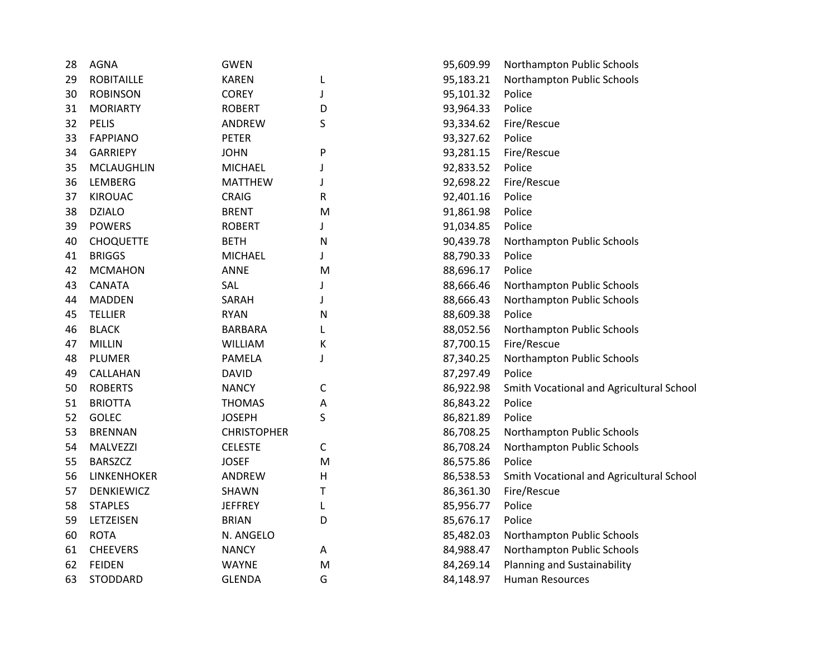| 28 | <b>AGNA</b>       | <b>GWEN</b>        |   | 95,609.99 | Northampton Public Schools               |
|----|-------------------|--------------------|---|-----------|------------------------------------------|
| 29 | <b>ROBITAILLE</b> | <b>KAREN</b>       | L | 95,183.21 | Northampton Public Schools               |
| 30 | <b>ROBINSON</b>   | <b>COREY</b>       | J | 95,101.32 | Police                                   |
| 31 | <b>MORIARTY</b>   | <b>ROBERT</b>      | D | 93,964.33 | Police                                   |
| 32 | <b>PELIS</b>      | ANDREW             | S | 93,334.62 | Fire/Rescue                              |
| 33 | <b>FAPPIANO</b>   | <b>PETER</b>       |   | 93,327.62 | Police                                   |
| 34 | <b>GARRIEPY</b>   | <b>JOHN</b>        | P | 93,281.15 | Fire/Rescue                              |
| 35 | <b>MCLAUGHLIN</b> | <b>MICHAEL</b>     |   | 92,833.52 | Police                                   |
| 36 | LEMBERG           | <b>MATTHEW</b>     |   | 92,698.22 | Fire/Rescue                              |
| 37 | <b>KIROUAC</b>    | <b>CRAIG</b>       | R | 92,401.16 | Police                                   |
| 38 | <b>DZIALO</b>     | <b>BRENT</b>       | M | 91,861.98 | Police                                   |
| 39 | <b>POWERS</b>     | <b>ROBERT</b>      |   | 91,034.85 | Police                                   |
| 40 | <b>CHOQUETTE</b>  | <b>BETH</b>        | N | 90,439.78 | Northampton Public Schools               |
| 41 | <b>BRIGGS</b>     | <b>MICHAEL</b>     |   | 88,790.33 | Police                                   |
| 42 | <b>MCMAHON</b>    | ANNE               | M | 88,696.17 | Police                                   |
| 43 | <b>CANATA</b>     | SAL                |   | 88,666.46 | Northampton Public Schools               |
| 44 | <b>MADDEN</b>     | SARAH              |   | 88,666.43 | Northampton Public Schools               |
| 45 | <b>TELLIER</b>    | <b>RYAN</b>        | Ν | 88,609.38 | Police                                   |
| 46 | <b>BLACK</b>      | <b>BARBARA</b>     |   | 88,052.56 | Northampton Public Schools               |
| 47 | <b>MILLIN</b>     | <b>WILLIAM</b>     | Κ | 87,700.15 | Fire/Rescue                              |
| 48 | PLUMER            | PAMELA             | J | 87,340.25 | Northampton Public Schools               |
| 49 | CALLAHAN          | <b>DAVID</b>       |   | 87,297.49 | Police                                   |
| 50 | <b>ROBERTS</b>    | <b>NANCY</b>       | C | 86,922.98 | Smith Vocational and Agricultural School |
| 51 | <b>BRIOTTA</b>    | <b>THOMAS</b>      | Α | 86,843.22 | Police                                   |
| 52 | GOLEC             | <b>JOSEPH</b>      | S | 86,821.89 | Police                                   |
| 53 | <b>BRENNAN</b>    | <b>CHRISTOPHER</b> |   | 86,708.25 | Northampton Public Schools               |
| 54 | MALVEZZI          | <b>CELESTE</b>     | С | 86,708.24 | Northampton Public Schools               |
| 55 | <b>BARSZCZ</b>    | <b>JOSEF</b>       | M | 86,575.86 | Police                                   |
| 56 | LINKENHOKER       | ANDREW             | н | 86,538.53 | Smith Vocational and Agricultural School |
| 57 | <b>DENKIEWICZ</b> | <b>SHAWN</b>       | т | 86,361.30 | Fire/Rescue                              |
| 58 | <b>STAPLES</b>    | <b>JEFFREY</b>     | L | 85,956.77 | Police                                   |
| 59 | LETZEISEN         | <b>BRIAN</b>       | D | 85,676.17 | Police                                   |
| 60 | <b>ROTA</b>       | N. ANGELO          |   | 85,482.03 | Northampton Public Schools               |
| 61 | <b>CHEEVERS</b>   | <b>NANCY</b>       | Α | 84,988.47 | Northampton Public Schools               |
| 62 | <b>FEIDEN</b>     | <b>WAYNE</b>       | M | 84,269.14 | Planning and Sustainability              |
| 63 | STODDARD          | <b>GLENDA</b>      | G | 84,148.97 | Human Resources                          |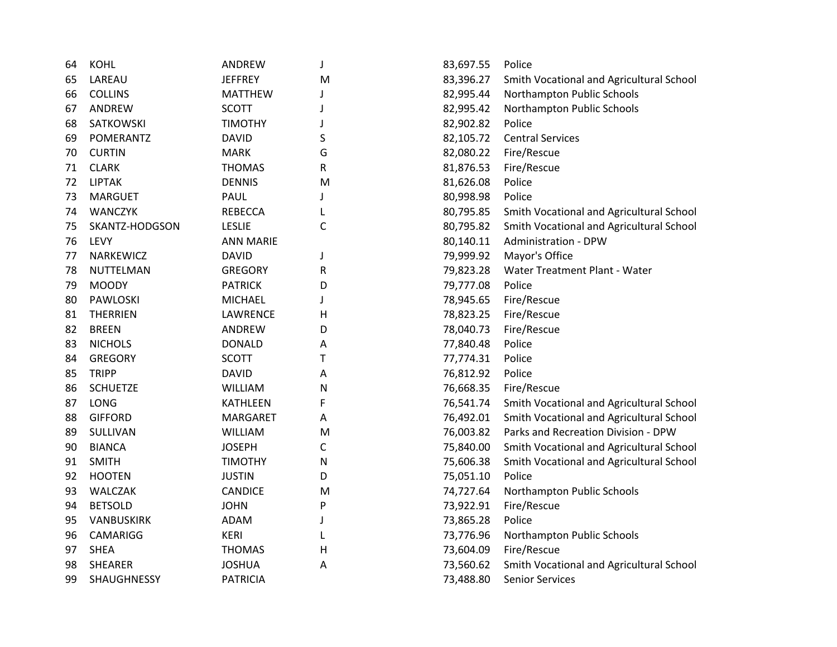| 64 | <b>KOHL</b>       | ANDREW           | J           | 83,697.55 | Police                                   |
|----|-------------------|------------------|-------------|-----------|------------------------------------------|
| 65 | LAREAU            | <b>JEFFREY</b>   | M           | 83,396.27 | Smith Vocational and Agricultural School |
| 66 | <b>COLLINS</b>    | <b>MATTHEW</b>   | J           | 82,995.44 | Northampton Public Schools               |
| 67 | ANDREW            | <b>SCOTT</b>     | J           | 82,995.42 | Northampton Public Schools               |
| 68 | SATKOWSKI         | <b>TIMOTHY</b>   | J           | 82,902.82 | Police                                   |
| 69 | POMERANTZ         | <b>DAVID</b>     | S           | 82,105.72 | <b>Central Services</b>                  |
| 70 | <b>CURTIN</b>     | <b>MARK</b>      | G           | 82,080.22 | Fire/Rescue                              |
| 71 | <b>CLARK</b>      | <b>THOMAS</b>    | R           | 81,876.53 | Fire/Rescue                              |
| 72 | <b>LIPTAK</b>     | <b>DENNIS</b>    | M           | 81,626.08 | Police                                   |
| 73 | <b>MARGUET</b>    | PAUL             | J           | 80,998.98 | Police                                   |
| 74 | <b>WANCZYK</b>    | <b>REBECCA</b>   | L           | 80,795.85 | Smith Vocational and Agricultural School |
| 75 | SKANTZ-HODGSON    | <b>LESLIE</b>    | $\mathsf C$ | 80,795.82 | Smith Vocational and Agricultural School |
| 76 | LEVY              | <b>ANN MARIE</b> |             | 80,140.11 | <b>Administration - DPW</b>              |
| 77 | NARKEWICZ         | <b>DAVID</b>     | J           | 79,999.92 | Mayor's Office                           |
| 78 | NUTTELMAN         | <b>GREGORY</b>   | R           | 79,823.28 | Water Treatment Plant - Water            |
| 79 | <b>MOODY</b>      | <b>PATRICK</b>   | D           | 79,777.08 | Police                                   |
| 80 | PAWLOSKI          | <b>MICHAEL</b>   | J           | 78,945.65 | Fire/Rescue                              |
| 81 | <b>THERRIEN</b>   | LAWRENCE         | Н           | 78,823.25 | Fire/Rescue                              |
| 82 | <b>BREEN</b>      | ANDREW           | D           | 78,040.73 | Fire/Rescue                              |
| 83 | <b>NICHOLS</b>    | <b>DONALD</b>    | A           | 77,840.48 | Police                                   |
| 84 | <b>GREGORY</b>    | <b>SCOTT</b>     | T           | 77,774.31 | Police                                   |
| 85 | <b>TRIPP</b>      | <b>DAVID</b>     | Α           | 76,812.92 | Police                                   |
| 86 | <b>SCHUETZE</b>   | <b>WILLIAM</b>   | ${\sf N}$   | 76,668.35 | Fire/Rescue                              |
| 87 | LONG              | <b>KATHLEEN</b>  | F           | 76,541.74 | Smith Vocational and Agricultural School |
| 88 | <b>GIFFORD</b>    | <b>MARGARET</b>  | A           | 76,492.01 | Smith Vocational and Agricultural School |
| 89 | SULLIVAN          | <b>WILLIAM</b>   | M           | 76,003.82 | Parks and Recreation Division - DPW      |
| 90 | <b>BIANCA</b>     | <b>JOSEPH</b>    | С           | 75,840.00 | Smith Vocational and Agricultural School |
| 91 | <b>SMITH</b>      | <b>TIMOTHY</b>   | ${\sf N}$   | 75,606.38 | Smith Vocational and Agricultural School |
| 92 | <b>HOOTEN</b>     | <b>JUSTIN</b>    | D           | 75,051.10 | Police                                   |
| 93 | WALCZAK           | <b>CANDICE</b>   | M           | 74,727.64 | Northampton Public Schools               |
| 94 | <b>BETSOLD</b>    | <b>JOHN</b>      | P           | 73,922.91 | Fire/Rescue                              |
| 95 | <b>VANBUSKIRK</b> | <b>ADAM</b>      | J           | 73,865.28 | Police                                   |
| 96 | CAMARIGG          | <b>KERI</b>      | L           | 73,776.96 | Northampton Public Schools               |
| 97 | <b>SHEA</b>       | <b>THOMAS</b>    | $\mathsf H$ | 73,604.09 | Fire/Rescue                              |
| 98 | <b>SHEARER</b>    | <b>JOSHUA</b>    | A           | 73,560.62 | Smith Vocational and Agricultural School |
| 99 | SHAUGHNESSY       | <b>PATRICIA</b>  |             | 73,488.80 | <b>Senior Services</b>                   |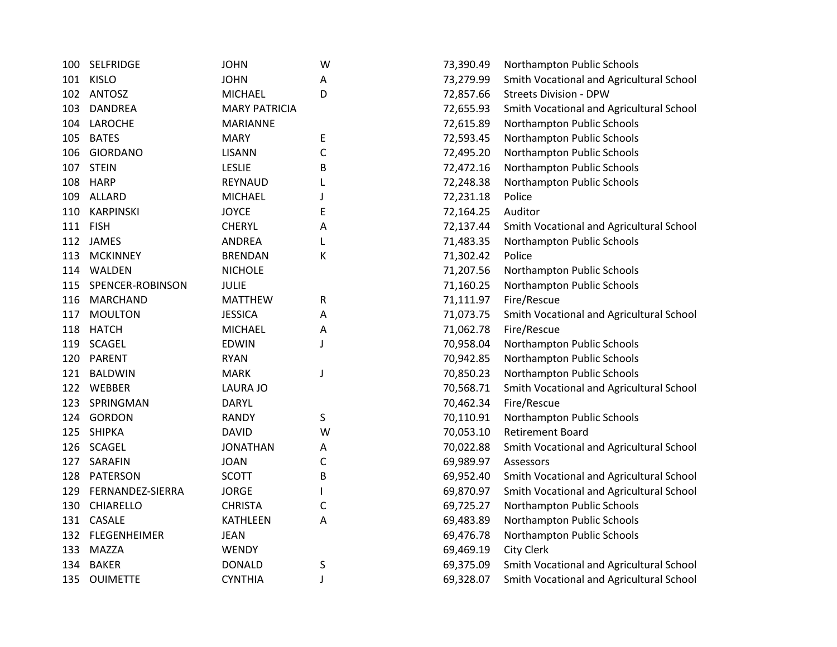| 100 | <b>SELFRIDGE</b> | <b>JOHN</b>          | W | 73,390.49 | Northampton Public Schools               |
|-----|------------------|----------------------|---|-----------|------------------------------------------|
| 101 | <b>KISLO</b>     | <b>JOHN</b>          | Α | 73,279.99 | Smith Vocational and Agricultural School |
| 102 | <b>ANTOSZ</b>    | <b>MICHAEL</b>       | D | 72,857.66 | <b>Streets Division - DPW</b>            |
| 103 | <b>DANDREA</b>   | <b>MARY PATRICIA</b> |   | 72,655.93 | Smith Vocational and Agricultural School |
| 104 | LAROCHE          | <b>MARIANNE</b>      |   | 72,615.89 | Northampton Public Schools               |
| 105 | <b>BATES</b>     | <b>MARY</b>          | E | 72,593.45 | Northampton Public Schools               |
| 106 | <b>GIORDANO</b>  | <b>LISANN</b>        | C | 72,495.20 | Northampton Public Schools               |
| 107 | <b>STEIN</b>     | <b>LESLIE</b>        | B | 72,472.16 | Northampton Public Schools               |
| 108 | <b>HARP</b>      | REYNAUD              | L | 72,248.38 | Northampton Public Schools               |
|     | 109 ALLARD       | <b>MICHAEL</b>       | J | 72,231.18 | Police                                   |
| 110 | <b>KARPINSKI</b> | <b>JOYCE</b>         | E | 72,164.25 | Auditor                                  |
|     | 111 FISH         | <b>CHERYL</b>        | Α | 72,137.44 | Smith Vocational and Agricultural School |
|     | 112 JAMES        | <b>ANDREA</b>        | L | 71,483.35 | Northampton Public Schools               |
| 113 | <b>MCKINNEY</b>  | <b>BRENDAN</b>       | К | 71,302.42 | Police                                   |
| 114 | WALDEN           | <b>NICHOLE</b>       |   | 71,207.56 | Northampton Public Schools               |
| 115 | SPENCER-ROBINSON | <b>JULIE</b>         |   | 71,160.25 | Northampton Public Schools               |
| 116 | <b>MARCHAND</b>  | <b>MATTHEW</b>       | R | 71,111.97 | Fire/Rescue                              |
| 117 | <b>MOULTON</b>   | <b>JESSICA</b>       | A | 71,073.75 | Smith Vocational and Agricultural School |
| 118 | <b>HATCH</b>     | <b>MICHAEL</b>       | Α | 71,062.78 | Fire/Rescue                              |
| 119 | <b>SCAGEL</b>    | <b>EDWIN</b>         | J | 70,958.04 | Northampton Public Schools               |
|     | 120 PARENT       | <b>RYAN</b>          |   | 70,942.85 | Northampton Public Schools               |
|     | 121 BALDWIN      | <b>MARK</b>          | J | 70,850.23 | Northampton Public Schools               |
|     | 122 WEBBER       | <b>LAURA JO</b>      |   | 70,568.71 | Smith Vocational and Agricultural School |
| 123 | SPRINGMAN        | <b>DARYL</b>         |   | 70,462.34 | Fire/Rescue                              |
|     | 124 GORDON       | <b>RANDY</b>         | S | 70,110.91 | Northampton Public Schools               |
|     | 125 SHIPKA       | <b>DAVID</b>         | W | 70,053.10 | <b>Retirement Board</b>                  |
|     | 126 SCAGEL       | <b>JONATHAN</b>      | A | 70,022.88 | Smith Vocational and Agricultural School |
|     | 127 SARAFIN      | <b>JOAN</b>          | C | 69,989.97 | Assessors                                |
| 128 | PATERSON         | <b>SCOTT</b>         | B | 69,952.40 | Smith Vocational and Agricultural School |
| 129 | FERNANDEZ-SIERRA | <b>JORGE</b>         |   | 69,870.97 | Smith Vocational and Agricultural School |
| 130 | CHIARELLO        | <b>CHRISTA</b>       | С | 69,725.27 | Northampton Public Schools               |
|     | 131 CASALE       | <b>KATHLEEN</b>      | Α | 69,483.89 | Northampton Public Schools               |
|     | 132 FLEGENHEIMER | <b>JEAN</b>          |   | 69,476.78 | Northampton Public Schools               |
| 133 | <b>MAZZA</b>     | WENDY                |   | 69,469.19 | <b>City Clerk</b>                        |
| 134 | <b>BAKER</b>     | <b>DONALD</b>        | S | 69,375.09 | Smith Vocational and Agricultural School |
| 135 | <b>OUIMETTE</b>  | <b>CYNTHIA</b>       | J | 69,328.07 | Smith Vocational and Agricultural School |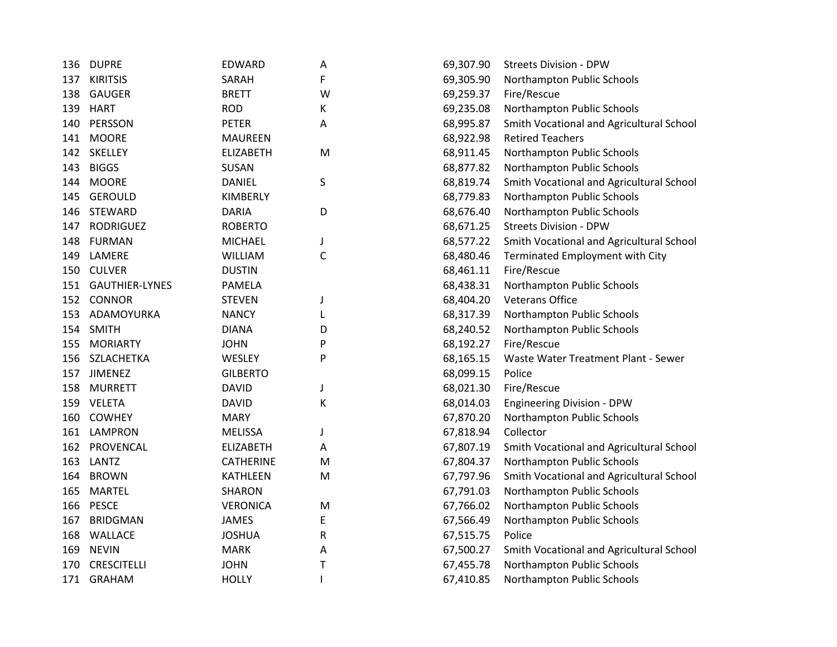| 136 | <b>DUPRE</b>       | EDWARD           | Α            | 69,307.90 | <b>Streets Division - DPW</b>            |
|-----|--------------------|------------------|--------------|-----------|------------------------------------------|
| 137 | <b>KIRITSIS</b>    | SARAH            | F            | 69,305.90 | Northampton Public Schools               |
| 138 | <b>GAUGER</b>      | <b>BRETT</b>     | W            | 69,259.37 | Fire/Rescue                              |
|     | 139 HART           | <b>ROD</b>       | К            | 69,235.08 | Northampton Public Schools               |
| 140 | PERSSON            | <b>PETER</b>     | Α            | 68,995.87 | Smith Vocational and Agricultural School |
| 141 | <b>MOORE</b>       | <b>MAUREEN</b>   |              | 68,922.98 | <b>Retired Teachers</b>                  |
|     | 142 SKELLEY        | <b>ELIZABETH</b> | M            | 68,911.45 | Northampton Public Schools               |
| 143 | <b>BIGGS</b>       | SUSAN            |              | 68,877.82 | Northampton Public Schools               |
| 144 | <b>MOORE</b>       | <b>DANIEL</b>    | S            | 68,819.74 | Smith Vocational and Agricultural School |
| 145 | <b>GEROULD</b>     | KIMBERLY         |              | 68,779.83 | Northampton Public Schools               |
| 146 | STEWARD            | <b>DARIA</b>     | D            | 68,676.40 | Northampton Public Schools               |
| 147 | <b>RODRIGUEZ</b>   | <b>ROBERTO</b>   |              | 68,671.25 | <b>Streets Division - DPW</b>            |
| 148 | <b>FURMAN</b>      | <b>MICHAEL</b>   | J            | 68,577.22 | Smith Vocational and Agricultural School |
| 149 | LAMERE             | <b>WILLIAM</b>   | C            | 68,480.46 | Terminated Employment with City          |
|     | 150 CULVER         | <b>DUSTIN</b>    |              | 68,461.11 | Fire/Rescue                              |
|     | 151 GAUTHIER-LYNES | <b>PAMELA</b>    |              | 68,438.31 | Northampton Public Schools               |
|     | 152 CONNOR         | <b>STEVEN</b>    | J            | 68,404.20 | <b>Veterans Office</b>                   |
| 153 | ADAMOYURKA         | <b>NANCY</b>     | L            | 68,317.39 | Northampton Public Schools               |
|     | 154 SMITH          | <b>DIANA</b>     | D            | 68,240.52 | Northampton Public Schools               |
| 155 | <b>MORIARTY</b>    | <b>JOHN</b>      | P            | 68,192.27 | Fire/Rescue                              |
|     | 156 SZLACHETKA     | WESLEY           | P            | 68,165.15 | Waste Water Treatment Plant - Sewer      |
|     | 157 JIMENEZ        | <b>GILBERTO</b>  |              | 68,099.15 | Police                                   |
|     | 158 MURRETT        | <b>DAVID</b>     | J            | 68,021.30 | Fire/Rescue                              |
|     | 159 VELETA         | <b>DAVID</b>     | Κ            | 68,014.03 | <b>Engineering Division - DPW</b>        |
| 160 | <b>COWHEY</b>      | <b>MARY</b>      |              | 67,870.20 | Northampton Public Schools               |
|     | 161 LAMPRON        | <b>MELISSA</b>   | J            | 67,818.94 | Collector                                |
|     | 162 PROVENCAL      | <b>ELIZABETH</b> | Α            | 67,807.19 | Smith Vocational and Agricultural School |
|     | 163 LANTZ          | <b>CATHERINE</b> | M            | 67,804.37 | Northampton Public Schools               |
| 164 | <b>BROWN</b>       | <b>KATHLEEN</b>  | M            | 67,797.96 | Smith Vocational and Agricultural School |
| 165 | <b>MARTEL</b>      | <b>SHARON</b>    |              | 67,791.03 | Northampton Public Schools               |
| 166 | <b>PESCE</b>       | <b>VERONICA</b>  | M            | 67,766.02 | Northampton Public Schools               |
| 167 | <b>BRIDGMAN</b>    | <b>JAMES</b>     | E            | 67,566.49 | Northampton Public Schools               |
| 168 | <b>WALLACE</b>     | <b>JOSHUA</b>    | R            | 67,515.75 | Police                                   |
| 169 | <b>NEVIN</b>       | <b>MARK</b>      | Α            | 67,500.27 | Smith Vocational and Agricultural School |
| 170 | <b>CRESCITELLI</b> | <b>JOHN</b>      | Т            | 67,455.78 | Northampton Public Schools               |
|     | 171 GRAHAM         | <b>HOLLY</b>     | $\mathsf{I}$ | 67,410.85 | Northampton Public Schools               |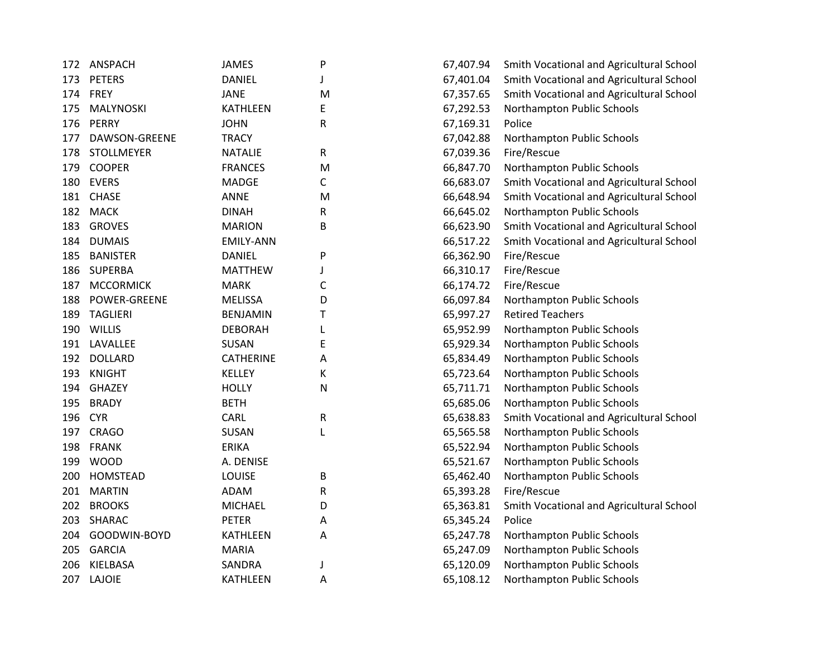| 172 | <b>ANSPACH</b>    | <b>JAMES</b>     | P         | 67,407.94 | Smith Vocational and Agricultural School |
|-----|-------------------|------------------|-----------|-----------|------------------------------------------|
| 173 | <b>PETERS</b>     | <b>DANIEL</b>    | J         | 67,401.04 | Smith Vocational and Agricultural School |
| 174 | FREY              | <b>JANE</b>      | M         | 67,357.65 | Smith Vocational and Agricultural School |
| 175 | MALYNOSKI         | <b>KATHLEEN</b>  | E         | 67,292.53 | Northampton Public Schools               |
| 176 | PERRY             | <b>JOHN</b>      | R         | 67,169.31 | Police                                   |
| 177 | DAWSON-GREENE     | <b>TRACY</b>     |           | 67,042.88 | Northampton Public Schools               |
| 178 | <b>STOLLMEYER</b> | <b>NATALIE</b>   | R         | 67,039.36 | Fire/Rescue                              |
| 179 | <b>COOPER</b>     | <b>FRANCES</b>   | M         | 66,847.70 | Northampton Public Schools               |
| 180 | <b>EVERS</b>      | <b>MADGE</b>     | C         | 66,683.07 | Smith Vocational and Agricultural School |
| 181 | <b>CHASE</b>      | <b>ANNE</b>      | M         | 66,648.94 | Smith Vocational and Agricultural School |
| 182 | <b>MACK</b>       | <b>DINAH</b>     | R         | 66,645.02 | Northampton Public Schools               |
| 183 | <b>GROVES</b>     | <b>MARION</b>    | B         | 66,623.90 | Smith Vocational and Agricultural School |
| 184 | <b>DUMAIS</b>     | <b>EMILY-ANN</b> |           | 66,517.22 | Smith Vocational and Agricultural School |
| 185 | <b>BANISTER</b>   | <b>DANIEL</b>    | P         | 66,362.90 | Fire/Rescue                              |
|     | 186 SUPERBA       | <b>MATTHEW</b>   | J         | 66,310.17 | Fire/Rescue                              |
| 187 | <b>MCCORMICK</b>  | <b>MARK</b>      | С         | 66,174.72 | Fire/Rescue                              |
| 188 | POWER-GREENE      | <b>MELISSA</b>   | D         | 66,097.84 | Northampton Public Schools               |
| 189 | <b>TAGLIERI</b>   | <b>BENJAMIN</b>  | Т         | 65,997.27 | <b>Retired Teachers</b>                  |
| 190 | <b>WILLIS</b>     | <b>DEBORAH</b>   | L         | 65,952.99 | Northampton Public Schools               |
| 191 | LAVALLEE          | SUSAN            | E         | 65,929.34 | Northampton Public Schools               |
| 192 | <b>DOLLARD</b>    | <b>CATHERINE</b> | Α         | 65,834.49 | Northampton Public Schools               |
| 193 | <b>KNIGHT</b>     | <b>KELLEY</b>    | К         | 65,723.64 | Northampton Public Schools               |
| 194 | <b>GHAZEY</b>     | <b>HOLLY</b>     | ${\sf N}$ | 65,711.71 | Northampton Public Schools               |
| 195 | <b>BRADY</b>      | <b>BETH</b>      |           | 65,685.06 | Northampton Public Schools               |
| 196 | <b>CYR</b>        | CARL             | ${\sf R}$ | 65,638.83 | Smith Vocational and Agricultural School |
| 197 | <b>CRAGO</b>      | SUSAN            | L         | 65,565.58 | Northampton Public Schools               |
| 198 | <b>FRANK</b>      | <b>ERIKA</b>     |           | 65,522.94 | Northampton Public Schools               |
| 199 | <b>WOOD</b>       | A. DENISE        |           | 65,521.67 | Northampton Public Schools               |
| 200 | HOMSTEAD          | LOUISE           | B         | 65,462.40 | Northampton Public Schools               |
| 201 | <b>MARTIN</b>     | <b>ADAM</b>      | R         | 65,393.28 | Fire/Rescue                              |
| 202 | <b>BROOKS</b>     | <b>MICHAEL</b>   | D         | 65,363.81 | Smith Vocational and Agricultural School |
| 203 | SHARAC            | <b>PETER</b>     | Α         | 65,345.24 | Police                                   |
|     | 204 GOODWIN-BOYD  | <b>KATHLEEN</b>  | Α         | 65,247.78 | Northampton Public Schools               |
| 205 | <b>GARCIA</b>     | <b>MARIA</b>     |           | 65,247.09 | Northampton Public Schools               |
| 206 | KIELBASA          | <b>SANDRA</b>    | J         | 65,120.09 | Northampton Public Schools               |
|     | 207 LAJOIE        | <b>KATHLEEN</b>  | Α         | 65,108.12 | Northampton Public Schools               |
|     |                   |                  |           |           |                                          |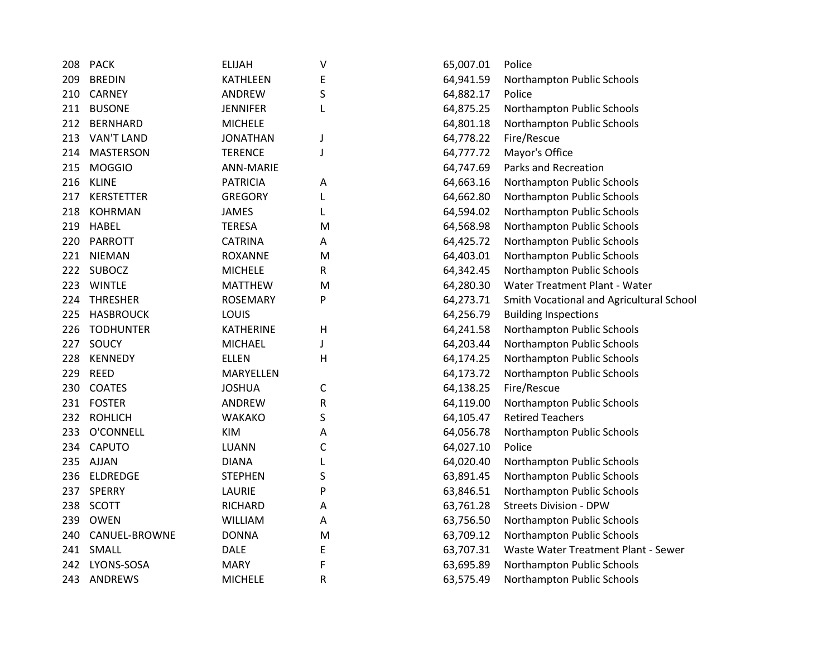| 208 | <b>PACK</b>       | <b>ELIJAH</b>    | V            | 65,007.01 | Police                                   |
|-----|-------------------|------------------|--------------|-----------|------------------------------------------|
| 209 | <b>BREDIN</b>     | <b>KATHLEEN</b>  | E            | 64,941.59 | Northampton Public Schools               |
| 210 | <b>CARNEY</b>     | ANDREW           | $\sf S$      | 64,882.17 | Police                                   |
| 211 | <b>BUSONE</b>     | <b>JENNIFER</b>  | L            | 64,875.25 | Northampton Public Schools               |
| 212 | <b>BERNHARD</b>   | <b>MICHELE</b>   |              | 64,801.18 | Northampton Public Schools               |
| 213 | <b>VAN'T LAND</b> | <b>JONATHAN</b>  | J            | 64,778.22 | Fire/Rescue                              |
| 214 | <b>MASTERSON</b>  | <b>TERENCE</b>   | J            | 64,777.72 | Mayor's Office                           |
| 215 | <b>MOGGIO</b>     | <b>ANN-MARIE</b> |              | 64,747.69 | Parks and Recreation                     |
| 216 | <b>KLINE</b>      | <b>PATRICIA</b>  | Α            | 64,663.16 | Northampton Public Schools               |
| 217 | <b>KERSTETTER</b> | <b>GREGORY</b>   | L            | 64,662.80 | Northampton Public Schools               |
| 218 | <b>KOHRMAN</b>    | <b>JAMES</b>     | L            | 64,594.02 | Northampton Public Schools               |
| 219 | HABEL             | <b>TERESA</b>    | M            | 64,568.98 | Northampton Public Schools               |
| 220 | <b>PARROTT</b>    | <b>CATRINA</b>   | Α            | 64,425.72 | Northampton Public Schools               |
| 221 | <b>NIEMAN</b>     | ROXANNE          | M            | 64,403.01 | Northampton Public Schools               |
| 222 | <b>SUBOCZ</b>     | <b>MICHELE</b>   | R            | 64,342.45 | Northampton Public Schools               |
| 223 | <b>WINTLE</b>     | <b>MATTHEW</b>   | M            | 64,280.30 | Water Treatment Plant - Water            |
| 224 | <b>THRESHER</b>   | <b>ROSEMARY</b>  | P            | 64,273.71 | Smith Vocational and Agricultural School |
| 225 | <b>HASBROUCK</b>  | LOUIS            |              | 64,256.79 | <b>Building Inspections</b>              |
| 226 | <b>TODHUNTER</b>  | <b>KATHERINE</b> | $\mathsf{H}$ | 64,241.58 | Northampton Public Schools               |
| 227 | SOUCY             | <b>MICHAEL</b>   | J            | 64,203.44 | Northampton Public Schools               |
| 228 | <b>KENNEDY</b>    | <b>ELLEN</b>     | Н            | 64,174.25 | Northampton Public Schools               |
| 229 | <b>REED</b>       | MARYELLEN        |              | 64,173.72 | Northampton Public Schools               |
| 230 | <b>COATES</b>     | <b>JOSHUA</b>    | $\mathsf{C}$ | 64,138.25 | Fire/Rescue                              |
| 231 | <b>FOSTER</b>     | ANDREW           | ${\sf R}$    | 64,119.00 | Northampton Public Schools               |
| 232 | <b>ROHLICH</b>    | <b>WAKAKO</b>    | S            | 64,105.47 | <b>Retired Teachers</b>                  |
| 233 | O'CONNELL         | <b>KIM</b>       | Α            | 64,056.78 | Northampton Public Schools               |
| 234 | <b>CAPUTO</b>     | LUANN            | $\mathsf{C}$ | 64,027.10 | Police                                   |
| 235 | AJJAN             | <b>DIANA</b>     | L            | 64,020.40 | Northampton Public Schools               |
| 236 | <b>ELDREDGE</b>   | <b>STEPHEN</b>   | S            | 63,891.45 | Northampton Public Schools               |
| 237 | <b>SPERRY</b>     | LAURIE           | P            | 63,846.51 | Northampton Public Schools               |
| 238 | SCOTT             | <b>RICHARD</b>   | Α            | 63,761.28 | <b>Streets Division - DPW</b>            |
| 239 | OWEN              | <b>WILLIAM</b>   | Α            | 63,756.50 | Northampton Public Schools               |
| 240 | CANUEL-BROWNE     | <b>DONNA</b>     | M            | 63,709.12 | Northampton Public Schools               |
| 241 | SMALL             | <b>DALE</b>      | E            | 63,707.31 | Waste Water Treatment Plant - Sewer      |
| 242 | LYONS-SOSA        | <b>MARY</b>      | F            | 63,695.89 | Northampton Public Schools               |
| 243 | ANDREWS           | <b>MICHELE</b>   | R            | 63,575.49 | Northampton Public Schools               |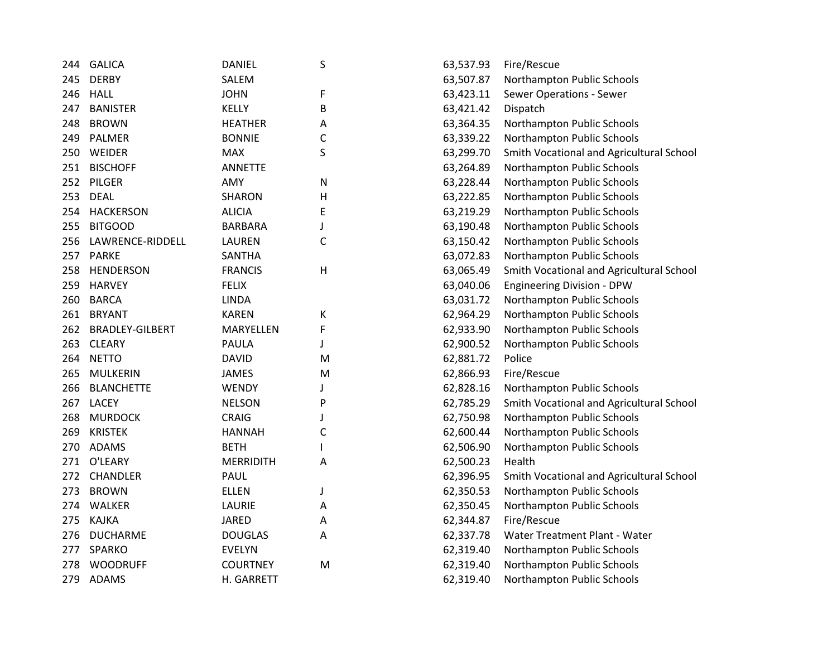| 244 | <b>GALICA</b>          | <b>DANIEL</b>    | S            | 63,537.93 | Fire/Rescue                              |
|-----|------------------------|------------------|--------------|-----------|------------------------------------------|
| 245 | <b>DERBY</b>           | SALEM            |              | 63,507.87 | Northampton Public Schools               |
| 246 | <b>HALL</b>            | <b>JOHN</b>      | F            | 63,423.11 | Sewer Operations - Sewer                 |
| 247 | <b>BANISTER</b>        | <b>KELLY</b>     | B            | 63,421.42 | Dispatch                                 |
| 248 | <b>BROWN</b>           | <b>HEATHER</b>   | Α            | 63,364.35 | Northampton Public Schools               |
| 249 | PALMER                 | <b>BONNIE</b>    | C            | 63,339.22 | Northampton Public Schools               |
| 250 | WEIDER                 | <b>MAX</b>       | S            | 63,299.70 | Smith Vocational and Agricultural School |
| 251 | <b>BISCHOFF</b>        | <b>ANNETTE</b>   |              | 63,264.89 | Northampton Public Schools               |
| 252 | PILGER                 | AMY              | N            | 63,228.44 | Northampton Public Schools               |
| 253 | <b>DEAL</b>            | <b>SHARON</b>    | Н            | 63,222.85 | Northampton Public Schools               |
| 254 | <b>HACKERSON</b>       | <b>ALICIA</b>    | E            | 63,219.29 | Northampton Public Schools               |
| 255 | <b>BITGOOD</b>         | <b>BARBARA</b>   | J            | 63,190.48 | Northampton Public Schools               |
| 256 | LAWRENCE-RIDDELL       | <b>LAUREN</b>    | $\mathsf{C}$ | 63,150.42 | Northampton Public Schools               |
| 257 | <b>PARKE</b>           | <b>SANTHA</b>    |              | 63,072.83 | Northampton Public Schools               |
| 258 | <b>HENDERSON</b>       | <b>FRANCIS</b>   | Н            | 63,065.49 | Smith Vocational and Agricultural School |
| 259 | <b>HARVEY</b>          | <b>FELIX</b>     |              | 63,040.06 | <b>Engineering Division - DPW</b>        |
| 260 | <b>BARCA</b>           | <b>LINDA</b>     |              | 63,031.72 | Northampton Public Schools               |
| 261 | <b>BRYANT</b>          | <b>KAREN</b>     | Κ            | 62,964.29 | Northampton Public Schools               |
| 262 | <b>BRADLEY-GILBERT</b> | MARYELLEN        | F            | 62,933.90 | Northampton Public Schools               |
| 263 | <b>CLEARY</b>          | PAULA            | J            | 62,900.52 | Northampton Public Schools               |
| 264 | <b>NETTO</b>           | <b>DAVID</b>     | M            | 62,881.72 | Police                                   |
| 265 | <b>MULKERIN</b>        | JAMES            | M            | 62,866.93 | Fire/Rescue                              |
| 266 | <b>BLANCHETTE</b>      | <b>WENDY</b>     | J            | 62,828.16 | Northampton Public Schools               |
| 267 | <b>LACEY</b>           | <b>NELSON</b>    | P            | 62,785.29 | Smith Vocational and Agricultural School |
| 268 | <b>MURDOCK</b>         | <b>CRAIG</b>     | J            | 62,750.98 | Northampton Public Schools               |
| 269 | <b>KRISTEK</b>         | <b>HANNAH</b>    | C            | 62,600.44 | Northampton Public Schools               |
| 270 | <b>ADAMS</b>           | <b>BETH</b>      | L            | 62,506.90 | Northampton Public Schools               |
| 271 | O'LEARY                | <b>MERRIDITH</b> | Α            | 62,500.23 | Health                                   |
| 272 | <b>CHANDLER</b>        | PAUL             |              | 62,396.95 | Smith Vocational and Agricultural School |
| 273 | <b>BROWN</b>           | <b>ELLEN</b>     | J            | 62,350.53 | Northampton Public Schools               |
| 274 | <b>WALKER</b>          | LAURIE           | Α            | 62,350.45 | Northampton Public Schools               |
| 275 | <b>KAJKA</b>           | <b>JARED</b>     | А            | 62,344.87 | Fire/Rescue                              |
| 276 | <b>DUCHARME</b>        | <b>DOUGLAS</b>   | Α            | 62,337.78 | Water Treatment Plant - Water            |
| 277 | <b>SPARKO</b>          | <b>EVELYN</b>    |              | 62,319.40 | Northampton Public Schools               |
| 278 | <b>WOODRUFF</b>        | <b>COURTNEY</b>  | M            | 62,319.40 | Northampton Public Schools               |
| 279 | <b>ADAMS</b>           | H. GARRETT       |              | 62,319.40 | Northampton Public Schools               |
|     |                        |                  |              |           |                                          |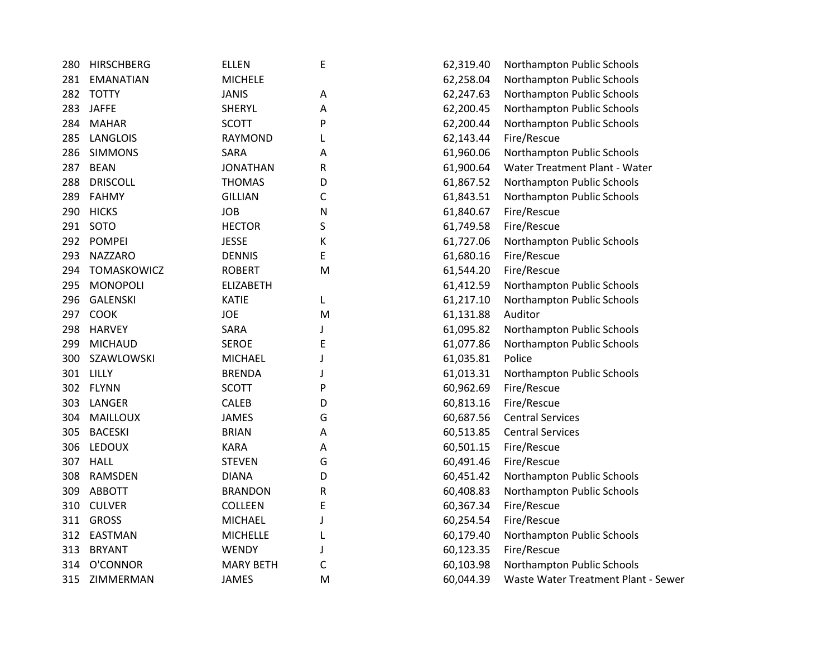| 280 | <b>HIRSCHBERG</b> | <b>ELLEN</b>     | Е | 62,319.40 | Northampton Public Schools          |
|-----|-------------------|------------------|---|-----------|-------------------------------------|
| 281 | <b>EMANATIAN</b>  | <b>MICHELE</b>   |   | 62,258.04 | Northampton Public Schools          |
| 282 | <b>TOTTY</b>      | <b>JANIS</b>     | Α | 62,247.63 | Northampton Public Schools          |
| 283 | <b>JAFFE</b>      | <b>SHERYL</b>    | А | 62,200.45 | Northampton Public Schools          |
| 284 | <b>MAHAR</b>      | <b>SCOTT</b>     | P | 62,200.44 | Northampton Public Schools          |
| 285 | <b>LANGLOIS</b>   | RAYMOND          | L | 62,143.44 | Fire/Rescue                         |
| 286 | <b>SIMMONS</b>    | SARA             | Α | 61,960.06 | Northampton Public Schools          |
| 287 | <b>BEAN</b>       | <b>JONATHAN</b>  | R | 61,900.64 | Water Treatment Plant - Water       |
| 288 | <b>DRISCOLL</b>   | <b>THOMAS</b>    | D | 61,867.52 | Northampton Public Schools          |
| 289 | <b>FAHMY</b>      | <b>GILLIAN</b>   | C | 61,843.51 | Northampton Public Schools          |
| 290 | <b>HICKS</b>      | <b>JOB</b>       | N | 61,840.67 | Fire/Rescue                         |
| 291 | SOTO              | <b>HECTOR</b>    | S | 61,749.58 | Fire/Rescue                         |
| 292 | <b>POMPEI</b>     | <b>JESSE</b>     | К | 61,727.06 | Northampton Public Schools          |
| 293 | <b>NAZZARO</b>    | <b>DENNIS</b>    | E | 61,680.16 | Fire/Rescue                         |
| 294 | TOMASKOWICZ       | <b>ROBERT</b>    | M | 61,544.20 | Fire/Rescue                         |
| 295 | <b>MONOPOLI</b>   | <b>ELIZABETH</b> |   | 61,412.59 | Northampton Public Schools          |
| 296 | <b>GALENSKI</b>   | <b>KATIE</b>     | L | 61,217.10 | Northampton Public Schools          |
| 297 | COOK              | <b>JOE</b>       | M | 61,131.88 | Auditor                             |
| 298 | <b>HARVEY</b>     | SARA             | T | 61,095.82 | Northampton Public Schools          |
| 299 | <b>MICHAUD</b>    | <b>SEROE</b>     | E | 61,077.86 | Northampton Public Schools          |
| 300 | SZAWLOWSKI        | <b>MICHAEL</b>   | J | 61,035.81 | Police                              |
|     | 301 LILLY         | <b>BRENDA</b>    | J | 61,013.31 | Northampton Public Schools          |
|     | 302 FLYNN         | <b>SCOTT</b>     | P | 60,962.69 | Fire/Rescue                         |
| 303 | LANGER            | <b>CALEB</b>     | D | 60,813.16 | Fire/Rescue                         |
| 304 | <b>MAILLOUX</b>   | <b>JAMES</b>     | G | 60,687.56 | <b>Central Services</b>             |
| 305 | <b>BACESKI</b>    | <b>BRIAN</b>     | А | 60,513.85 | <b>Central Services</b>             |
| 306 | <b>LEDOUX</b>     | <b>KARA</b>      | А | 60,501.15 | Fire/Rescue                         |
| 307 | <b>HALL</b>       | <b>STEVEN</b>    | G | 60,491.46 | Fire/Rescue                         |
| 308 | <b>RAMSDEN</b>    | <b>DIANA</b>     | D | 60,451.42 | Northampton Public Schools          |
| 309 | <b>ABBOTT</b>     | <b>BRANDON</b>   | R | 60,408.83 | Northampton Public Schools          |
| 310 | <b>CULVER</b>     | <b>COLLEEN</b>   | E | 60,367.34 | Fire/Rescue                         |
| 311 | <b>GROSS</b>      | <b>MICHAEL</b>   | J | 60,254.54 | Fire/Rescue                         |
| 312 | EASTMAN           | <b>MICHELLE</b>  |   | 60,179.40 | Northampton Public Schools          |
| 313 | <b>BRYANT</b>     | WENDY            | J | 60,123.35 | Fire/Rescue                         |
| 314 | O'CONNOR          | <b>MARY BETH</b> | C | 60,103.98 | Northampton Public Schools          |
| 315 | ZIMMERMAN         | <b>JAMES</b>     | M | 60,044.39 | Waste Water Treatment Plant - Sewer |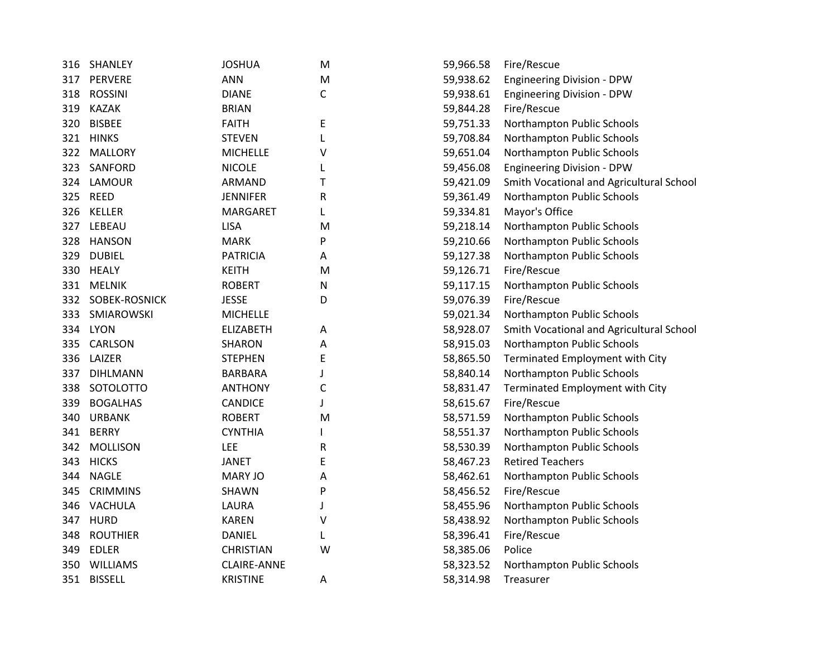| 316 | SHANLEY         | <b>JOSHUA</b>      | M         | 59,966.58 | Fire/Rescue                              |
|-----|-----------------|--------------------|-----------|-----------|------------------------------------------|
| 317 | PERVERE         | <b>ANN</b>         | M         | 59,938.62 | <b>Engineering Division - DPW</b>        |
| 318 | <b>ROSSINI</b>  | <b>DIANE</b>       | C         | 59,938.61 | <b>Engineering Division - DPW</b>        |
| 319 | <b>KAZAK</b>    | <b>BRIAN</b>       |           | 59,844.28 | Fire/Rescue                              |
| 320 | <b>BISBEE</b>   | <b>FAITH</b>       | Ε         | 59,751.33 | Northampton Public Schools               |
| 321 | <b>HINKS</b>    | <b>STEVEN</b>      | L         | 59,708.84 | Northampton Public Schools               |
| 322 | <b>MALLORY</b>  | <b>MICHELLE</b>    | ٧         | 59,651.04 | Northampton Public Schools               |
| 323 | SANFORD         | <b>NICOLE</b>      |           | 59,456.08 | <b>Engineering Division - DPW</b>        |
|     | 324 LAMOUR      | ARMAND             | т         | 59,421.09 | Smith Vocational and Agricultural School |
|     | 325 REED        | <b>JENNIFER</b>    | R         | 59,361.49 | Northampton Public Schools               |
|     | 326 KELLER      | MARGARET           |           | 59,334.81 | Mayor's Office                           |
|     | 327 LEBEAU      | <b>LISA</b>        | M         | 59,218.14 | Northampton Public Schools               |
| 328 | <b>HANSON</b>   | <b>MARK</b>        | P         | 59,210.66 | Northampton Public Schools               |
| 329 | <b>DUBIEL</b>   | <b>PATRICIA</b>    | A         | 59,127.38 | Northampton Public Schools               |
| 330 | <b>HEALY</b>    | <b>KEITH</b>       | M         | 59,126.71 | Fire/Rescue                              |
| 331 | <b>MELNIK</b>   | <b>ROBERT</b>      | ${\sf N}$ | 59,117.15 | Northampton Public Schools               |
| 332 | SOBEK-ROSNICK   | <b>JESSE</b>       | D         | 59,076.39 | Fire/Rescue                              |
| 333 | SMIAROWSKI      | <b>MICHELLE</b>    |           | 59,021.34 | Northampton Public Schools               |
| 334 | <b>LYON</b>     | <b>ELIZABETH</b>   | Α         | 58,928.07 | Smith Vocational and Agricultural School |
| 335 | <b>CARLSON</b>  | <b>SHARON</b>      | A         | 58,915.03 | Northampton Public Schools               |
| 336 | LAIZER          | <b>STEPHEN</b>     | E         | 58,865.50 | Terminated Employment with City          |
| 337 | <b>DIHLMANN</b> | <b>BARBARA</b>     |           | 58,840.14 | Northampton Public Schools               |
| 338 | SOTOLOTTO       | <b>ANTHONY</b>     | C         | 58,831.47 | Terminated Employment with City          |
| 339 | <b>BOGALHAS</b> | <b>CANDICE</b>     |           | 58,615.67 | Fire/Rescue                              |
| 340 | <b>URBANK</b>   | <b>ROBERT</b>      | M         | 58,571.59 | Northampton Public Schools               |
| 341 | <b>BERRY</b>    | <b>CYNTHIA</b>     |           | 58,551.37 | Northampton Public Schools               |
| 342 | <b>MOLLISON</b> | LEE                | R         | 58,530.39 | Northampton Public Schools               |
| 343 | <b>HICKS</b>    | <b>JANET</b>       | E         | 58,467.23 | <b>Retired Teachers</b>                  |
| 344 | <b>NAGLE</b>    | <b>MARY JO</b>     | A         | 58,462.61 | Northampton Public Schools               |
| 345 | <b>CRIMMINS</b> | SHAWN              | P         | 58,456.52 | Fire/Rescue                              |
| 346 | VACHULA         | LAURA              | J         | 58,455.96 | Northampton Public Schools               |
| 347 | <b>HURD</b>     | KAREN              | v         | 58,438.92 | Northampton Public Schools               |
| 348 | <b>ROUTHIER</b> | <b>DANIEL</b>      |           | 58,396.41 | Fire/Rescue                              |
| 349 | <b>EDLER</b>    | <b>CHRISTIAN</b>   | w         | 58,385.06 | Police                                   |
| 350 | <b>WILLIAMS</b> | <b>CLAIRE-ANNE</b> |           | 58,323.52 | Northampton Public Schools               |
|     | 351 BISSELL     | <b>KRISTINE</b>    | Α         | 58,314.98 | Treasurer                                |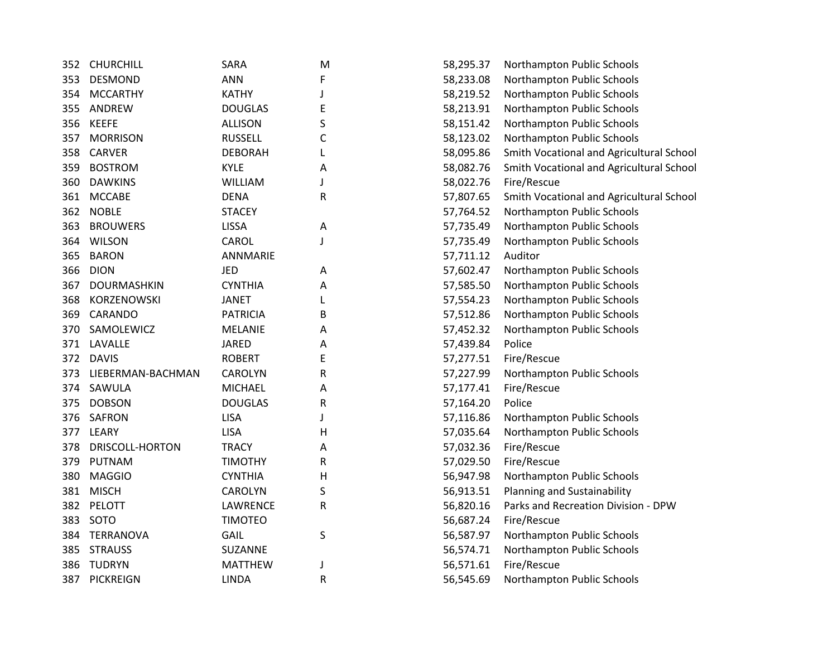| 352 | <b>CHURCHILL</b>  | SARA            | M            | 58,295.37 | Northampton Public Schools               |
|-----|-------------------|-----------------|--------------|-----------|------------------------------------------|
| 353 | <b>DESMOND</b>    | <b>ANN</b>      | F            | 58,233.08 | Northampton Public Schools               |
| 354 | <b>MCCARTHY</b>   | <b>KATHY</b>    | $\mathbf{J}$ | 58,219.52 | Northampton Public Schools               |
| 355 | ANDREW            | <b>DOUGLAS</b>  | E            | 58,213.91 | Northampton Public Schools               |
| 356 | <b>KEEFE</b>      | <b>ALLISON</b>  | S            | 58,151.42 | Northampton Public Schools               |
| 357 | <b>MORRISON</b>   | <b>RUSSELL</b>  | C            | 58,123.02 | Northampton Public Schools               |
| 358 | <b>CARVER</b>     | <b>DEBORAH</b>  | L            | 58,095.86 | Smith Vocational and Agricultural School |
| 359 | <b>BOSTROM</b>    | <b>KYLE</b>     | Α            | 58,082.76 | Smith Vocational and Agricultural School |
| 360 | <b>DAWKINS</b>    | <b>WILLIAM</b>  | J            | 58,022.76 | Fire/Rescue                              |
| 361 | <b>MCCABE</b>     | <b>DENA</b>     | R            | 57,807.65 | Smith Vocational and Agricultural School |
| 362 | <b>NOBLE</b>      | <b>STACEY</b>   |              | 57,764.52 | Northampton Public Schools               |
| 363 | <b>BROUWERS</b>   | <b>LISSA</b>    | A            | 57,735.49 | Northampton Public Schools               |
| 364 | <b>WILSON</b>     | CAROL           | J            | 57,735.49 | Northampton Public Schools               |
| 365 | <b>BARON</b>      | ANNMARIE        |              | 57,711.12 | Auditor                                  |
| 366 | <b>DION</b>       | JED             | Α            | 57,602.47 | Northampton Public Schools               |
| 367 | DOURMASHKIN       | <b>CYNTHIA</b>  | Α            | 57,585.50 | Northampton Public Schools               |
| 368 | KORZENOWSKI       | <b>JANET</b>    |              | 57,554.23 | Northampton Public Schools               |
| 369 | CARANDO           | <b>PATRICIA</b> | В            | 57,512.86 | Northampton Public Schools               |
| 370 | SAMOLEWICZ        | <b>MELANIE</b>  | Α            | 57,452.32 | Northampton Public Schools               |
| 371 | LAVALLE           | <b>JARED</b>    | Α            | 57,439.84 | Police                                   |
| 372 | <b>DAVIS</b>      | <b>ROBERT</b>   | E            | 57,277.51 | Fire/Rescue                              |
| 373 | LIEBERMAN-BACHMAN | <b>CAROLYN</b>  | R            | 57,227.99 | Northampton Public Schools               |
| 374 | SAWULA            | <b>MICHAEL</b>  | Α            | 57,177.41 | Fire/Rescue                              |
| 375 | <b>DOBSON</b>     | <b>DOUGLAS</b>  | R            | 57,164.20 | Police                                   |
| 376 | <b>SAFRON</b>     | <b>LISA</b>     | J            | 57,116.86 | Northampton Public Schools               |
| 377 | LEARY             | <b>LISA</b>     | H            | 57,035.64 | Northampton Public Schools               |
| 378 | DRISCOLL-HORTON   | <b>TRACY</b>    | Α            | 57,032.36 | Fire/Rescue                              |
| 379 | PUTNAM            | <b>TIMOTHY</b>  | R            | 57,029.50 | Fire/Rescue                              |
| 380 | <b>MAGGIO</b>     | <b>CYNTHIA</b>  | H            | 56,947.98 | Northampton Public Schools               |
| 381 | <b>MISCH</b>      | <b>CAROLYN</b>  | S            | 56,913.51 | Planning and Sustainability              |
| 382 | PELOTT            | LAWRENCE        | $\mathsf R$  | 56,820.16 | Parks and Recreation Division - DPW      |
| 383 | SOTO              | <b>TIMOTEO</b>  |              | 56,687.24 | Fire/Rescue                              |
| 384 | <b>TERRANOVA</b>  | GAIL            | S            | 56,587.97 | Northampton Public Schools               |
| 385 | <b>STRAUSS</b>    | SUZANNE         |              | 56,574.71 | Northampton Public Schools               |
| 386 | <b>TUDRYN</b>     | <b>MATTHEW</b>  | J            | 56,571.61 | Fire/Rescue                              |
| 387 | PICKREIGN         | <b>LINDA</b>    | ${\sf R}$    | 56,545.69 | Northampton Public Schools               |
|     |                   |                 |              |           |                                          |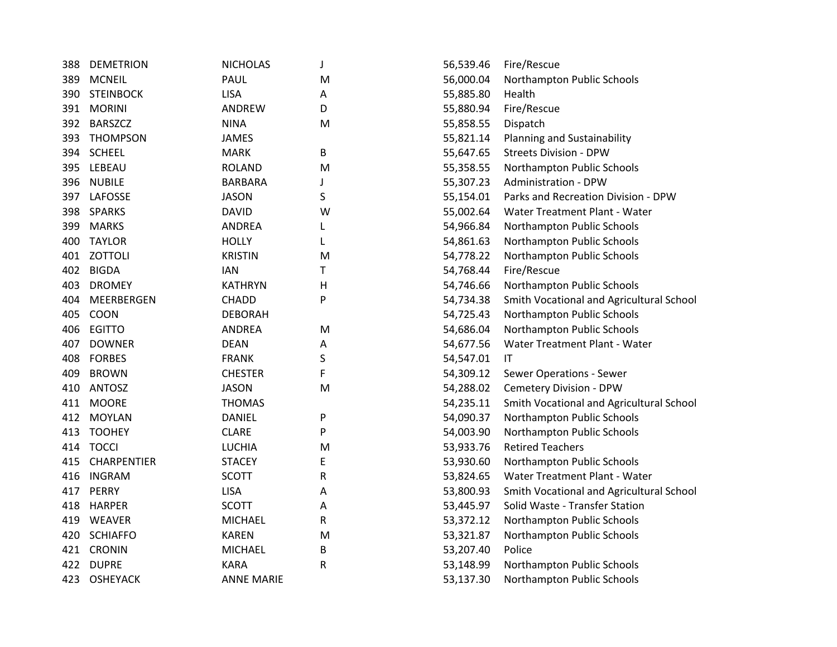| 388 | <b>DEMETRION</b>   | <b>NICHOLAS</b>   | J | 56,539.46 | Fire/Rescue                              |
|-----|--------------------|-------------------|---|-----------|------------------------------------------|
| 389 | <b>MCNEIL</b>      | PAUL              | M | 56,000.04 | Northampton Public Schools               |
| 390 | <b>STEINBOCK</b>   | <b>LISA</b>       | Α | 55,885.80 | <b>Health</b>                            |
| 391 | <b>MORINI</b>      | ANDREW            | D | 55,880.94 | Fire/Rescue                              |
| 392 | <b>BARSZCZ</b>     | <b>NINA</b>       | M | 55,858.55 | Dispatch                                 |
| 393 | <b>THOMPSON</b>    | <b>JAMES</b>      |   | 55,821.14 | Planning and Sustainability              |
| 394 | <b>SCHEEL</b>      | <b>MARK</b>       | B | 55,647.65 | <b>Streets Division - DPW</b>            |
| 395 | LEBEAU             | <b>ROLAND</b>     | M | 55,358.55 | Northampton Public Schools               |
| 396 | <b>NUBILE</b>      | <b>BARBARA</b>    | J | 55,307.23 | <b>Administration - DPW</b>              |
| 397 | LAFOSSE            | <b>JASON</b>      | S | 55,154.01 | Parks and Recreation Division - DPW      |
| 398 | <b>SPARKS</b>      | <b>DAVID</b>      | W | 55,002.64 | Water Treatment Plant - Water            |
| 399 | <b>MARKS</b>       | <b>ANDREA</b>     | L | 54,966.84 | Northampton Public Schools               |
| 400 | <b>TAYLOR</b>      | <b>HOLLY</b>      | L | 54,861.63 | Northampton Public Schools               |
| 401 | <b>ZOTTOLI</b>     | <b>KRISTIN</b>    | M | 54,778.22 | Northampton Public Schools               |
| 402 | <b>BIGDA</b>       | <b>IAN</b>        | Τ | 54,768.44 | Fire/Rescue                              |
| 403 | <b>DROMEY</b>      | <b>KATHRYN</b>    | H | 54,746.66 | Northampton Public Schools               |
| 404 | <b>MEERBERGEN</b>  | <b>CHADD</b>      | P | 54,734.38 | Smith Vocational and Agricultural School |
| 405 | COON               | <b>DEBORAH</b>    |   | 54,725.43 | Northampton Public Schools               |
| 406 | <b>EGITTO</b>      | <b>ANDREA</b>     | M | 54,686.04 | Northampton Public Schools               |
| 407 | <b>DOWNER</b>      | <b>DEAN</b>       | Α | 54,677.56 | Water Treatment Plant - Water            |
| 408 | <b>FORBES</b>      | <b>FRANK</b>      | S | 54,547.01 | IT                                       |
| 409 | <b>BROWN</b>       | <b>CHESTER</b>    | F | 54,309.12 | Sewer Operations - Sewer                 |
| 410 | ANTOSZ             | <b>JASON</b>      | M | 54,288.02 | Cemetery Division - DPW                  |
| 411 | <b>MOORE</b>       | <b>THOMAS</b>     |   | 54,235.11 | Smith Vocational and Agricultural School |
| 412 | <b>MOYLAN</b>      | <b>DANIEL</b>     | P | 54,090.37 | Northampton Public Schools               |
| 413 | <b>TOOHEY</b>      | <b>CLARE</b>      | P | 54,003.90 | Northampton Public Schools               |
| 414 | <b>TOCCI</b>       | <b>LUCHIA</b>     | M | 53,933.76 | <b>Retired Teachers</b>                  |
| 415 | <b>CHARPENTIER</b> | <b>STACEY</b>     | Ε | 53,930.60 | Northampton Public Schools               |
| 416 | <b>INGRAM</b>      | <b>SCOTT</b>      | R | 53,824.65 | Water Treatment Plant - Water            |
| 417 | PERRY              | <b>LISA</b>       | Α | 53,800.93 | Smith Vocational and Agricultural School |
| 418 | <b>HARPER</b>      | <b>SCOTT</b>      | Α | 53,445.97 | Solid Waste - Transfer Station           |
| 419 | <b>WEAVER</b>      | <b>MICHAEL</b>    | R | 53,372.12 | Northampton Public Schools               |
| 420 | <b>SCHIAFFO</b>    | <b>KAREN</b>      | M | 53,321.87 | Northampton Public Schools               |
|     | 421 CRONIN         | <b>MICHAEL</b>    | B | 53,207.40 | Police                                   |
| 422 | <b>DUPRE</b>       | <b>KARA</b>       | R | 53,148.99 | Northampton Public Schools               |
| 423 | <b>OSHEYACK</b>    | <b>ANNE MARIE</b> |   | 53,137.30 | Northampton Public Schools               |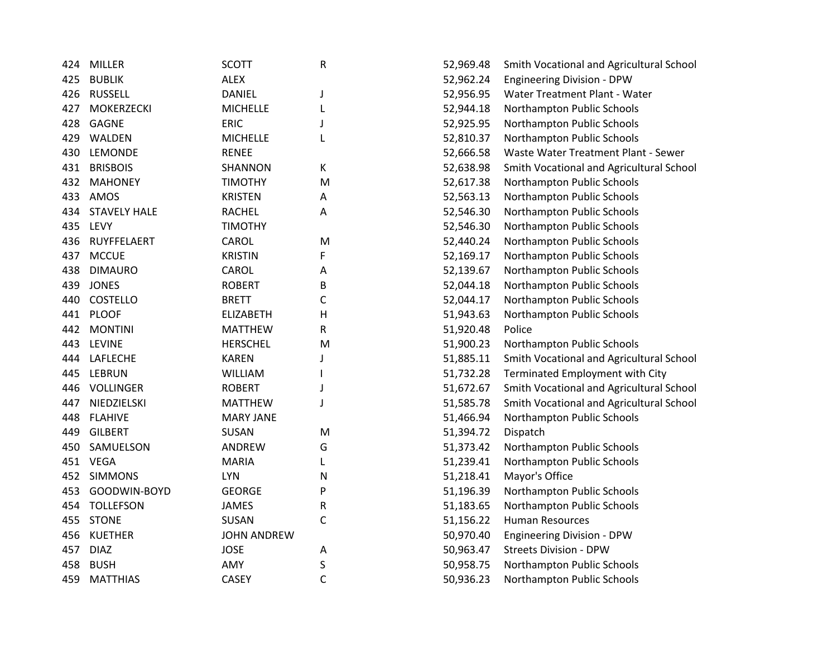| 424 | <b>MILLER</b>       | <b>SCOTT</b>       | R            | 52,969.48 | Smith Vocational and Agricultural School |
|-----|---------------------|--------------------|--------------|-----------|------------------------------------------|
| 425 | <b>BUBLIK</b>       | <b>ALEX</b>        |              | 52,962.24 | <b>Engineering Division - DPW</b>        |
| 426 | <b>RUSSELL</b>      | <b>DANIEL</b>      | J            | 52,956.95 | Water Treatment Plant - Water            |
| 427 | <b>MOKERZECKI</b>   | <b>MICHELLE</b>    | L            | 52,944.18 | Northampton Public Schools               |
| 428 | <b>GAGNE</b>        | <b>ERIC</b>        | J            | 52,925.95 | Northampton Public Schools               |
| 429 | WALDEN              | <b>MICHELLE</b>    | L            | 52,810.37 | Northampton Public Schools               |
| 430 | LEMONDE             | <b>RENEE</b>       |              | 52,666.58 | Waste Water Treatment Plant - Sewer      |
| 431 | <b>BRISBOIS</b>     | SHANNON            | К            | 52,638.98 | Smith Vocational and Agricultural School |
| 432 | <b>MAHONEY</b>      | <b>TIMOTHY</b>     | M            | 52,617.38 | Northampton Public Schools               |
| 433 | AMOS                | <b>KRISTEN</b>     | А            | 52,563.13 | Northampton Public Schools               |
| 434 | <b>STAVELY HALE</b> | <b>RACHEL</b>      | А            | 52,546.30 | Northampton Public Schools               |
| 435 | LEVY                | <b>TIMOTHY</b>     |              | 52,546.30 | Northampton Public Schools               |
| 436 | RUYFFELAERT         | CAROL              | M            | 52,440.24 | Northampton Public Schools               |
| 437 | <b>MCCUE</b>        | <b>KRISTIN</b>     | F            | 52,169.17 | Northampton Public Schools               |
| 438 | <b>DIMAURO</b>      | CAROL              | Α            | 52,139.67 | Northampton Public Schools               |
| 439 | <b>JONES</b>        | <b>ROBERT</b>      | B            | 52,044.18 | Northampton Public Schools               |
| 440 | COSTELLO            | <b>BRETT</b>       | $\mathsf{C}$ | 52,044.17 | Northampton Public Schools               |
| 441 | <b>PLOOF</b>        | <b>ELIZABETH</b>   | H            | 51,943.63 | Northampton Public Schools               |
| 442 | <b>MONTINI</b>      | <b>MATTHEW</b>     | R            | 51,920.48 | Police                                   |
| 443 | <b>LEVINE</b>       | <b>HERSCHEL</b>    | M            | 51,900.23 | Northampton Public Schools               |
| 444 | LAFLECHE            | <b>KAREN</b>       | J            | 51,885.11 | Smith Vocational and Agricultural School |
| 445 | <b>LEBRUN</b>       | <b>WILLIAM</b>     | I            | 51,732.28 | Terminated Employment with City          |
| 446 | <b>VOLLINGER</b>    | <b>ROBERT</b>      | J            | 51,672.67 | Smith Vocational and Agricultural School |
| 447 | NIEDZIELSKI         | <b>MATTHEW</b>     | J            | 51,585.78 | Smith Vocational and Agricultural School |
| 448 | <b>FLAHIVE</b>      | <b>MARY JANE</b>   |              | 51,466.94 | Northampton Public Schools               |
| 449 | <b>GILBERT</b>      | SUSAN              | M            | 51,394.72 | Dispatch                                 |
| 450 | SAMUELSON           | <b>ANDREW</b>      | G            | 51,373.42 | Northampton Public Schools               |
|     | 451 VEGA            | <b>MARIA</b>       | L            | 51,239.41 | Northampton Public Schools               |
| 452 | <b>SIMMONS</b>      | <b>LYN</b>         | N            | 51,218.41 | Mayor's Office                           |
| 453 | GOODWIN-BOYD        | <b>GEORGE</b>      | P            | 51,196.39 | Northampton Public Schools               |
| 454 | <b>TOLLEFSON</b>    | <b>JAMES</b>       | R            | 51,183.65 | Northampton Public Schools               |
| 455 | <b>STONE</b>        | <b>SUSAN</b>       | C            | 51,156.22 | <b>Human Resources</b>                   |
| 456 | <b>KUETHER</b>      | <b>JOHN ANDREW</b> |              | 50,970.40 | <b>Engineering Division - DPW</b>        |
| 457 | <b>DIAZ</b>         | <b>JOSE</b>        | Α            | 50,963.47 | <b>Streets Division - DPW</b>            |
| 458 | <b>BUSH</b>         | AMY                | S            | 50,958.75 | Northampton Public Schools               |
| 459 | <b>MATTHIAS</b>     | <b>CASEY</b>       | $\mathsf{C}$ | 50,936.23 | Northampton Public Schools               |
|     |                     |                    |              |           |                                          |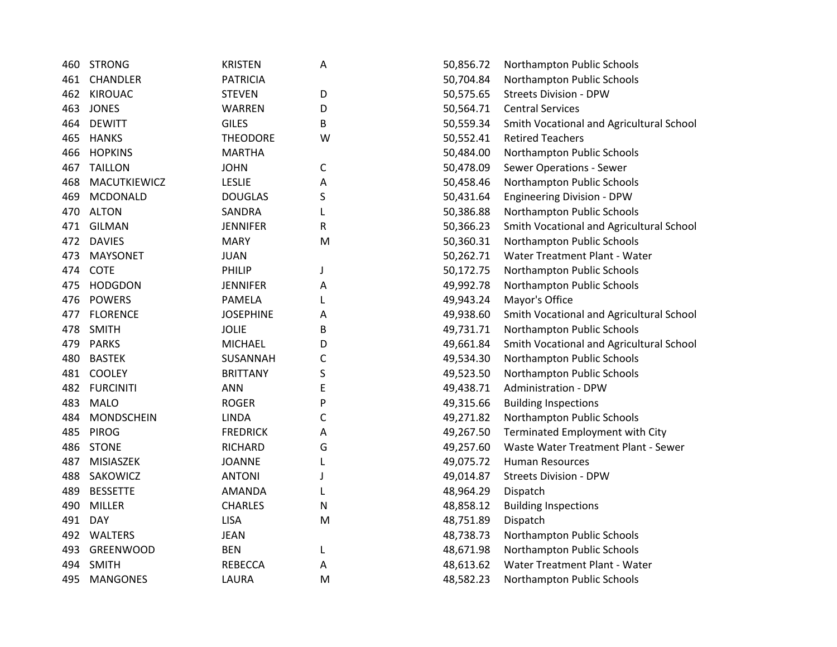| 460 | <b>STRONG</b>     | <b>KRISTEN</b>   | A | 50,856.72 | Northampton Public Schools        |
|-----|-------------------|------------------|---|-----------|-----------------------------------|
| 461 | CHANDLER          | <b>PATRICIA</b>  |   | 50,704.84 | Northampton Public Schools        |
| 462 | <b>KIROUAC</b>    | <b>STEVEN</b>    | D | 50,575.65 | <b>Streets Division - DPW</b>     |
| 463 | <b>JONES</b>      | <b>WARREN</b>    | D | 50,564.71 | <b>Central Services</b>           |
| 464 | <b>DEWITT</b>     | <b>GILES</b>     | В | 50,559.34 | Smith Vocational and Agricultur   |
| 465 | <b>HANKS</b>      | <b>THEODORE</b>  | W | 50,552.41 | <b>Retired Teachers</b>           |
| 466 | <b>HOPKINS</b>    | <b>MARTHA</b>    |   | 50,484.00 | Northampton Public Schools        |
| 467 | <b>TAILLON</b>    | <b>JOHN</b>      | C | 50,478.09 | Sewer Operations - Sewer          |
| 468 | MACUTKIEWICZ      | <b>LESLIE</b>    | Α | 50,458.46 | Northampton Public Schools        |
| 469 | <b>MCDONALD</b>   | <b>DOUGLAS</b>   | S | 50,431.64 | <b>Engineering Division - DPW</b> |
| 470 | <b>ALTON</b>      | <b>SANDRA</b>    | L | 50,386.88 | Northampton Public Schools        |
| 471 | <b>GILMAN</b>     | <b>JENNIFER</b>  | R | 50,366.23 | Smith Vocational and Agricultur   |
| 472 | <b>DAVIES</b>     | <b>MARY</b>      | M | 50,360.31 | Northampton Public Schools        |
| 473 | <b>MAYSONET</b>   | <b>JUAN</b>      |   | 50,262.71 | Water Treatment Plant - Water     |
| 474 | COTE              | PHILIP           | J | 50,172.75 | Northampton Public Schools        |
| 475 | <b>HODGDON</b>    | <b>JENNIFER</b>  | A | 49,992.78 | Northampton Public Schools        |
| 476 | <b>POWERS</b>     | <b>PAMELA</b>    | L | 49,943.24 | Mayor's Office                    |
| 477 | <b>FLORENCE</b>   | <b>JOSEPHINE</b> | Α | 49,938.60 | Smith Vocational and Agricultur   |
| 478 | <b>SMITH</b>      | <b>JOLIE</b>     | В | 49,731.71 | Northampton Public Schools        |
| 479 | <b>PARKS</b>      | <b>MICHAEL</b>   | D | 49,661.84 | Smith Vocational and Agricultur   |
| 480 | <b>BASTEK</b>     | SUSANNAH         | C | 49,534.30 | Northampton Public Schools        |
| 481 | <b>COOLEY</b>     | <b>BRITTANY</b>  | S | 49,523.50 | Northampton Public Schools        |
| 482 | <b>FURCINITI</b>  | <b>ANN</b>       | E | 49,438.71 | Administration - DPW              |
| 483 | <b>MALO</b>       | <b>ROGER</b>     | P | 49,315.66 | <b>Building Inspections</b>       |
| 484 | <b>MONDSCHEIN</b> | <b>LINDA</b>     | С | 49,271.82 | Northampton Public Schools        |
| 485 | <b>PIROG</b>      | <b>FREDRICK</b>  | Α | 49,267.50 | Terminated Employment with O      |
| 486 | <b>STONE</b>      | <b>RICHARD</b>   | G | 49,257.60 | Waste Water Treatment Plant -     |
| 487 | MISIASZEK         | <b>JOANNE</b>    | L | 49,075.72 | <b>Human Resources</b>            |
| 488 | SAKOWICZ          | <b>ANTONI</b>    | J | 49,014.87 | <b>Streets Division - DPW</b>     |
| 489 | <b>BESSETTE</b>   | <b>AMANDA</b>    | L | 48,964.29 | Dispatch                          |
| 490 | <b>MILLER</b>     | <b>CHARLES</b>   | N | 48,858.12 | <b>Building Inspections</b>       |
| 491 | <b>DAY</b>        | <b>LISA</b>      | M | 48,751.89 | Dispatch                          |
| 492 | <b>WALTERS</b>    | <b>JEAN</b>      |   | 48,738.73 | Northampton Public Schools        |
| 493 | <b>GREENWOOD</b>  | <b>BEN</b>       | L | 48,671.98 | Northampton Public Schools        |
| 494 | <b>SMITH</b>      | <b>REBECCA</b>   | Α | 48,613.62 | Water Treatment Plant - Water     |
| 495 | <b>MANGONES</b>   | LAURA            | M | 48,582.23 | Northampton Public Schools        |
|     |                   |                  |   |           |                                   |

| А | 50,856.72 | Northampton Public Schools               |
|---|-----------|------------------------------------------|
|   | 50,704.84 | Northampton Public Schools               |
| D | 50,575.65 | <b>Streets Division - DPW</b>            |
| D | 50,564.71 | <b>Central Services</b>                  |
| B | 50,559.34 | Smith Vocational and Agricultural School |
| W | 50,552.41 | <b>Retired Teachers</b>                  |
|   | 50,484.00 | Northampton Public Schools               |
| C | 50,478.09 | <b>Sewer Operations - Sewer</b>          |
| A | 50,458.46 | Northampton Public Schools               |
| S | 50,431.64 | <b>Engineering Division - DPW</b>        |
| L | 50,386.88 | Northampton Public Schools               |
| R | 50,366.23 | Smith Vocational and Agricultural School |
| M | 50,360.31 | Northampton Public Schools               |
|   | 50,262.71 | Water Treatment Plant - Water            |
|   | 50,172.75 | Northampton Public Schools               |
| A | 49,992.78 | Northampton Public Schools               |
| L | 49,943.24 | Mayor's Office                           |
| A | 49,938.60 | Smith Vocational and Agricultural School |
| B | 49,731.71 | Northampton Public Schools               |
| D | 49,661.84 | Smith Vocational and Agricultural School |
| C | 49,534.30 | Northampton Public Schools               |
| S | 49,523.50 | Northampton Public Schools               |
| E | 49,438.71 | <b>Administration - DPW</b>              |
| P | 49,315.66 | <b>Building Inspections</b>              |
| C | 49,271.82 | Northampton Public Schools               |
| A | 49,267.50 | Terminated Employment with City          |
| G | 49,257.60 | Waste Water Treatment Plant - Sewer      |
| L | 49,075.72 | <b>Human Resources</b>                   |
| J | 49,014.87 | <b>Streets Division - DPW</b>            |
| L | 48,964.29 | Dispatch                                 |
| N | 48,858.12 | <b>Building Inspections</b>              |
| M | 48,751.89 | Dispatch                                 |
|   | 48,738.73 | Northampton Public Schools               |
| L | 48,671.98 | Northampton Public Schools               |
| Α | 48,613.62 | Water Treatment Plant - Water            |
| M | 48,582.23 | Northampton Public Schools               |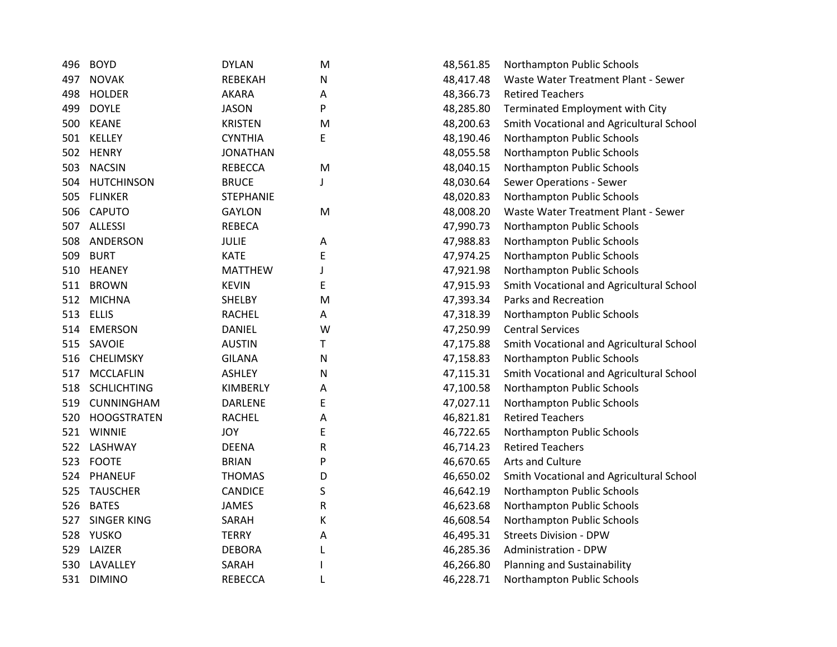| 496 | <b>BOYD</b>        | <b>DYLAN</b>     | M | 48,561.85 | Northampton Public Schools               |
|-----|--------------------|------------------|---|-----------|------------------------------------------|
| 497 | <b>NOVAK</b>       | REBEKAH          | N | 48,417.48 | Waste Water Treatment Plant - Sewer      |
| 498 | <b>HOLDER</b>      | <b>AKARA</b>     | А | 48,366.73 | <b>Retired Teachers</b>                  |
| 499 | <b>DOYLE</b>       | <b>JASON</b>     | P | 48,285.80 | Terminated Employment with City          |
| 500 | <b>KEANE</b>       | <b>KRISTEN</b>   | M | 48,200.63 | Smith Vocational and Agricultural School |
| 501 | KELLEY             | <b>CYNTHIA</b>   | E | 48,190.46 | Northampton Public Schools               |
| 502 | <b>HENRY</b>       | <b>JONATHAN</b>  |   | 48,055.58 | Northampton Public Schools               |
| 503 | <b>NACSIN</b>      | <b>REBECCA</b>   | M | 48,040.15 | Northampton Public Schools               |
| 504 | <b>HUTCHINSON</b>  | <b>BRUCE</b>     | J | 48,030.64 | <b>Sewer Operations - Sewer</b>          |
| 505 | <b>FLINKER</b>     | <b>STEPHANIE</b> |   | 48,020.83 | Northampton Public Schools               |
| 506 | <b>CAPUTO</b>      | <b>GAYLON</b>    | M | 48,008.20 | Waste Water Treatment Plant - Sewer      |
| 507 | <b>ALLESSI</b>     | <b>REBECA</b>    |   | 47,990.73 | Northampton Public Schools               |
| 508 | ANDERSON           | <b>JULIE</b>     | Α | 47,988.83 | Northampton Public Schools               |
| 509 | <b>BURT</b>        | <b>KATE</b>      | E | 47,974.25 | Northampton Public Schools               |
| 510 | <b>HEANEY</b>      | <b>MATTHEW</b>   | J | 47,921.98 | Northampton Public Schools               |
| 511 | <b>BROWN</b>       | <b>KEVIN</b>     | E | 47,915.93 | Smith Vocational and Agricultural School |
| 512 | <b>MICHNA</b>      | <b>SHELBY</b>    | M | 47,393.34 | Parks and Recreation                     |
| 513 | <b>ELLIS</b>       | <b>RACHEL</b>    | А | 47,318.39 | Northampton Public Schools               |
| 514 | <b>EMERSON</b>     | <b>DANIEL</b>    | W | 47,250.99 | <b>Central Services</b>                  |
| 515 | SAVOIE             | <b>AUSTIN</b>    | Т | 47,175.88 | Smith Vocational and Agricultural School |
| 516 | <b>CHELIMSKY</b>   | <b>GILANA</b>    | N | 47,158.83 | Northampton Public Schools               |
| 517 | <b>MCCLAFLIN</b>   | <b>ASHLEY</b>    | N | 47,115.31 | Smith Vocational and Agricultural School |
| 518 | <b>SCHLICHTING</b> | KIMBERLY         | А | 47,100.58 | Northampton Public Schools               |
| 519 | <b>CUNNINGHAM</b>  | <b>DARLENE</b>   | Е | 47,027.11 | Northampton Public Schools               |
| 520 | <b>HOOGSTRATEN</b> | <b>RACHEL</b>    | Α | 46,821.81 | <b>Retired Teachers</b>                  |
| 521 | <b>WINNIE</b>      | <b>JOY</b>       | E | 46,722.65 | Northampton Public Schools               |
| 522 | LASHWAY            | <b>DEENA</b>     | R | 46,714.23 | <b>Retired Teachers</b>                  |
| 523 | <b>FOOTE</b>       | <b>BRIAN</b>     | P | 46,670.65 | Arts and Culture                         |
| 524 | <b>PHANEUF</b>     | <b>THOMAS</b>    | D | 46,650.02 | Smith Vocational and Agricultural School |
| 525 | <b>TAUSCHER</b>    | <b>CANDICE</b>   | S | 46,642.19 | Northampton Public Schools               |
| 526 | <b>BATES</b>       | <b>JAMES</b>     | R | 46,623.68 | Northampton Public Schools               |
| 527 | <b>SINGER KING</b> | SARAH            | К | 46,608.54 | Northampton Public Schools               |
| 528 | YUSKO              | <b>TERRY</b>     | Α | 46,495.31 | <b>Streets Division - DPW</b>            |
| 529 | LAIZER             | <b>DEBORA</b>    | L | 46,285.36 | Administration - DPW                     |
| 530 | LAVALLEY           | SARAH            |   | 46,266.80 | Planning and Sustainability              |
|     | 531 DIMINO         | <b>REBECCA</b>   | L | 46,228.71 | Northampton Public Schools               |
|     |                    |                  |   |           |                                          |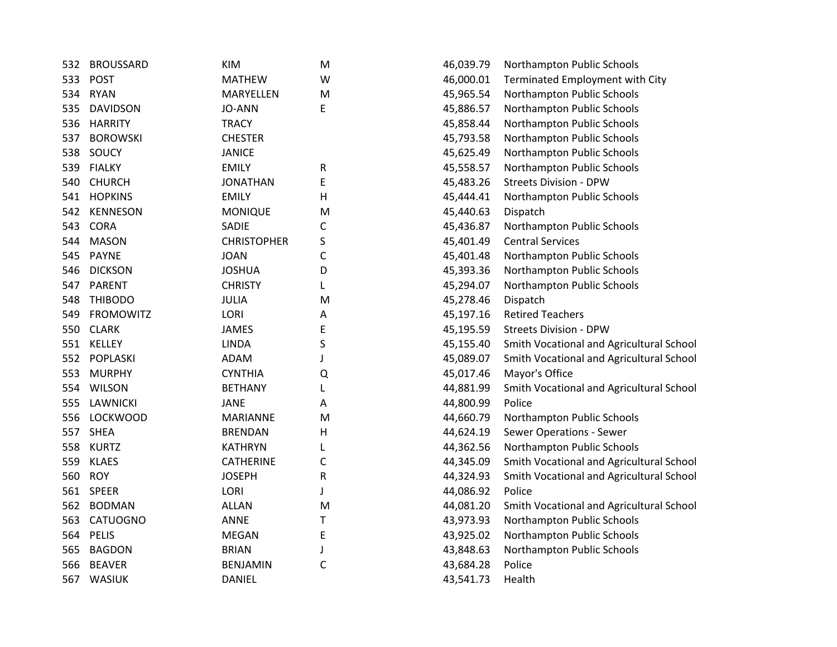| 532 | <b>BROUSSARD</b> | <b>KIM</b>         | M            | 46,039.79 | Northampton Public Schools               |
|-----|------------------|--------------------|--------------|-----------|------------------------------------------|
| 533 | <b>POST</b>      | <b>MATHEW</b>      | W            | 46,000.01 | Terminated Employment with City          |
| 534 | <b>RYAN</b>      | MARYELLEN          | M            | 45,965.54 | Northampton Public Schools               |
| 535 | <b>DAVIDSON</b>  | <b>JO-ANN</b>      | E            | 45,886.57 | Northampton Public Schools               |
| 536 | <b>HARRITY</b>   | <b>TRACY</b>       |              | 45,858.44 | Northampton Public Schools               |
| 537 | <b>BOROWSKI</b>  | <b>CHESTER</b>     |              | 45,793.58 | Northampton Public Schools               |
| 538 | SOUCY            | <b>JANICE</b>      |              | 45,625.49 | Northampton Public Schools               |
| 539 | <b>FIALKY</b>    | <b>EMILY</b>       | R            | 45,558.57 | Northampton Public Schools               |
| 540 | <b>CHURCH</b>    | <b>JONATHAN</b>    | E            | 45,483.26 | <b>Streets Division - DPW</b>            |
| 541 | <b>HOPKINS</b>   | <b>EMILY</b>       | н            | 45,444.41 | Northampton Public Schools               |
| 542 | <b>KENNESON</b>  | <b>MONIQUE</b>     | M            | 45,440.63 | Dispatch                                 |
| 543 | <b>CORA</b>      | SADIE              | С            | 45,436.87 | Northampton Public Schools               |
| 544 | <b>MASON</b>     | <b>CHRISTOPHER</b> | $\sf S$      | 45,401.49 | <b>Central Services</b>                  |
| 545 | <b>PAYNE</b>     | <b>JOAN</b>        | C            | 45,401.48 | Northampton Public Schools               |
| 546 | <b>DICKSON</b>   | <b>JOSHUA</b>      | D            | 45,393.36 | Northampton Public Schools               |
| 547 | <b>PARENT</b>    | <b>CHRISTY</b>     | L            | 45,294.07 | Northampton Public Schools               |
| 548 | <b>THIBODO</b>   | <b>JULIA</b>       | M            | 45,278.46 | Dispatch                                 |
| 549 | <b>FROMOWITZ</b> | LORI               | А            | 45,197.16 | <b>Retired Teachers</b>                  |
| 550 | <b>CLARK</b>     | <b>JAMES</b>       | E            | 45,195.59 | <b>Streets Division - DPW</b>            |
| 551 | KELLEY           | <b>LINDA</b>       | S            | 45,155.40 | Smith Vocational and Agricultural School |
| 552 | POPLASKI         | ADAM               |              | 45,089.07 | Smith Vocational and Agricultural School |
| 553 | <b>MURPHY</b>    | <b>CYNTHIA</b>     | Q            | 45,017.46 | Mayor's Office                           |
| 554 | <b>WILSON</b>    | <b>BETHANY</b>     |              | 44,881.99 | Smith Vocational and Agricultural School |
| 555 | <b>LAWNICKI</b>  | <b>JANE</b>        | А            | 44,800.99 | Police                                   |
| 556 | <b>LOCKWOOD</b>  | <b>MARIANNE</b>    | M            | 44,660.79 | Northampton Public Schools               |
| 557 | <b>SHEA</b>      | <b>BRENDAN</b>     | H            | 44,624.19 | <b>Sewer Operations - Sewer</b>          |
| 558 | <b>KURTZ</b>     | <b>KATHRYN</b>     |              | 44,362.56 | Northampton Public Schools               |
| 559 | <b>KLAES</b>     | <b>CATHERINE</b>   | C            | 44,345.09 | Smith Vocational and Agricultural School |
| 560 | <b>ROY</b>       | <b>JOSEPH</b>      | R            | 44,324.93 | Smith Vocational and Agricultural School |
| 561 | <b>SPEER</b>     | LORI               | J            | 44,086.92 | Police                                   |
| 562 | <b>BODMAN</b>    | <b>ALLAN</b>       | M            | 44,081.20 | Smith Vocational and Agricultural School |
| 563 | CATUOGNO         | <b>ANNE</b>        | т            | 43,973.93 | Northampton Public Schools               |
| 564 | <b>PELIS</b>     | <b>MEGAN</b>       | E            | 43,925.02 | Northampton Public Schools               |
| 565 | <b>BAGDON</b>    | <b>BRIAN</b>       | J            | 43,848.63 | Northampton Public Schools               |
| 566 | <b>BEAVER</b>    | <b>BENJAMIN</b>    | $\mathsf{C}$ | 43,684.28 | Police                                   |
| 567 | WASIUK           | <b>DANIEL</b>      |              | 43,541.73 | Health                                   |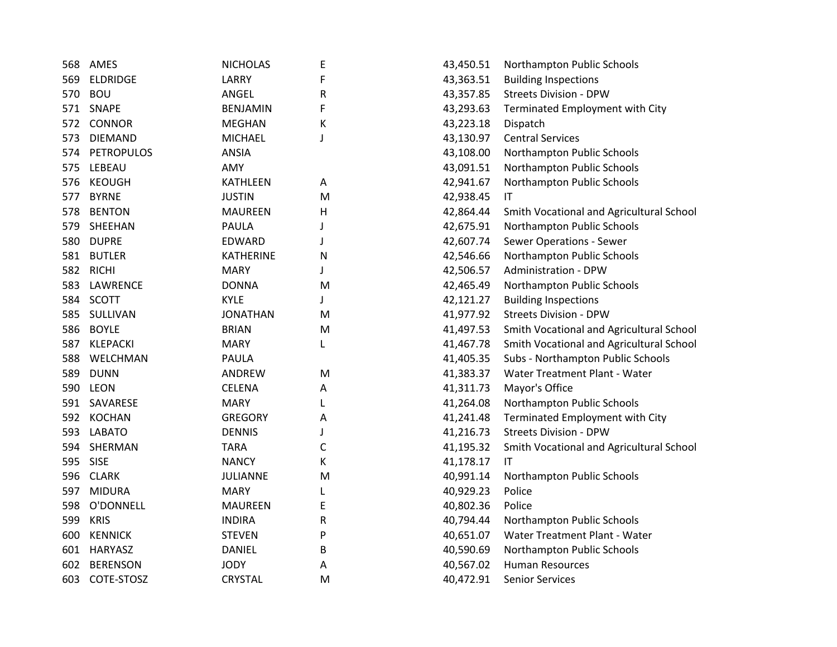| 568 | AMES              | <b>NICHOLAS</b>  | Ε | 43,450.51 | Northampton Public Schools               |
|-----|-------------------|------------------|---|-----------|------------------------------------------|
| 569 | <b>ELDRIDGE</b>   | LARRY            | F | 43,363.51 | <b>Building Inspections</b>              |
| 570 | <b>BOU</b>        | ANGEL            | R | 43,357.85 | <b>Streets Division - DPW</b>            |
|     | 571 SNAPE         | <b>BENJAMIN</b>  | F | 43,293.63 | Terminated Employment with City          |
| 572 | CONNOR            | <b>MEGHAN</b>    | К | 43,223.18 | Dispatch                                 |
| 573 | <b>DIEMAND</b>    | <b>MICHAEL</b>   | J | 43,130.97 | <b>Central Services</b>                  |
| 574 | <b>PETROPULOS</b> | <b>ANSIA</b>     |   | 43,108.00 | Northampton Public Schools               |
| 575 | LEBEAU            | AMY              |   | 43,091.51 | Northampton Public Schools               |
| 576 | <b>KEOUGH</b>     | <b>KATHLEEN</b>  | Α | 42,941.67 | Northampton Public Schools               |
| 577 | <b>BYRNE</b>      | <b>JUSTIN</b>    | M | 42,938.45 | $\mathsf{I}\mathsf{T}$                   |
| 578 | <b>BENTON</b>     | <b>MAUREEN</b>   | Н | 42,864.44 | Smith Vocational and Agricultural School |
| 579 | SHEEHAN           | PAULA            | J | 42,675.91 | Northampton Public Schools               |
| 580 | <b>DUPRE</b>      | EDWARD           | J | 42,607.74 | <b>Sewer Operations - Sewer</b>          |
| 581 | <b>BUTLER</b>     | <b>KATHERINE</b> | N | 42,546.66 | Northampton Public Schools               |
| 582 | <b>RICHI</b>      | <b>MARY</b>      | J | 42,506.57 | <b>Administration - DPW</b>              |
| 583 | <b>LAWRENCE</b>   | <b>DONNA</b>     | M | 42,465.49 | Northampton Public Schools               |
| 584 | SCOTT             | <b>KYLE</b>      | J | 42,121.27 | <b>Building Inspections</b>              |
| 585 | SULLIVAN          | <b>JONATHAN</b>  | M | 41,977.92 | <b>Streets Division - DPW</b>            |
| 586 | <b>BOYLE</b>      | <b>BRIAN</b>     | M | 41,497.53 | Smith Vocational and Agricultural School |
| 587 | <b>KLEPACKI</b>   | <b>MARY</b>      | L | 41,467.78 | Smith Vocational and Agricultural School |
| 588 | WELCHMAN          | PAULA            |   | 41,405.35 | Subs - Northampton Public Schools        |
| 589 | <b>DUNN</b>       | ANDREW           | M | 41,383.37 | Water Treatment Plant - Water            |
| 590 | <b>LEON</b>       | <b>CELENA</b>    | А | 41,311.73 | Mayor's Office                           |
|     | 591 SAVARESE      | <b>MARY</b>      |   | 41,264.08 | Northampton Public Schools               |
| 592 | <b>KOCHAN</b>     | <b>GREGORY</b>   | Α | 41,241.48 | Terminated Employment with City          |
| 593 | <b>LABATO</b>     | <b>DENNIS</b>    | J | 41,216.73 | <b>Streets Division - DPW</b>            |
| 594 | SHERMAN           | <b>TARA</b>      | C | 41,195.32 | Smith Vocational and Agricultural School |
|     | 595 SISE          | <b>NANCY</b>     | K | 41,178.17 | ΙT                                       |
|     | 596 CLARK         | <b>JULIANNE</b>  | M | 40,991.14 | Northampton Public Schools               |
| 597 | <b>MIDURA</b>     | <b>MARY</b>      |   | 40,929.23 | Police                                   |
| 598 | O'DONNELL         | <b>MAUREEN</b>   | E | 40,802.36 | Police                                   |
| 599 | <b>KRIS</b>       | <b>INDIRA</b>    | R | 40,794.44 | Northampton Public Schools               |
| 600 | <b>KENNICK</b>    | <b>STEVEN</b>    | P | 40,651.07 | Water Treatment Plant - Water            |
| 601 | HARYASZ           | <b>DANIEL</b>    | В | 40,590.69 | Northampton Public Schools               |
| 602 | <b>BERENSON</b>   | <b>JODY</b>      | Α | 40,567.02 | <b>Human Resources</b>                   |
| 603 | COTE-STOSZ        | <b>CRYSTAL</b>   | М | 40,472.91 | <b>Senior Services</b>                   |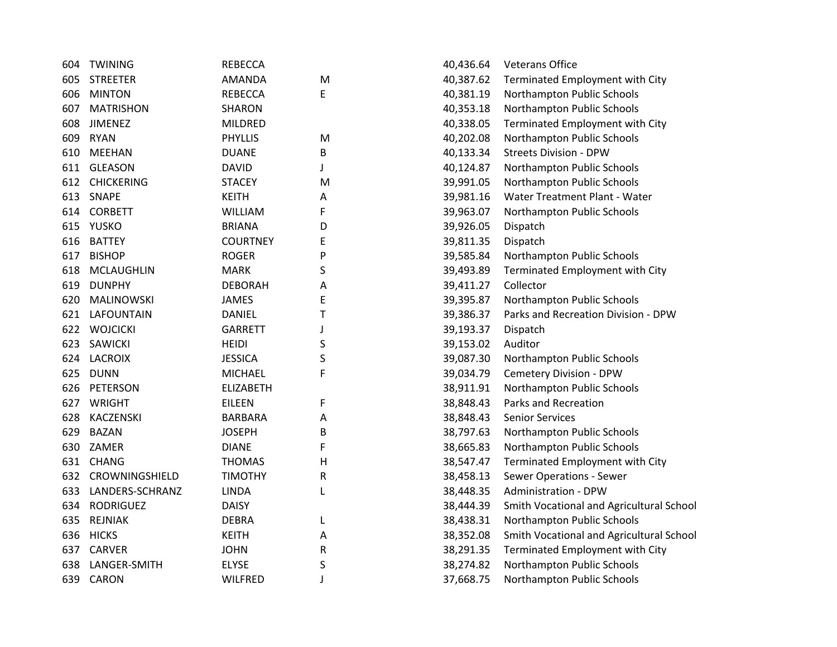| 604 | <b>TWINING</b>    | <b>REBECCA</b>   |   | 40,436.64 | <b>Veterans Office</b>                   |
|-----|-------------------|------------------|---|-----------|------------------------------------------|
| 605 | <b>STREETER</b>   | <b>AMANDA</b>    | M | 40,387.62 | Terminated Employment with City          |
| 606 | <b>MINTON</b>     | <b>REBECCA</b>   | Ε | 40,381.19 | Northampton Public Schools               |
| 607 | <b>MATRISHON</b>  | <b>SHARON</b>    |   | 40,353.18 | Northampton Public Schools               |
| 608 | <b>JIMENEZ</b>    | MILDRED          |   | 40,338.05 | Terminated Employment with City          |
| 609 | <b>RYAN</b>       | <b>PHYLLIS</b>   | M | 40,202.08 | Northampton Public Schools               |
| 610 | <b>MEEHAN</b>     | <b>DUANE</b>     | B | 40,133.34 | <b>Streets Division - DPW</b>            |
| 611 | <b>GLEASON</b>    | <b>DAVID</b>     |   | 40,124.87 | Northampton Public Schools               |
| 612 | <b>CHICKERING</b> | <b>STACEY</b>    | M | 39,991.05 | Northampton Public Schools               |
| 613 | <b>SNAPE</b>      | <b>KEITH</b>     | А | 39,981.16 | Water Treatment Plant - Water            |
| 614 | <b>CORBETT</b>    | <b>WILLIAM</b>   | F | 39,963.07 | Northampton Public Schools               |
| 615 | <b>YUSKO</b>      | <b>BRIANA</b>    | D | 39,926.05 | Dispatch                                 |
| 616 | <b>BATTEY</b>     | <b>COURTNEY</b>  | Ε | 39,811.35 | Dispatch                                 |
| 617 | <b>BISHOP</b>     | <b>ROGER</b>     | P | 39,585.84 | Northampton Public Schools               |
| 618 | <b>MCLAUGHLIN</b> | <b>MARK</b>      | S | 39,493.89 | Terminated Employment with City          |
| 619 | <b>DUNPHY</b>     | <b>DEBORAH</b>   | А | 39,411.27 | Collector                                |
| 620 | <b>MALINOWSKI</b> | <b>JAMES</b>     | Ε | 39,395.87 | Northampton Public Schools               |
| 621 | LAFOUNTAIN        | <b>DANIEL</b>    | Т | 39,386.37 | Parks and Recreation Division - DPW      |
| 622 | <b>WOJCICKI</b>   | <b>GARRETT</b>   |   | 39,193.37 | Dispatch                                 |
| 623 | <b>SAWICKI</b>    | <b>HEIDI</b>     | S | 39,153.02 | Auditor                                  |
| 624 | <b>LACROIX</b>    | <b>JESSICA</b>   | S | 39,087.30 | Northampton Public Schools               |
| 625 | <b>DUNN</b>       | <b>MICHAEL</b>   | F | 39,034.79 | <b>Cemetery Division - DPW</b>           |
| 626 | <b>PETERSON</b>   | <b>ELIZABETH</b> |   | 38,911.91 | Northampton Public Schools               |
| 627 | WRIGHT            | <b>EILEEN</b>    | F | 38,848.43 | Parks and Recreation                     |
| 628 | KACZENSKI         | <b>BARBARA</b>   | Α | 38,848.43 | <b>Senior Services</b>                   |
| 629 | <b>BAZAN</b>      | <b>JOSEPH</b>    | B | 38,797.63 | Northampton Public Schools               |
| 630 | ZAMER             | <b>DIANE</b>     | F | 38,665.83 | Northampton Public Schools               |
| 631 | <b>CHANG</b>      | <b>THOMAS</b>    | H | 38,547.47 | Terminated Employment with City          |
| 632 | CROWNINGSHIELD    | <b>TIMOTHY</b>   | R | 38,458.13 | Sewer Operations - Sewer                 |
| 633 | LANDERS-SCHRANZ   | <b>LINDA</b>     | L | 38,448.35 | <b>Administration - DPW</b>              |
| 634 | <b>RODRIGUEZ</b>  | <b>DAISY</b>     |   | 38,444.39 | Smith Vocational and Agricultural School |
| 635 | <b>REJNIAK</b>    | <b>DEBRA</b>     | L | 38,438.31 | Northampton Public Schools               |
| 636 | <b>HICKS</b>      | <b>KEITH</b>     | Α | 38,352.08 | Smith Vocational and Agricultural School |
| 637 | <b>CARVER</b>     | <b>JOHN</b>      | R | 38,291.35 | Terminated Employment with City          |
| 638 | LANGER-SMITH      | <b>ELYSE</b>     | S | 38,274.82 | Northampton Public Schools               |
| 639 | <b>CARON</b>      | <b>WILFRED</b>   | J | 37,668.75 | Northampton Public Schools               |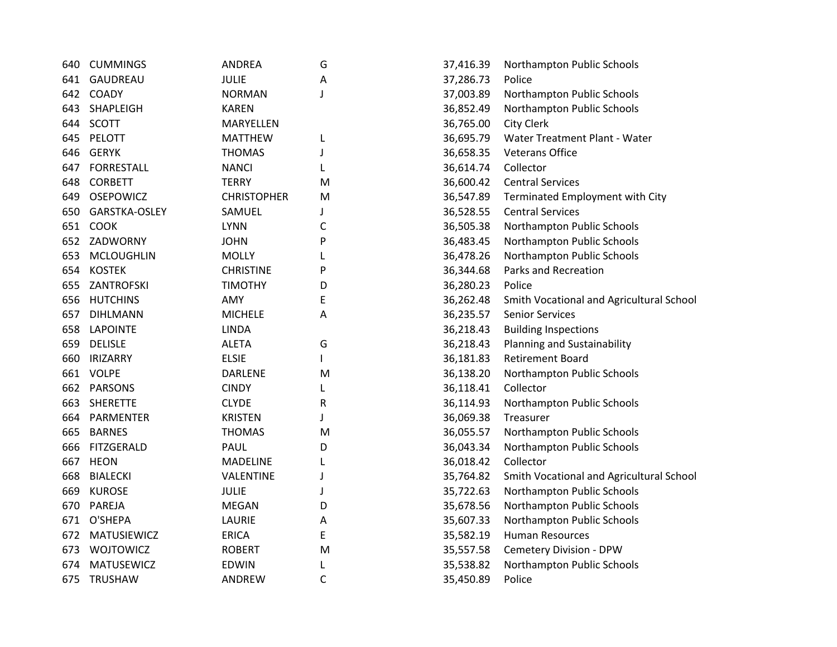| 640  | <b>CUMMINGS</b>    | <b>ANDREA</b>      | G | 37,416.39 | Northampton Public Schools               |
|------|--------------------|--------------------|---|-----------|------------------------------------------|
| 641  | GAUDREAU           | <b>JULIE</b>       | A | 37,286.73 | Police                                   |
|      | 642 COADY          | <b>NORMAN</b>      | J | 37,003.89 | Northampton Public Schools               |
| 643. | SHAPLEIGH          | <b>KAREN</b>       |   | 36,852.49 | Northampton Public Schools               |
| 644  | <b>SCOTT</b>       | MARYELLEN          |   | 36,765.00 | <b>City Clerk</b>                        |
|      | 645 PELOTT         | <b>MATTHEW</b>     | L | 36,695.79 | Water Treatment Plant - Water            |
| 646  | <b>GERYK</b>       | <b>THOMAS</b>      | J | 36,658.35 | <b>Veterans Office</b>                   |
| 647  | <b>FORRESTALL</b>  | <b>NANCI</b>       | L | 36,614.74 | Collector                                |
| 648  | <b>CORBETT</b>     | <b>TERRY</b>       | M | 36,600.42 | <b>Central Services</b>                  |
| 649. | <b>OSEPOWICZ</b>   | <b>CHRISTOPHER</b> | M | 36,547.89 | Terminated Employment with City          |
| 650  | GARSTKA-OSLEY      | SAMUEL             |   | 36,528.55 | <b>Central Services</b>                  |
| 651  | <b>COOK</b>        | <b>LYNN</b>        | С | 36,505.38 | Northampton Public Schools               |
| 652  | ZADWORNY           | <b>JOHN</b>        | P | 36,483.45 | Northampton Public Schools               |
| 653  | <b>MCLOUGHLIN</b>  | <b>MOLLY</b>       |   | 36,478.26 | Northampton Public Schools               |
| 654  | <b>KOSTEK</b>      | <b>CHRISTINE</b>   | P | 36,344.68 | Parks and Recreation                     |
| 655  | ZANTROFSKI         | <b>TIMOTHY</b>     | D | 36,280.23 | Police                                   |
| 656  | <b>HUTCHINS</b>    | AMY                | E | 36,262.48 | Smith Vocational and Agricultural School |
|      | 657 DIHLMANN       | <b>MICHELE</b>     | Α | 36,235.57 | <b>Senior Services</b>                   |
| 658  | <b>LAPOINTE</b>    | <b>LINDA</b>       |   | 36,218.43 | <b>Building Inspections</b>              |
| 659  | <b>DELISLE</b>     | <b>ALETA</b>       | G | 36,218.43 | Planning and Sustainability              |
| 660  | <b>IRIZARRY</b>    | <b>ELSIE</b>       |   | 36,181.83 | <b>Retirement Board</b>                  |
|      | 661 VOLPE          | <b>DARLENE</b>     | M | 36,138.20 | Northampton Public Schools               |
|      | 662 PARSONS        | <b>CINDY</b>       |   | 36,118.41 | Collector                                |
| 663  | <b>SHERETTE</b>    | <b>CLYDE</b>       | R | 36,114.93 | Northampton Public Schools               |
| 664  | PARMENTER          | <b>KRISTEN</b>     |   | 36,069.38 | Treasurer                                |
| 665  | <b>BARNES</b>      | <b>THOMAS</b>      | M | 36,055.57 | Northampton Public Schools               |
| 666  | FITZGERALD         | PAUL               | D | 36,043.34 | Northampton Public Schools               |
| 667  | <b>HEON</b>        | <b>MADELINE</b>    |   | 36,018.42 | Collector                                |
| 668  | <b>BIALECKI</b>    | VALENTINE          | J | 35,764.82 | Smith Vocational and Agricultural School |
| 669  | <b>KUROSE</b>      | <b>JULIE</b>       |   | 35,722.63 | Northampton Public Schools               |
| 670  | PAREJA             | <b>MEGAN</b>       | D | 35,678.56 | Northampton Public Schools               |
| 671  | O'SHEPA            | LAURIE             | Α | 35,607.33 | Northampton Public Schools               |
| 672. | <b>MATUSIEWICZ</b> | <b>ERICA</b>       | E | 35,582.19 | <b>Human Resources</b>                   |
| 673  | WOJTOWICZ          | <b>ROBERT</b>      | M | 35,557.58 | Cemetery Division - DPW                  |
| 674  | <b>MATUSEWICZ</b>  | <b>EDWIN</b>       | L | 35,538.82 | Northampton Public Schools               |
| 675  | TRUSHAW            | <b>ANDREW</b>      | C | 35,450.89 | Police                                   |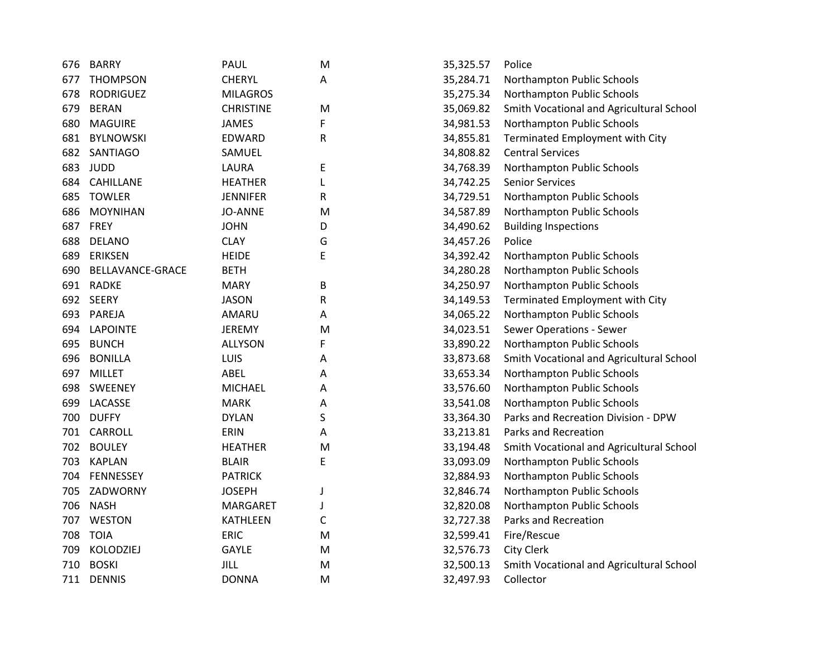| 676 | <b>BARRY</b>     | PAUL             | M | 35,325.57 | Police                                   |
|-----|------------------|------------------|---|-----------|------------------------------------------|
| 677 | <b>THOMPSON</b>  | <b>CHERYL</b>    | A | 35,284.71 | Northampton Public Schools               |
| 678 | <b>RODRIGUEZ</b> | <b>MILAGROS</b>  |   | 35,275.34 | Northampton Public Schools               |
| 679 | <b>BERAN</b>     | <b>CHRISTINE</b> | M | 35,069.82 | Smith Vocational and Agricultural School |
| 680 | <b>MAGUIRE</b>   | <b>JAMES</b>     | F | 34,981.53 | Northampton Public Schools               |
| 681 | <b>BYLNOWSKI</b> | EDWARD           | R | 34,855.81 | Terminated Employment with City          |
| 682 | <b>SANTIAGO</b>  | SAMUEL           |   | 34,808.82 | <b>Central Services</b>                  |
| 683 | <b>JUDD</b>      | LAURA            | E | 34,768.39 | Northampton Public Schools               |
| 684 | <b>CAHILLANE</b> | <b>HEATHER</b>   | L | 34,742.25 | <b>Senior Services</b>                   |
| 685 | <b>TOWLER</b>    | <b>JENNIFER</b>  | R | 34,729.51 | Northampton Public Schools               |
| 686 | <b>MOYNIHAN</b>  | <b>JO-ANNE</b>   | M | 34,587.89 | Northampton Public Schools               |
| 687 | FREY             | <b>JOHN</b>      | D | 34,490.62 | <b>Building Inspections</b>              |
| 688 | <b>DELANO</b>    | <b>CLAY</b>      | G | 34,457.26 | Police                                   |
| 689 | <b>ERIKSEN</b>   | <b>HEIDE</b>     | E | 34,392.42 | Northampton Public Schools               |
| 690 | BELLAVANCE-GRACE | <b>BETH</b>      |   | 34,280.28 | Northampton Public Schools               |
|     | 691 RADKE        | <b>MARY</b>      | В | 34,250.97 | Northampton Public Schools               |
| 692 | <b>SEERY</b>     | <b>JASON</b>     | R | 34,149.53 | Terminated Employment with City          |
|     | 693 PAREJA       | AMARU            | А | 34,065.22 | Northampton Public Schools               |
| 694 | <b>LAPOINTE</b>  | <b>JEREMY</b>    | M | 34,023.51 | <b>Sewer Operations - Sewer</b>          |
| 695 | <b>BUNCH</b>     | <b>ALLYSON</b>   | F | 33,890.22 | Northampton Public Schools               |
| 696 | <b>BONILLA</b>   | LUIS             | Α | 33,873.68 | Smith Vocational and Agricultural School |
| 697 | <b>MILLET</b>    | ABEL             | A | 33,653.34 | Northampton Public Schools               |
| 698 | SWEENEY          | <b>MICHAEL</b>   | A | 33,576.60 | Northampton Public Schools               |
| 699 | LACASSE          | <b>MARK</b>      | A | 33,541.08 | Northampton Public Schools               |
| 700 | <b>DUFFY</b>     | <b>DYLAN</b>     | S | 33,364.30 | Parks and Recreation Division - DPW      |
| 701 | <b>CARROLL</b>   | ERIN             | А | 33,213.81 | Parks and Recreation                     |
| 702 | <b>BOULEY</b>    | <b>HEATHER</b>   | M | 33,194.48 | Smith Vocational and Agricultural School |
| 703 | <b>KAPLAN</b>    | <b>BLAIR</b>     | Ε | 33,093.09 | Northampton Public Schools               |
| 704 | <b>FENNESSEY</b> | <b>PATRICK</b>   |   | 32,884.93 | Northampton Public Schools               |
| 705 | ZADWORNY         | <b>JOSEPH</b>    | J | 32,846.74 | Northampton Public Schools               |
| 706 | <b>NASH</b>      | <b>MARGARET</b>  | J | 32,820.08 | Northampton Public Schools               |
| 707 | <b>WESTON</b>    | <b>KATHLEEN</b>  | С | 32,727.38 | Parks and Recreation                     |
| 708 | <b>TOIA</b>      | <b>ERIC</b>      | M | 32,599.41 | Fire/Rescue                              |
| 709 | <b>KOLODZIEJ</b> | <b>GAYLE</b>     | M | 32,576.73 | <b>City Clerk</b>                        |
| 710 | <b>BOSKI</b>     | <b>JILL</b>      | M | 32,500.13 | Smith Vocational and Agricultural School |
| 711 | <b>DENNIS</b>    | <b>DONNA</b>     | M | 32,497.93 | Collector                                |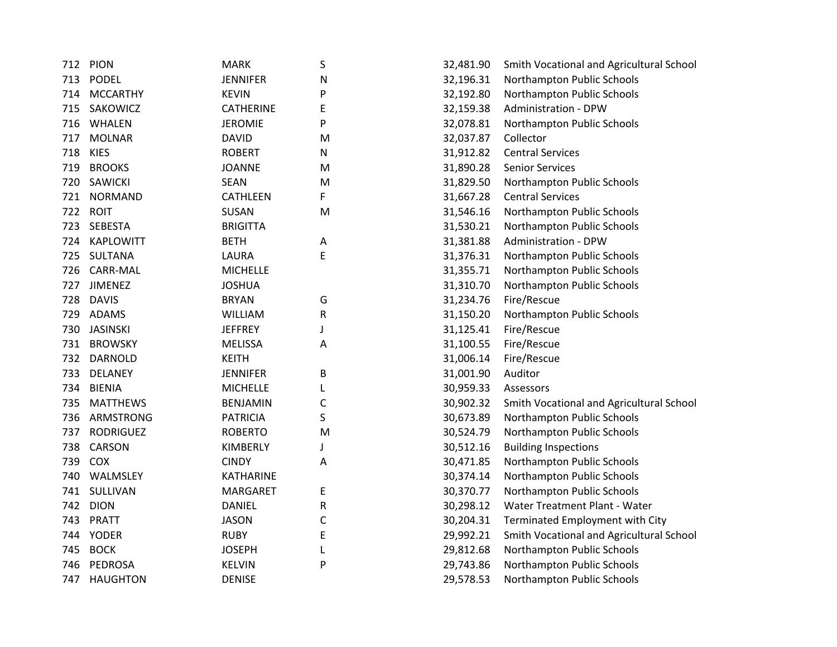| 712 | PION             | <b>MARK</b>      | S         | 32,481.90 | Smith Vocational and Agricultural School |
|-----|------------------|------------------|-----------|-----------|------------------------------------------|
| 713 | <b>PODEL</b>     | <b>JENNIFER</b>  | N         | 32,196.31 | Northampton Public Schools               |
| 714 | <b>MCCARTHY</b>  | <b>KEVIN</b>     | P         | 32,192.80 | Northampton Public Schools               |
| 715 | SAKOWICZ         | <b>CATHERINE</b> | E         | 32,159.38 | <b>Administration - DPW</b>              |
| 716 | <b>WHALEN</b>    | <b>JEROMIE</b>   | P         | 32,078.81 | Northampton Public Schools               |
| 717 | <b>MOLNAR</b>    | <b>DAVID</b>     | M         | 32,037.87 | Collector                                |
| 718 | <b>KIES</b>      | <b>ROBERT</b>    | N         | 31,912.82 | <b>Central Services</b>                  |
| 719 | <b>BROOKS</b>    | <b>JOANNE</b>    | ${\sf M}$ | 31,890.28 | <b>Senior Services</b>                   |
| 720 | <b>SAWICKI</b>   | <b>SEAN</b>      | M         | 31,829.50 | Northampton Public Schools               |
| 721 | <b>NORMAND</b>   | <b>CATHLEEN</b>  | F         | 31,667.28 | <b>Central Services</b>                  |
| 722 | <b>ROIT</b>      | <b>SUSAN</b>     | M         | 31,546.16 | Northampton Public Schools               |
| 723 | <b>SEBESTA</b>   | <b>BRIGITTA</b>  |           | 31,530.21 | Northampton Public Schools               |
| 724 | <b>KAPLOWITT</b> | <b>BETH</b>      | Α         | 31,381.88 | <b>Administration - DPW</b>              |
| 725 | SULTANA          | LAURA            | E         | 31,376.31 | Northampton Public Schools               |
| 726 | <b>CARR-MAL</b>  | <b>MICHELLE</b>  |           | 31,355.71 | Northampton Public Schools               |
| 727 | <b>JIMENEZ</b>   | <b>JOSHUA</b>    |           | 31,310.70 | Northampton Public Schools               |
| 728 | <b>DAVIS</b>     | <b>BRYAN</b>     | G         | 31,234.76 | Fire/Rescue                              |
| 729 | <b>ADAMS</b>     | WILLIAM          | ${\sf R}$ | 31,150.20 | Northampton Public Schools               |
| 730 | <b>JASINSKI</b>  | <b>JEFFREY</b>   | J         | 31,125.41 | Fire/Rescue                              |
| 731 | <b>BROWSKY</b>   | <b>MELISSA</b>   | Α         | 31,100.55 | Fire/Rescue                              |
| 732 | <b>DARNOLD</b>   | <b>KEITH</b>     |           | 31,006.14 | Fire/Rescue                              |
| 733 | <b>DELANEY</b>   | <b>JENNIFER</b>  | B         | 31,001.90 | Auditor                                  |
| 734 | <b>BIENIA</b>    | <b>MICHELLE</b>  | L         | 30,959.33 | Assessors                                |
| 735 | <b>MATTHEWS</b>  | <b>BENJAMIN</b>  | C         | 30,902.32 | Smith Vocational and Agricultural School |
| 736 | ARMSTRONG        | <b>PATRICIA</b>  | S         | 30,673.89 | Northampton Public Schools               |
| 737 | <b>RODRIGUEZ</b> | <b>ROBERTO</b>   | M         | 30,524.79 | Northampton Public Schools               |
| 738 | <b>CARSON</b>    | KIMBERLY         | J         | 30,512.16 | <b>Building Inspections</b>              |
| 739 | COX              | <b>CINDY</b>     | Α         | 30,471.85 | Northampton Public Schools               |
| 740 | WALMSLEY         | <b>KATHARINE</b> |           | 30,374.14 | Northampton Public Schools               |
| 741 | SULLIVAN         | <b>MARGARET</b>  | E         | 30,370.77 | Northampton Public Schools               |
| 742 | <b>DION</b>      | <b>DANIEL</b>    | R         | 30,298.12 | Water Treatment Plant - Water            |
| 743 | PRATT            | <b>JASON</b>     | C         | 30,204.31 | Terminated Employment with City          |
| 744 | <b>YODER</b>     | <b>RUBY</b>      | E         | 29,992.21 | Smith Vocational and Agricultural School |
| 745 | <b>BOCK</b>      | <b>JOSEPH</b>    | L         | 29,812.68 | Northampton Public Schools               |
| 746 | PEDROSA          | <b>KELVIN</b>    | P         | 29,743.86 | Northampton Public Schools               |
| 747 | <b>HAUGHTON</b>  | <b>DENISE</b>    |           | 29,578.53 | Northampton Public Schools               |
|     |                  |                  |           |           |                                          |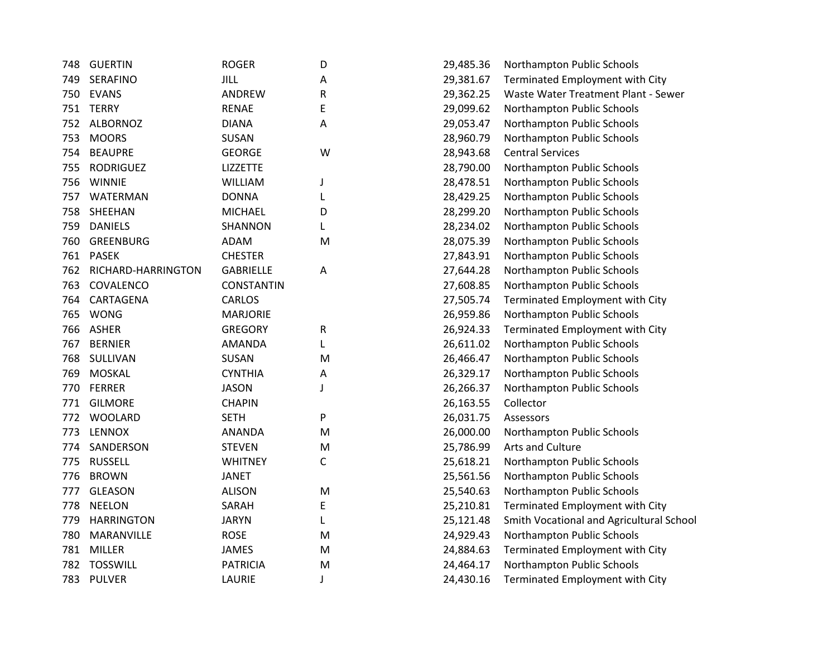| 748 | <b>GUERTIN</b>     | <b>ROGER</b>      | D           | 29,485.36 | Northampton Public Schools               |
|-----|--------------------|-------------------|-------------|-----------|------------------------------------------|
| 749 | <b>SERAFINO</b>    | <b>JILL</b>       | Α           | 29,381.67 | Terminated Employment with City          |
| 750 | <b>EVANS</b>       | ANDREW            | R           | 29,362.25 | Waste Water Treatment Plant - Sewer      |
| 751 | <b>TERRY</b>       | <b>RENAE</b>      | E           | 29,099.62 | Northampton Public Schools               |
| 752 | <b>ALBORNOZ</b>    | <b>DIANA</b>      | A           | 29,053.47 | Northampton Public Schools               |
| 753 | <b>MOORS</b>       | SUSAN             |             | 28,960.79 | Northampton Public Schools               |
| 754 | <b>BEAUPRE</b>     | <b>GEORGE</b>     | W           | 28,943.68 | <b>Central Services</b>                  |
| 755 | <b>RODRIGUEZ</b>   | <b>LIZZETTE</b>   |             | 28,790.00 | Northampton Public Schools               |
| 756 | <b>WINNIE</b>      | <b>WILLIAM</b>    | J           | 28,478.51 | Northampton Public Schools               |
| 757 | WATERMAN           | <b>DONNA</b>      | L           | 28,429.25 | Northampton Public Schools               |
| 758 | SHEEHAN            | <b>MICHAEL</b>    | D           | 28,299.20 | Northampton Public Schools               |
| 759 | <b>DANIELS</b>     | <b>SHANNON</b>    | L           | 28,234.02 | Northampton Public Schools               |
| 760 | <b>GREENBURG</b>   | <b>ADAM</b>       | M           | 28,075.39 | Northampton Public Schools               |
| 761 | <b>PASEK</b>       | <b>CHESTER</b>    |             | 27,843.91 | Northampton Public Schools               |
| 762 | RICHARD-HARRINGTON | <b>GABRIELLE</b>  | A           | 27,644.28 | Northampton Public Schools               |
| 763 | COVALENCO          | <b>CONSTANTIN</b> |             | 27,608.85 | Northampton Public Schools               |
| 764 | CARTAGENA          | CARLOS            |             | 27,505.74 | Terminated Employment with City          |
| 765 | <b>WONG</b>        | <b>MARJORIE</b>   |             | 26,959.86 | Northampton Public Schools               |
| 766 | <b>ASHER</b>       | <b>GREGORY</b>    | R           | 26,924.33 | Terminated Employment with City          |
| 767 | <b>BERNIER</b>     | <b>AMANDA</b>     | L           | 26,611.02 | Northampton Public Schools               |
| 768 | SULLIVAN           | <b>SUSAN</b>      | M           | 26,466.47 | Northampton Public Schools               |
| 769 | <b>MOSKAL</b>      | <b>CYNTHIA</b>    | A           | 26,329.17 | Northampton Public Schools               |
| 770 | <b>FERRER</b>      | <b>JASON</b>      | J           | 26,266.37 | Northampton Public Schools               |
| 771 | <b>GILMORE</b>     | <b>CHAPIN</b>     |             | 26,163.55 | Collector                                |
| 772 | <b>WOOLARD</b>     | <b>SETH</b>       | P           | 26,031.75 | Assessors                                |
| 773 | <b>LENNOX</b>      | <b>ANANDA</b>     | M           | 26,000.00 | Northampton Public Schools               |
| 774 | SANDERSON          | <b>STEVEN</b>     | ${\sf M}$   | 25,786.99 | Arts and Culture                         |
| 775 | <b>RUSSELL</b>     | <b>WHITNEY</b>    | $\mathsf C$ | 25,618.21 | Northampton Public Schools               |
| 776 | <b>BROWN</b>       | <b>JANET</b>      |             | 25,561.56 | Northampton Public Schools               |
| 777 | <b>GLEASON</b>     | <b>ALISON</b>     | M           | 25,540.63 | Northampton Public Schools               |
| 778 | <b>NEELON</b>      | SARAH             | E           | 25,210.81 | Terminated Employment with City          |
| 779 | <b>HARRINGTON</b>  | <b>JARYN</b>      | L           | 25,121.48 | Smith Vocational and Agricultural School |
| 780 | MARANVILLE         | <b>ROSE</b>       | M           | 24,929.43 | Northampton Public Schools               |
| 781 | <b>MILLER</b>      | <b>JAMES</b>      | M           | 24,884.63 | Terminated Employment with City          |
| 782 | <b>TOSSWILL</b>    | <b>PATRICIA</b>   | M           | 24,464.17 | Northampton Public Schools               |
|     | 783 PULVER         | LAURIE            | J           | 24,430.16 | Terminated Employment with City          |
|     |                    |                   |             |           |                                          |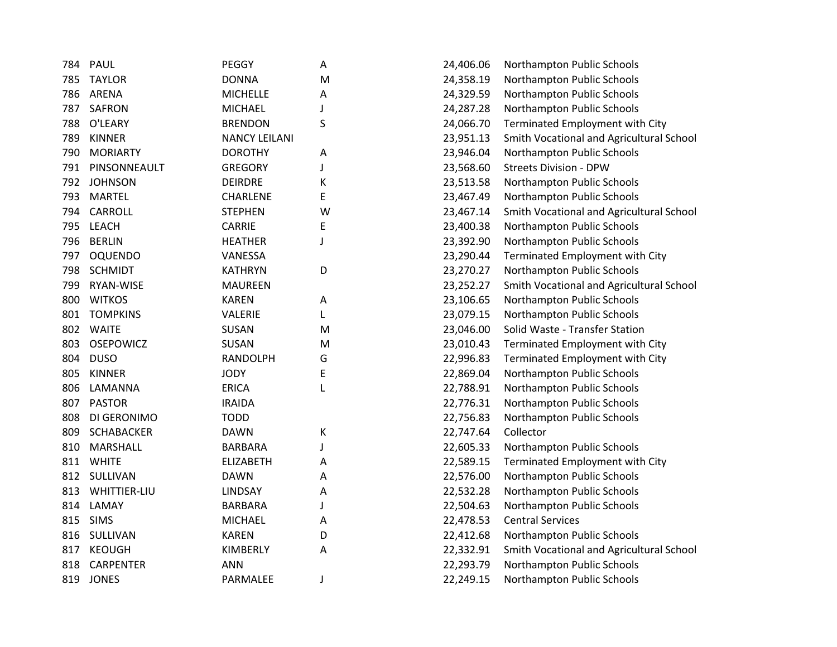|     | PAUL                | <b>PEGGY</b>         |           |           |                                          |
|-----|---------------------|----------------------|-----------|-----------|------------------------------------------|
| 784 |                     |                      | Α         | 24,406.06 | Northampton Public Schools               |
| 785 | <b>TAYLOR</b>       | <b>DONNA</b>         | ${\sf M}$ | 24,358.19 | Northampton Public Schools               |
| 786 | ARENA               | <b>MICHELLE</b>      | Α         | 24,329.59 | Northampton Public Schools               |
| 787 | <b>SAFRON</b>       | <b>MICHAEL</b>       |           | 24,287.28 | Northampton Public Schools               |
| 788 | O'LEARY             | <b>BRENDON</b>       | S         | 24,066.70 | Terminated Employment with City          |
| 789 | <b>KINNER</b>       | <b>NANCY LEILANI</b> |           | 23,951.13 | Smith Vocational and Agricultural School |
| 790 | <b>MORIARTY</b>     | <b>DOROTHY</b>       | A         | 23,946.04 | Northampton Public Schools               |
| 791 | PINSONNEAULT        | <b>GREGORY</b>       |           | 23,568.60 | <b>Streets Division - DPW</b>            |
| 792 | <b>JOHNSON</b>      | <b>DEIRDRE</b>       | К         | 23,513.58 | Northampton Public Schools               |
| 793 | <b>MARTEL</b>       | <b>CHARLENE</b>      | E         | 23,467.49 | Northampton Public Schools               |
| 794 | CARROLL             | <b>STEPHEN</b>       | W         | 23,467.14 | Smith Vocational and Agricultural School |
| 795 | <b>LEACH</b>        | <b>CARRIE</b>        | E         | 23,400.38 | Northampton Public Schools               |
| 796 | <b>BERLIN</b>       | <b>HEATHER</b>       | J         | 23,392.90 | Northampton Public Schools               |
| 797 | <b>OQUENDO</b>      | VANESSA              |           | 23,290.44 | Terminated Employment with City          |
| 798 | <b>SCHMIDT</b>      | <b>KATHRYN</b>       | D         | 23,270.27 | Northampton Public Schools               |
| 799 | <b>RYAN-WISE</b>    | <b>MAUREEN</b>       |           | 23,252.27 | Smith Vocational and Agricultural School |
| 800 | <b>WITKOS</b>       | <b>KAREN</b>         | Α         | 23,106.65 | Northampton Public Schools               |
| 801 | <b>TOMPKINS</b>     | VALERIE              | L         | 23,079.15 | Northampton Public Schools               |
| 802 | <b>WAITE</b>        | <b>SUSAN</b>         | M         | 23,046.00 | Solid Waste - Transfer Station           |
| 803 | <b>OSEPOWICZ</b>    | SUSAN                | M         | 23,010.43 | Terminated Employment with City          |
| 804 | <b>DUSO</b>         | <b>RANDOLPH</b>      | G         | 22,996.83 | Terminated Employment with City          |
| 805 | <b>KINNER</b>       | <b>JODY</b>          | E         | 22,869.04 | Northampton Public Schools               |
| 806 | LAMANNA             | <b>ERICA</b>         | L         | 22,788.91 | Northampton Public Schools               |
| 807 | <b>PASTOR</b>       | <b>IRAIDA</b>        |           | 22,776.31 | Northampton Public Schools               |
| 808 | DI GERONIMO         | <b>TODD</b>          |           | 22,756.83 | Northampton Public Schools               |
| 809 | <b>SCHABACKER</b>   | <b>DAWN</b>          | К         | 22,747.64 | Collector                                |
| 810 | <b>MARSHALL</b>     | <b>BARBARA</b>       | J         | 22,605.33 | Northampton Public Schools               |
| 811 | <b>WHITE</b>        | <b>ELIZABETH</b>     | A         | 22,589.15 | Terminated Employment with City          |
| 812 | SULLIVAN            | <b>DAWN</b>          | А         | 22,576.00 | Northampton Public Schools               |
| 813 | <b>WHITTIER-LIU</b> | <b>LINDSAY</b>       | Α         | 22,532.28 | Northampton Public Schools               |
| 814 | LAMAY               | <b>BARBARA</b>       | J         | 22,504.63 | Northampton Public Schools               |
| 815 | <b>SIMS</b>         | <b>MICHAEL</b>       | Α         | 22,478.53 | <b>Central Services</b>                  |
| 816 | SULLIVAN            | <b>KAREN</b>         | D         | 22,412.68 | Northampton Public Schools               |
|     |                     |                      |           |           |                                          |
| 817 | <b>KEOUGH</b>       | KIMBERLY             | А         | 22,332.91 | Smith Vocational and Agricultural School |
| 818 | <b>CARPENTER</b>    | <b>ANN</b>           |           | 22,293.79 | Northampton Public Schools               |
| 819 | <b>JONES</b>        | PARMALEE             | J         | 22,249.15 | Northampton Public Schools               |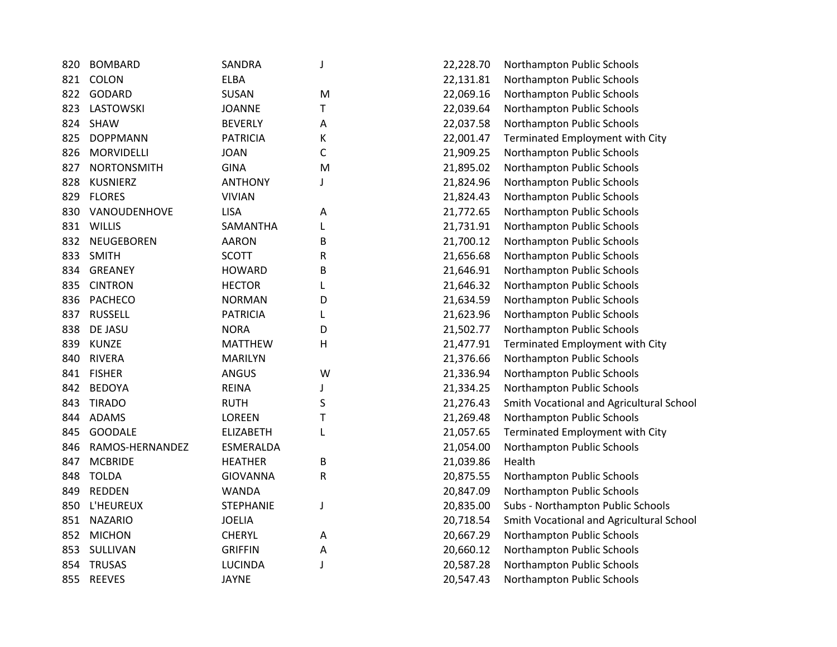| 820 | <b>BOMBARD</b>     | <b>SANDRA</b>    | J | 22,228.70 | Northampton Public Schools               |
|-----|--------------------|------------------|---|-----------|------------------------------------------|
| 821 | COLON              | <b>ELBA</b>      |   | 22,131.81 | Northampton Public Schools               |
| 822 | GODARD             | SUSAN            | M | 22,069.16 | Northampton Public Schools               |
| 823 | LASTOWSKI          | <b>JOANNE</b>    | T | 22,039.64 | Northampton Public Schools               |
| 824 | <b>SHAW</b>        | <b>BEVERLY</b>   | Α | 22,037.58 | Northampton Public Schools               |
| 825 | <b>DOPPMANN</b>    | <b>PATRICIA</b>  | K | 22,001.47 | Terminated Employment with City          |
| 826 | <b>MORVIDELLI</b>  | <b>JOAN</b>      | C | 21,909.25 | Northampton Public Schools               |
| 827 | <b>NORTONSMITH</b> | <b>GINA</b>      | M | 21,895.02 | Northampton Public Schools               |
| 828 | <b>KUSNIERZ</b>    | <b>ANTHONY</b>   | J | 21,824.96 | Northampton Public Schools               |
| 829 | <b>FLORES</b>      | <b>VIVIAN</b>    |   | 21,824.43 | Northampton Public Schools               |
| 830 | VANOUDENHOVE       | <b>LISA</b>      | A | 21,772.65 | Northampton Public Schools               |
| 831 | WILLIS             | SAMANTHA         | L | 21,731.91 | Northampton Public Schools               |
| 832 | NEUGEBOREN         | <b>AARON</b>     | B | 21,700.12 | Northampton Public Schools               |
| 833 | <b>SMITH</b>       | <b>SCOTT</b>     | R | 21,656.68 | Northampton Public Schools               |
| 834 | <b>GREANEY</b>     | <b>HOWARD</b>    | B | 21,646.91 | Northampton Public Schools               |
| 835 | <b>CINTRON</b>     | <b>HECTOR</b>    | L | 21,646.32 | Northampton Public Schools               |
| 836 | <b>PACHECO</b>     | <b>NORMAN</b>    | D | 21,634.59 | Northampton Public Schools               |
| 837 | <b>RUSSELL</b>     | <b>PATRICIA</b>  | L | 21,623.96 | Northampton Public Schools               |
| 838 | DE JASU            | <b>NORA</b>      | D | 21,502.77 | Northampton Public Schools               |
| 839 | <b>KUNZE</b>       | <b>MATTHEW</b>   | н | 21,477.91 | Terminated Employment with City          |
| 840 | <b>RIVERA</b>      | <b>MARILYN</b>   |   | 21,376.66 | Northampton Public Schools               |
| 841 | <b>FISHER</b>      | <b>ANGUS</b>     | W | 21,336.94 | Northampton Public Schools               |
| 842 | <b>BEDOYA</b>      | <b>REINA</b>     | J | 21,334.25 | Northampton Public Schools               |
| 843 | <b>TIRADO</b>      | <b>RUTH</b>      | S | 21,276.43 | Smith Vocational and Agricultural School |
| 844 | <b>ADAMS</b>       | <b>LOREEN</b>    | T | 21,269.48 | Northampton Public Schools               |
| 845 | <b>GOODALE</b>     | <b>ELIZABETH</b> | L | 21,057.65 | Terminated Employment with City          |
| 846 | RAMOS-HERNANDEZ    | ESMERALDA        |   | 21,054.00 | Northampton Public Schools               |
| 847 | <b>MCBRIDE</b>     | <b>HEATHER</b>   | B | 21,039.86 | Health                                   |
| 848 | <b>TOLDA</b>       | <b>GIOVANNA</b>  | R | 20,875.55 | Northampton Public Schools               |
| 849 | <b>REDDEN</b>      | <b>WANDA</b>     |   | 20,847.09 | Northampton Public Schools               |
| 850 | L'HEUREUX          | <b>STEPHANIE</b> | J | 20,835.00 | Subs - Northampton Public Schools        |
| 851 | <b>NAZARIO</b>     | <b>JOELIA</b>    |   | 20,718.54 | Smith Vocational and Agricultural School |
| 852 | <b>MICHON</b>      | <b>CHERYL</b>    | Α | 20,667.29 | Northampton Public Schools               |
| 853 | SULLIVAN           | <b>GRIFFIN</b>   | Α | 20,660.12 | Northampton Public Schools               |
| 854 | <b>TRUSAS</b>      | <b>LUCINDA</b>   | J | 20,587.28 | Northampton Public Schools               |
| 855 | <b>REEVES</b>      | <b>JAYNE</b>     |   | 20,547.43 | Northampton Public Schools               |
|     |                    |                  |   |           |                                          |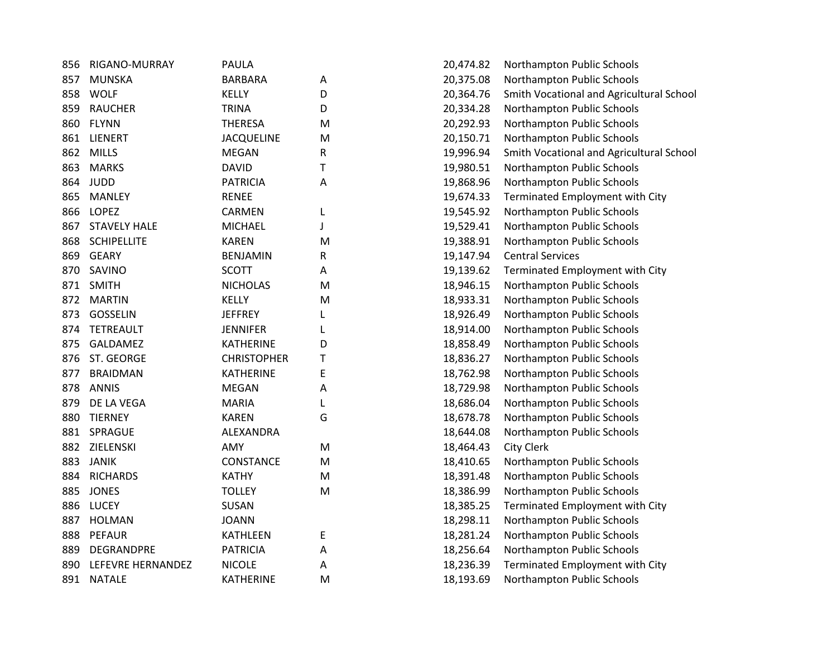| 856 | RIGANO-MURRAY         | <b>PAULA</b>       |   | 20,474.82 | Northampton Public Schools               |
|-----|-----------------------|--------------------|---|-----------|------------------------------------------|
| 857 | <b>MUNSKA</b>         | <b>BARBARA</b>     | Α | 20,375.08 | Northampton Public Schools               |
| 858 | <b>WOLF</b>           | <b>KELLY</b>       | D | 20,364.76 | Smith Vocational and Agricultural School |
| 859 | <b>RAUCHER</b>        | <b>TRINA</b>       | D | 20,334.28 | Northampton Public Schools               |
| 860 | <b>FLYNN</b>          | <b>THERESA</b>     | M | 20,292.93 | Northampton Public Schools               |
| 861 | <b>LIENERT</b>        | <b>JACQUELINE</b>  | M | 20,150.71 | Northampton Public Schools               |
| 862 | <b>MILLS</b>          | <b>MEGAN</b>       | R | 19,996.94 | Smith Vocational and Agricultural School |
| 863 | <b>MARKS</b>          | <b>DAVID</b>       | T | 19,980.51 | Northampton Public Schools               |
| 864 | <b>JUDD</b>           | <b>PATRICIA</b>    | A | 19,868.96 | Northampton Public Schools               |
| 865 | <b>MANLEY</b>         | <b>RENEE</b>       |   | 19,674.33 | Terminated Employment with City          |
| 866 | <b>LOPEZ</b>          | CARMEN             | L | 19,545.92 | Northampton Public Schools               |
| 867 | <b>STAVELY HALE</b>   | <b>MICHAEL</b>     | J | 19,529.41 | Northampton Public Schools               |
| 868 | <b>SCHIPELLITE</b>    | <b>KAREN</b>       | M | 19,388.91 | Northampton Public Schools               |
| 869 | <b>GEARY</b>          | <b>BENJAMIN</b>    | R | 19,147.94 | <b>Central Services</b>                  |
| 870 | SAVINO                | <b>SCOTT</b>       | А | 19,139.62 | Terminated Employment with City          |
| 871 | <b>SMITH</b>          | <b>NICHOLAS</b>    | M | 18,946.15 | Northampton Public Schools               |
| 872 | <b>MARTIN</b>         | <b>KELLY</b>       | M | 18,933.31 | Northampton Public Schools               |
| 873 | <b>GOSSELIN</b>       | JEFFREY            | L | 18,926.49 | Northampton Public Schools               |
| 874 | <b>TETREAULT</b>      | JENNIFER           | L | 18,914.00 | Northampton Public Schools               |
| 875 | GALDAMEZ              | <b>KATHERINE</b>   | D | 18,858.49 | Northampton Public Schools               |
| 876 | ST. GEORGE            | <b>CHRISTOPHER</b> | Т | 18,836.27 | Northampton Public Schools               |
| 877 | <b>BRAIDMAN</b>       | <b>KATHERINE</b>   | E | 18,762.98 | Northampton Public Schools               |
| 878 | <b>ANNIS</b>          | <b>MEGAN</b>       | Α | 18,729.98 | Northampton Public Schools               |
| 879 | DE LA VEGA            | <b>MARIA</b>       | L | 18,686.04 | Northampton Public Schools               |
| 880 | <b>TIERNEY</b>        | <b>KAREN</b>       | G | 18,678.78 | Northampton Public Schools               |
| 881 | SPRAGUE               | ALEXANDRA          |   | 18,644.08 | Northampton Public Schools               |
| 882 | ZIELENSKI             | AMY                | M | 18,464.43 | City Clerk                               |
| 883 | <b>JANIK</b>          | CONSTANCE          | M | 18,410.65 | Northampton Public Schools               |
| 884 | <b>RICHARDS</b>       | <b>KATHY</b>       | M | 18,391.48 | Northampton Public Schools               |
| 885 | <b>JONES</b>          | <b>TOLLEY</b>      | M | 18,386.99 | Northampton Public Schools               |
| 886 | <b>LUCEY</b>          | SUSAN              |   | 18,385.25 | Terminated Employment with City          |
| 887 | <b>HOLMAN</b>         | <b>JOANN</b>       |   | 18,298.11 | Northampton Public Schools               |
| 888 | <b>PEFAUR</b>         | <b>KATHLEEN</b>    | E | 18,281.24 | Northampton Public Schools               |
| 889 | DEGRANDPRE            | <b>PATRICIA</b>    | А | 18,256.64 | Northampton Public Schools               |
|     | 890 LEFEVRE HERNANDEZ | <b>NICOLE</b>      | А | 18,236.39 | Terminated Employment with City          |
|     | 891 NATALE            | <b>KATHERINE</b>   | M | 18,193.69 | Northampton Public Schools               |
|     |                       |                    |   |           |                                          |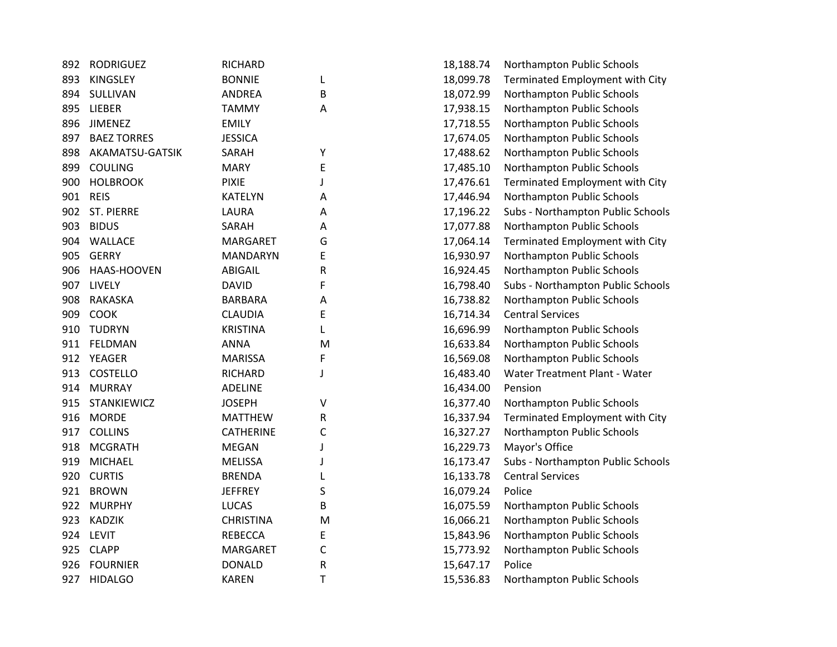| 892 | <b>RODRIGUEZ</b>   | RICHARD          |              | 18,188.74 | Northampton Public Schools        |
|-----|--------------------|------------------|--------------|-----------|-----------------------------------|
| 893 | <b>KINGSLEY</b>    | <b>BONNIE</b>    | L            | 18,099.78 | Terminated Employment with City   |
| 894 | SULLIVAN           | <b>ANDREA</b>    | B            | 18,072.99 | Northampton Public Schools        |
| 895 | LIEBER             | <b>TAMMY</b>     | A            | 17,938.15 | Northampton Public Schools        |
| 896 | <b>JIMENEZ</b>     | <b>EMILY</b>     |              | 17,718.55 | Northampton Public Schools        |
| 897 | <b>BAEZ TORRES</b> | <b>JESSICA</b>   |              | 17,674.05 | Northampton Public Schools        |
| 898 | AKAMATSU-GATSIK    | SARAH            | Υ            | 17,488.62 | Northampton Public Schools        |
| 899 | <b>COULING</b>     | <b>MARY</b>      | E            | 17,485.10 | Northampton Public Schools        |
| 900 | <b>HOLBROOK</b>    | <b>PIXIE</b>     | J            | 17,476.61 | Terminated Employment with City   |
| 901 | <b>REIS</b>        | <b>KATELYN</b>   | Α            | 17,446.94 | Northampton Public Schools        |
|     | 902 ST. PIERRE     | LAURA            | Α            | 17,196.22 | Subs - Northampton Public Schools |
| 903 | <b>BIDUS</b>       | SARAH            | Α            | 17,077.88 | Northampton Public Schools        |
|     | 904 WALLACE        | MARGARET         | G            | 17,064.14 | Terminated Employment with City   |
| 905 | <b>GERRY</b>       | <b>MANDARYN</b>  | E            | 16,930.97 | Northampton Public Schools        |
| 906 | HAAS-HOOVEN        | <b>ABIGAIL</b>   | R            | 16,924.45 | Northampton Public Schools        |
| 907 | LIVELY             | <b>DAVID</b>     | F            | 16,798.40 | Subs - Northampton Public Schools |
| 908 | RAKASKA            | <b>BARBARA</b>   | Α            | 16,738.82 | Northampton Public Schools        |
| 909 | <b>COOK</b>        | <b>CLAUDIA</b>   | E            | 16,714.34 | <b>Central Services</b>           |
| 910 | <b>TUDRYN</b>      | <b>KRISTINA</b>  | L            | 16,696.99 | Northampton Public Schools        |
| 911 | FELDMAN            | <b>ANNA</b>      | M            | 16,633.84 | Northampton Public Schools        |
|     | 912 YEAGER         | <b>MARISSA</b>   | F            | 16,569.08 | Northampton Public Schools        |
| 913 | <b>COSTELLO</b>    | <b>RICHARD</b>   | J            | 16,483.40 | Water Treatment Plant - Water     |
|     | 914 MURRAY         | <b>ADELINE</b>   |              | 16,434.00 | Pension                           |
| 915 | STANKIEWICZ        | <b>JOSEPH</b>    | V            | 16,377.40 | Northampton Public Schools        |
| 916 | <b>MORDE</b>       | <b>MATTHEW</b>   | R            | 16,337.94 | Terminated Employment with City   |
| 917 | <b>COLLINS</b>     | <b>CATHERINE</b> | $\mathsf{C}$ | 16,327.27 | Northampton Public Schools        |
| 918 | <b>MCGRATH</b>     | <b>MEGAN</b>     | J            | 16,229.73 | Mayor's Office                    |
| 919 | <b>MICHAEL</b>     | <b>MELISSA</b>   | J            | 16,173.47 | Subs - Northampton Public Schools |
| 920 | <b>CURTIS</b>      | <b>BRENDA</b>    | L            | 16,133.78 | <b>Central Services</b>           |
|     | 921 BROWN          | <b>JEFFREY</b>   | S            | 16,079.24 | Police                            |
| 922 | <b>MURPHY</b>      | <b>LUCAS</b>     | B            | 16,075.59 | Northampton Public Schools        |
| 923 | <b>KADZIK</b>      | <b>CHRISTINA</b> | M            | 16,066.21 | Northampton Public Schools        |
| 924 | <b>LEVIT</b>       | <b>REBECCA</b>   | E            | 15,843.96 | Northampton Public Schools        |
| 925 | <b>CLAPP</b>       | MARGARET         | $\mathsf C$  | 15,773.92 | Northampton Public Schools        |
| 926 | <b>FOURNIER</b>    | <b>DONALD</b>    | ${\sf R}$    | 15,647.17 | Police                            |
| 927 | <b>HIDALGO</b>     | <b>KAREN</b>     | T            | 15,536.83 | Northampton Public Schools        |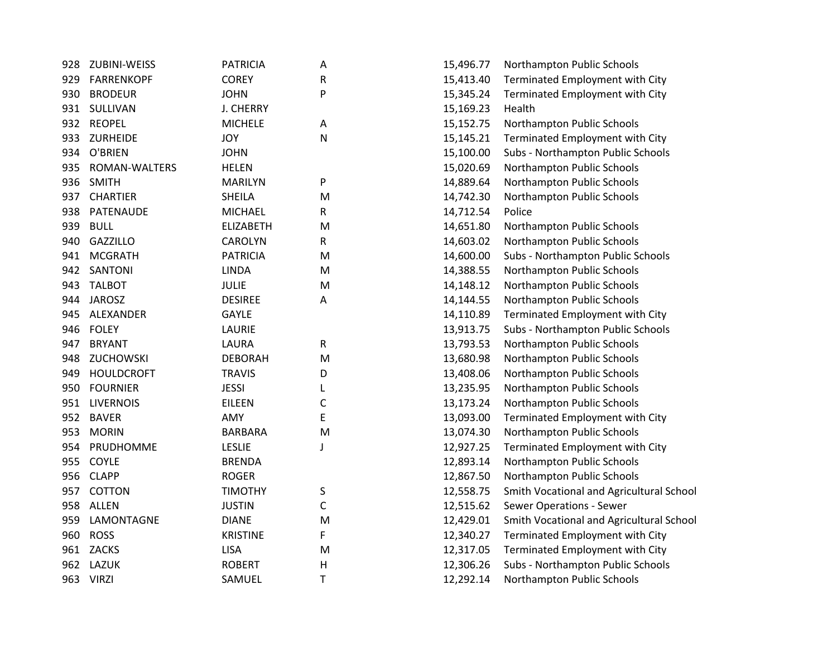| 928 | ZUBINI-WEISS         | <b>PATRICIA</b>  | Α         | 15,496.77 | Northampton Public Schools               |
|-----|----------------------|------------------|-----------|-----------|------------------------------------------|
| 929 | <b>FARRENKOPF</b>    | <b>COREY</b>     | R         | 15,413.40 | Terminated Employment with City          |
| 930 | <b>BRODEUR</b>       | <b>JOHN</b>      | P         | 15,345.24 | Terminated Employment with City          |
|     | 931 SULLIVAN         | <b>J. CHERRY</b> |           | 15,169.23 | Health                                   |
|     | 932 REOPEL           | <b>MICHELE</b>   | Α         | 15,152.75 | Northampton Public Schools               |
| 933 | ZURHEIDE             | <b>JOY</b>       | ${\sf N}$ | 15,145.21 | Terminated Employment with City          |
| 934 | O'BRIEN              | <b>JOHN</b>      |           | 15,100.00 | Subs - Northampton Public Schools        |
| 935 | <b>ROMAN-WALTERS</b> | <b>HELEN</b>     |           | 15,020.69 | Northampton Public Schools               |
| 936 | <b>SMITH</b>         | <b>MARILYN</b>   | P         | 14,889.64 | Northampton Public Schools               |
| 937 | <b>CHARTIER</b>      | <b>SHEILA</b>    | M         | 14,742.30 | Northampton Public Schools               |
| 938 | PATENAUDE            | <b>MICHAEL</b>   | R         | 14,712.54 | Police                                   |
| 939 | <b>BULL</b>          | <b>ELIZABETH</b> | M         | 14,651.80 | Northampton Public Schools               |
| 940 | <b>GAZZILLO</b>      | <b>CAROLYN</b>   | R         | 14,603.02 | Northampton Public Schools               |
| 941 | <b>MCGRATH</b>       | <b>PATRICIA</b>  | M         | 14,600.00 | Subs - Northampton Public Schools        |
| 942 | SANTONI              | <b>LINDA</b>     | M         | 14,388.55 | Northampton Public Schools               |
| 943 | <b>TALBOT</b>        | <b>JULIE</b>     | M         | 14,148.12 | Northampton Public Schools               |
| 944 | <b>JAROSZ</b>        | <b>DESIREE</b>   | Α         | 14,144.55 | Northampton Public Schools               |
| 945 | ALEXANDER            | <b>GAYLE</b>     |           | 14,110.89 | Terminated Employment with City          |
| 946 | <b>FOLEY</b>         | LAURIE           |           | 13,913.75 | Subs - Northampton Public Schools        |
| 947 | <b>BRYANT</b>        | LAURA            | R         | 13,793.53 | Northampton Public Schools               |
| 948 | <b>ZUCHOWSKI</b>     | <b>DEBORAH</b>   | M         | 13,680.98 | Northampton Public Schools               |
| 949 | <b>HOULDCROFT</b>    | <b>TRAVIS</b>    | D         | 13,408.06 | Northampton Public Schools               |
| 950 | <b>FOURNIER</b>      | <b>JESSI</b>     |           | 13,235.95 | Northampton Public Schools               |
| 951 | <b>LIVERNOIS</b>     | <b>EILEEN</b>    | С         | 13,173.24 | Northampton Public Schools               |
| 952 | <b>BAVER</b>         | AMY              | E         | 13,093.00 | Terminated Employment with City          |
| 953 | <b>MORIN</b>         | <b>BARBARA</b>   | M         | 13,074.30 | Northampton Public Schools               |
| 954 | PRUDHOMME            | <b>LESLIE</b>    | J         | 12,927.25 | Terminated Employment with City          |
| 955 | <b>COYLE</b>         | <b>BRENDA</b>    |           | 12,893.14 | Northampton Public Schools               |
| 956 | <b>CLAPP</b>         | <b>ROGER</b>     |           | 12,867.50 | Northampton Public Schools               |
| 957 | <b>COTTON</b>        | <b>TIMOTHY</b>   | S         | 12,558.75 | Smith Vocational and Agricultural School |
| 958 | <b>ALLEN</b>         | <b>JUSTIN</b>    | C         | 12,515.62 | <b>Sewer Operations - Sewer</b>          |
| 959 | LAMONTAGNE           | <b>DIANE</b>     | M         | 12,429.01 | Smith Vocational and Agricultural School |
| 960 | <b>ROSS</b>          | <b>KRISTINE</b>  | F         | 12,340.27 | Terminated Employment with City          |
|     | 961 ZACKS            | <b>LISA</b>      | M         | 12,317.05 | Terminated Employment with City          |
| 962 | <b>LAZUK</b>         | <b>ROBERT</b>    | H         | 12,306.26 | Subs - Northampton Public Schools        |
|     | 963 VIRZI            | SAMUEL           | T         | 12,292.14 | Northampton Public Schools               |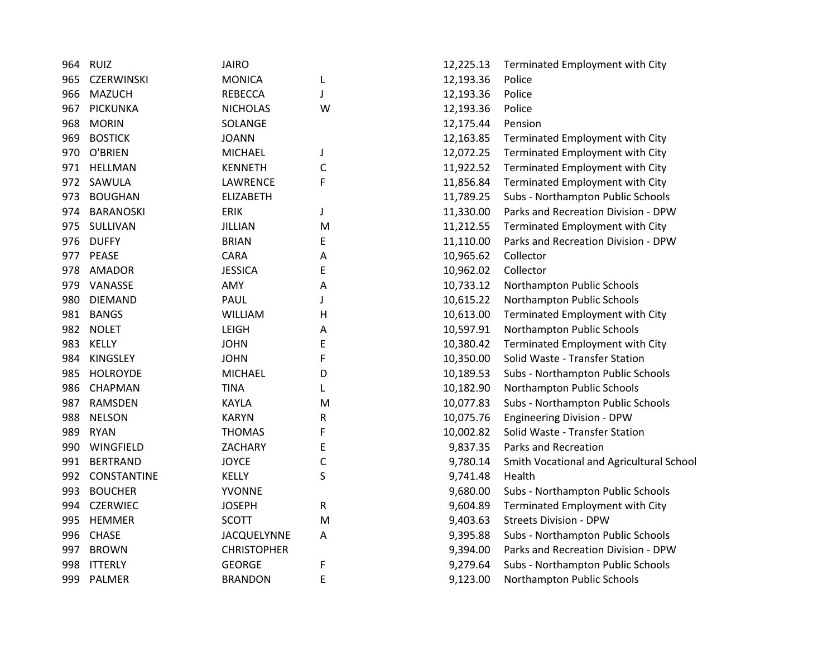| 964 | <b>RUIZ</b>        | <b>JAIRO</b>       |              | 12,225.13 | Terminated Employment with City          |
|-----|--------------------|--------------------|--------------|-----------|------------------------------------------|
| 965 | <b>CZERWINSKI</b>  | <b>MONICA</b>      | L            | 12,193.36 | Police                                   |
| 966 | <b>MAZUCH</b>      | <b>REBECCA</b>     | J            | 12,193.36 | Police                                   |
| 967 | <b>PICKUNKA</b>    | <b>NICHOLAS</b>    | W            | 12,193.36 | Police                                   |
| 968 | <b>MORIN</b>       | SOLANGE            |              | 12,175.44 | Pension                                  |
| 969 | <b>BOSTICK</b>     | <b>JOANN</b>       |              | 12,163.85 | Terminated Employment with City          |
| 970 | O'BRIEN            | <b>MICHAEL</b>     | J            | 12,072.25 | Terminated Employment with City          |
| 971 | <b>HELLMAN</b>     | <b>KENNETH</b>     | C            | 11,922.52 | Terminated Employment with City          |
| 972 | SAWULA             | LAWRENCE           | F            | 11,856.84 | Terminated Employment with City          |
| 973 | <b>BOUGHAN</b>     | <b>ELIZABETH</b>   |              | 11,789.25 | Subs - Northampton Public Schools        |
| 974 | <b>BARANOSKI</b>   | <b>ERIK</b>        | J            | 11,330.00 | Parks and Recreation Division - DPW      |
| 975 | SULLIVAN           | <b>JILLIAN</b>     | M            | 11,212.55 | Terminated Employment with City          |
| 976 | <b>DUFFY</b>       | <b>BRIAN</b>       | E            | 11,110.00 | Parks and Recreation Division - DPW      |
| 977 | PEASE              | <b>CARA</b>        | Α            | 10,965.62 | Collector                                |
| 978 | AMADOR             | <b>JESSICA</b>     | E            | 10,962.02 | Collector                                |
| 979 | VANASSE            | AMY                | Α            | 10,733.12 | Northampton Public Schools               |
| 980 | <b>DIEMAND</b>     | PAUL               | J            | 10,615.22 | Northampton Public Schools               |
| 981 | <b>BANGS</b>       | <b>WILLIAM</b>     | н            | 10,613.00 | Terminated Employment with City          |
| 982 | <b>NOLET</b>       | LEIGH              | А            | 10,597.91 | Northampton Public Schools               |
| 983 | KELLY              | <b>JOHN</b>        | E            | 10,380.42 | Terminated Employment with City          |
| 984 | <b>KINGSLEY</b>    | <b>JOHN</b>        | F            | 10,350.00 | Solid Waste - Transfer Station           |
| 985 | <b>HOLROYDE</b>    | <b>MICHAEL</b>     | D            | 10,189.53 | Subs - Northampton Public Schools        |
| 986 | CHAPMAN            | <b>TINA</b>        | L            | 10,182.90 | Northampton Public Schools               |
| 987 | RAMSDEN            | KAYLA              | M            | 10,077.83 | Subs - Northampton Public Schools        |
| 988 | <b>NELSON</b>      | <b>KARYN</b>       | R            | 10,075.76 | <b>Engineering Division - DPW</b>        |
| 989 | <b>RYAN</b>        | <b>THOMAS</b>      | F            | 10,002.82 | Solid Waste - Transfer Station           |
| 990 | WINGFIELD          | ZACHARY            | E            | 9,837.35  | Parks and Recreation                     |
| 991 | <b>BERTRAND</b>    | <b>JOYCE</b>       | $\mathsf{C}$ | 9,780.14  | Smith Vocational and Agricultural School |
| 992 | <b>CONSTANTINE</b> | <b>KELLY</b>       | S            | 9,741.48  | Health                                   |
| 993 | <b>BOUCHER</b>     | <b>YVONNE</b>      |              | 9,680.00  | Subs - Northampton Public Schools        |
| 994 | <b>CZERWIEC</b>    | <b>JOSEPH</b>      | R            | 9,604.89  | Terminated Employment with City          |
| 995 | <b>HEMMER</b>      | <b>SCOTT</b>       | M            | 9,403.63  | <b>Streets Division - DPW</b>            |
| 996 | <b>CHASE</b>       | <b>JACQUELYNNE</b> | Α            | 9,395.88  | Subs - Northampton Public Schools        |
| 997 | <b>BROWN</b>       | <b>CHRISTOPHER</b> |              | 9,394.00  | Parks and Recreation Division - DPW      |
| 998 | <b>ITTERLY</b>     | <b>GEORGE</b>      | F            | 9,279.64  | Subs - Northampton Public Schools        |
| 999 | PALMER             | <b>BRANDON</b>     | E            | 9,123.00  | Northampton Public Schools               |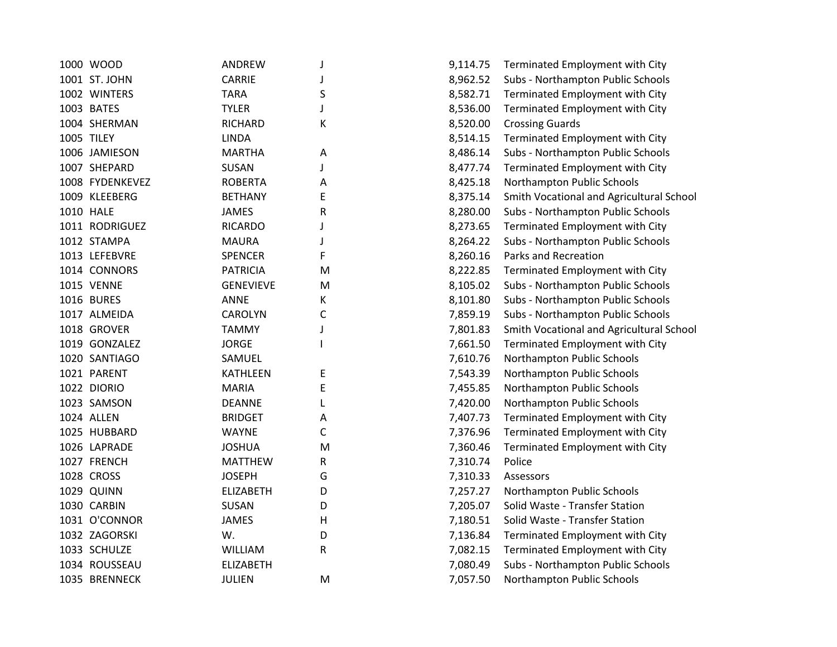| 1000 WOOD       | ANDREW           | J | 9,114.75 | Terminated Employment with City          |
|-----------------|------------------|---|----------|------------------------------------------|
| 1001 ST. JOHN   | <b>CARRIE</b>    |   | 8,962.52 | Subs - Northampton Public Schools        |
| 1002 WINTERS    | <b>TARA</b>      | S | 8,582.71 | Terminated Employment with City          |
| 1003 BATES      | <b>TYLER</b>     |   | 8,536.00 | Terminated Employment with City          |
| 1004 SHERMAN    | <b>RICHARD</b>   | Κ | 8,520.00 | <b>Crossing Guards</b>                   |
| 1005 TILEY      | <b>LINDA</b>     |   | 8,514.15 | Terminated Employment with City          |
| 1006 JAMIESON   | <b>MARTHA</b>    | А | 8,486.14 | Subs - Northampton Public Schools        |
| 1007 SHEPARD    | <b>SUSAN</b>     |   | 8,477.74 | Terminated Employment with City          |
| 1008 FYDENKEVEZ | <b>ROBERTA</b>   | Α | 8,425.18 | Northampton Public Schools               |
| 1009 KLEEBERG   | <b>BETHANY</b>   | E | 8,375.14 | Smith Vocational and Agricultural School |
| 1010 HALE       | <b>JAMES</b>     | R | 8,280.00 | Subs - Northampton Public Schools        |
| 1011 RODRIGUEZ  | <b>RICARDO</b>   | J | 8,273.65 | Terminated Employment with City          |
| 1012 STAMPA     | <b>MAURA</b>     | J | 8,264.22 | Subs - Northampton Public Schools        |
| 1013 LEFEBVRE   | <b>SPENCER</b>   | F | 8,260.16 | Parks and Recreation                     |
| 1014 CONNORS    | <b>PATRICIA</b>  | M | 8,222.85 | Terminated Employment with City          |
| 1015 VENNE      | <b>GENEVIEVE</b> | M | 8,105.02 | Subs - Northampton Public Schools        |
| 1016 BURES      | ANNE             | K | 8,101.80 | Subs - Northampton Public Schools        |
| 1017 ALMEIDA    | <b>CAROLYN</b>   | C | 7,859.19 | Subs - Northampton Public Schools        |
| 1018 GROVER     | <b>TAMMY</b>     |   | 7,801.83 | Smith Vocational and Agricultural School |
| 1019 GONZALEZ   | <b>JORGE</b>     |   | 7,661.50 | Terminated Employment with City          |
| 1020 SANTIAGO   | SAMUEL           |   | 7,610.76 | Northampton Public Schools               |
| 1021 PARENT     | <b>KATHLEEN</b>  | E | 7,543.39 | Northampton Public Schools               |
| 1022 DIORIO     | <b>MARIA</b>     | E | 7,455.85 | Northampton Public Schools               |
| 1023 SAMSON     | <b>DEANNE</b>    | L | 7,420.00 | Northampton Public Schools               |
| 1024 ALLEN      | <b>BRIDGET</b>   | Α | 7,407.73 | Terminated Employment with City          |
| 1025 HUBBARD    | <b>WAYNE</b>     | С | 7,376.96 | Terminated Employment with City          |
| 1026 LAPRADE    | <b>JOSHUA</b>    | M | 7,360.46 | Terminated Employment with City          |
| 1027 FRENCH     | <b>MATTHEW</b>   | R | 7,310.74 | Police                                   |
| 1028 CROSS      | <b>JOSEPH</b>    | G | 7,310.33 | Assessors                                |
| 1029 QUINN      | <b>ELIZABETH</b> | D | 7,257.27 | Northampton Public Schools               |
| 1030 CARBIN     | SUSAN            | D | 7,205.07 | Solid Waste - Transfer Station           |
| 1031 O'CONNOR   | <b>JAMES</b>     | Н | 7,180.51 | Solid Waste - Transfer Station           |
| 1032 ZAGORSKI   | W.               | D | 7,136.84 | Terminated Employment with City          |
| 1033 SCHULZE    | <b>WILLIAM</b>   | R | 7,082.15 | Terminated Employment with City          |
| 1034 ROUSSEAU   | <b>ELIZABETH</b> |   | 7,080.49 | Subs - Northampton Public Schools        |
| 1035 BRENNECK   | <b>JULIEN</b>    | M | 7,057.50 | Northampton Public Schools               |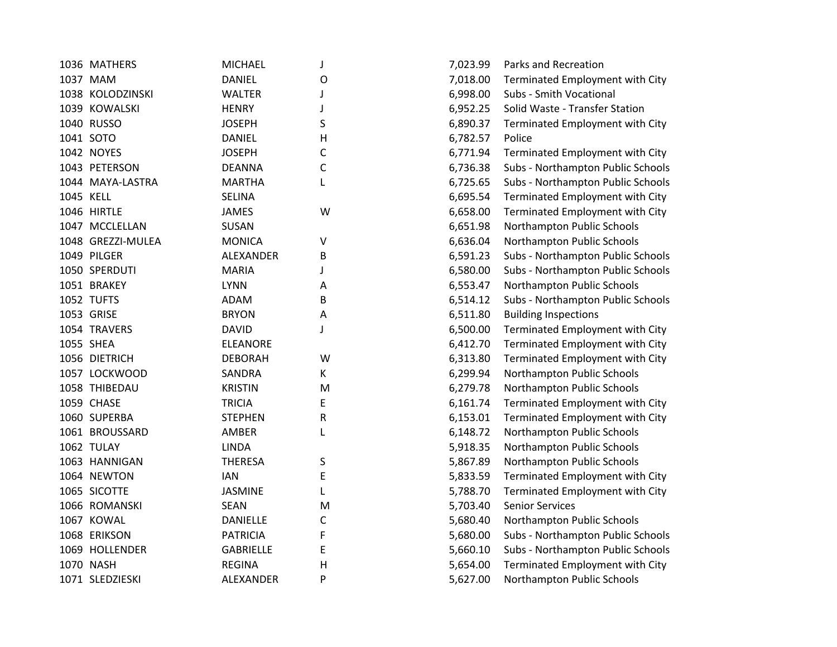|           | 1036 MATHERS      | <b>MICHAEL</b>   | J            | 7,023.99 | Parks and Recreation              |
|-----------|-------------------|------------------|--------------|----------|-----------------------------------|
|           | 1037 MAM          | <b>DANIEL</b>    | 0            | 7,018.00 | Terminated Employment with City   |
|           | 1038 KOLODZINSKI  | <b>WALTER</b>    | J            | 6,998.00 | Subs - Smith Vocational           |
|           | 1039 KOWALSKI     | <b>HENRY</b>     | $\mathbf{I}$ | 6,952.25 | Solid Waste - Transfer Station    |
|           | 1040 RUSSO        | <b>JOSEPH</b>    | S            | 6,890.37 | Terminated Employment with City   |
|           | 1041 SOTO         | <b>DANIEL</b>    | н            | 6,782.57 | Police                            |
|           | 1042 NOYES        | <b>JOSEPH</b>    | С            | 6,771.94 | Terminated Employment with City   |
|           | 1043 PETERSON     | <b>DEANNA</b>    | С            | 6,736.38 | Subs - Northampton Public Schools |
|           | 1044 MAYA-LASTRA  | <b>MARTHA</b>    | L            | 6,725.65 | Subs - Northampton Public Schools |
| 1045 KELL |                   | <b>SELINA</b>    |              | 6,695.54 | Terminated Employment with City   |
|           | 1046 HIRTLE       | <b>JAMES</b>     | W            | 6,658.00 | Terminated Employment with City   |
|           | 1047 MCCLELLAN    | <b>SUSAN</b>     |              | 6,651.98 | Northampton Public Schools        |
|           | 1048 GREZZI-MULEA | <b>MONICA</b>    | ٧            | 6,636.04 | Northampton Public Schools        |
|           | 1049 PILGER       | ALEXANDER        | В            | 6,591.23 | Subs - Northampton Public Schools |
|           | 1050 SPERDUTI     | <b>MARIA</b>     | J            | 6,580.00 | Subs - Northampton Public Schools |
|           | 1051 BRAKEY       | <b>LYNN</b>      | A            | 6,553.47 | Northampton Public Schools        |
|           | 1052 TUFTS        | ADAM             | В            | 6,514.12 | Subs - Northampton Public Schools |
|           | 1053 GRISE        | <b>BRYON</b>     | Α            | 6,511.80 | <b>Building Inspections</b>       |
|           | 1054 TRAVERS      | <b>DAVID</b>     | J            | 6,500.00 | Terminated Employment with City   |
|           | 1055 SHEA         | <b>ELEANORE</b>  |              | 6,412.70 | Terminated Employment with City   |
|           | 1056 DIETRICH     | <b>DEBORAH</b>   | W            | 6,313.80 | Terminated Employment with City   |
|           | 1057 LOCKWOOD     | <b>SANDRA</b>    | K            | 6,299.94 | Northampton Public Schools        |
|           | 1058 THIBEDAU     | <b>KRISTIN</b>   | M            | 6,279.78 | Northampton Public Schools        |
|           | 1059 CHASE        | <b>TRICIA</b>    | E            | 6,161.74 | Terminated Employment with City   |
|           | 1060 SUPERBA      | <b>STEPHEN</b>   | R            | 6,153.01 | Terminated Employment with City   |
|           | 1061 BROUSSARD    | AMBER            | L            | 6,148.72 | Northampton Public Schools        |
|           | 1062 TULAY        | <b>LINDA</b>     |              | 5,918.35 | Northampton Public Schools        |
|           | 1063 HANNIGAN     | <b>THERESA</b>   | S            | 5,867.89 | Northampton Public Schools        |
|           | 1064 NEWTON       | <b>IAN</b>       | E            | 5,833.59 | Terminated Employment with City   |
|           | 1065 SICOTTE      | <b>JASMINE</b>   | L            | 5,788.70 | Terminated Employment with City   |
|           | 1066 ROMANSKI     | <b>SEAN</b>      | M            | 5,703.40 | <b>Senior Services</b>            |
|           | 1067 KOWAL        | <b>DANIELLE</b>  | C            | 5,680.40 | Northampton Public Schools        |
|           | 1068 ERIKSON      | <b>PATRICIA</b>  | F            | 5,680.00 | Subs - Northampton Public Schools |
|           | 1069 HOLLENDER    | <b>GABRIELLE</b> | E            | 5,660.10 | Subs - Northampton Public Schools |
|           | 1070 NASH         | <b>REGINA</b>    | H            | 5,654.00 | Terminated Employment with City   |
|           | 1071 SLEDZIESKI   | ALEXANDER        | P            | 5,627.00 | Northampton Public Schools        |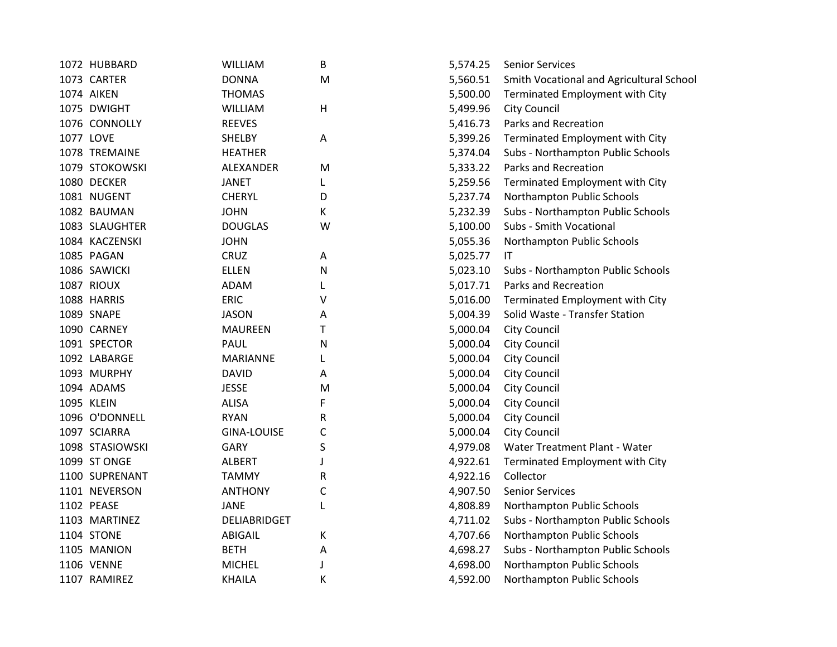| 1072 HUBBARD    | <b>WILLIAM</b>     | В | 5,574.25 | <b>Senior Services</b>                   |
|-----------------|--------------------|---|----------|------------------------------------------|
| 1073 CARTER     | <b>DONNA</b>       | M | 5,560.51 | Smith Vocational and Agricultural School |
| 1074 AIKEN      | <b>THOMAS</b>      |   | 5,500.00 | Terminated Employment with City          |
| 1075 DWIGHT     | <b>WILLIAM</b>     | н | 5,499.96 | <b>City Council</b>                      |
| 1076 CONNOLLY   | <b>REEVES</b>      |   | 5,416.73 | Parks and Recreation                     |
| 1077 LOVE       | <b>SHELBY</b>      | Α | 5,399.26 | Terminated Employment with City          |
| 1078 TREMAINE   | <b>HEATHER</b>     |   | 5,374.04 | Subs - Northampton Public Schools        |
| 1079 STOKOWSKI  | ALEXANDER          | M | 5,333.22 | Parks and Recreation                     |
| 1080 DECKER     | <b>JANET</b>       | L | 5,259.56 | Terminated Employment with City          |
| 1081 NUGENT     | <b>CHERYL</b>      | D | 5,237.74 | Northampton Public Schools               |
| 1082 BAUMAN     | <b>JOHN</b>        | К | 5,232.39 | Subs - Northampton Public Schools        |
| 1083 SLAUGHTER  | <b>DOUGLAS</b>     | W | 5,100.00 | Subs - Smith Vocational                  |
| 1084 KACZENSKI  | <b>JOHN</b>        |   | 5,055.36 | Northampton Public Schools               |
| 1085 PAGAN      | <b>CRUZ</b>        | A | 5,025.77 | IT                                       |
| 1086 SAWICKI    | <b>ELLEN</b>       | N | 5,023.10 | Subs - Northampton Public Schools        |
| 1087 RIOUX      | ADAM               | L | 5,017.71 | Parks and Recreation                     |
| 1088 HARRIS     | <b>ERIC</b>        | ٧ | 5,016.00 | Terminated Employment with City          |
| 1089 SNAPE      | <b>JASON</b>       | А | 5,004.39 | Solid Waste - Transfer Station           |
| 1090 CARNEY     | <b>MAUREEN</b>     | Т | 5,000.04 | <b>City Council</b>                      |
| 1091 SPECTOR    | PAUL               | N | 5,000.04 | <b>City Council</b>                      |
| 1092 LABARGE    | <b>MARIANNE</b>    | L | 5,000.04 | <b>City Council</b>                      |
| 1093 MURPHY     | <b>DAVID</b>       | А | 5,000.04 | City Council                             |
| 1094 ADAMS      | <b>JESSE</b>       | M | 5,000.04 | <b>City Council</b>                      |
| 1095 KLEIN      | <b>ALISA</b>       | F | 5,000.04 | <b>City Council</b>                      |
| 1096 O'DONNELL  | <b>RYAN</b>        | R | 5,000.04 | <b>City Council</b>                      |
| 1097 SCIARRA    | <b>GINA-LOUISE</b> | C | 5,000.04 | <b>City Council</b>                      |
| 1098 STASIOWSKI | <b>GARY</b>        | S | 4,979.08 | Water Treatment Plant - Water            |
| 1099 ST ONGE    | <b>ALBERT</b>      |   | 4,922.61 | Terminated Employment with City          |
| 1100 SUPRENANT  | <b>TAMMY</b>       | R | 4,922.16 | Collector                                |
| 1101 NEVERSON   | <b>ANTHONY</b>     | C | 4,907.50 | <b>Senior Services</b>                   |
| 1102 PEASE      | <b>JANE</b>        | L | 4,808.89 | Northampton Public Schools               |
| 1103 MARTINEZ   | DELIABRIDGET       |   | 4,711.02 | Subs - Northampton Public Schools        |
| 1104 STONE      | <b>ABIGAIL</b>     | К | 4,707.66 | Northampton Public Schools               |
| 1105 MANION     | <b>BETH</b>        | А | 4,698.27 | Subs - Northampton Public Schools        |
| 1106 VENNE      | <b>MICHEL</b>      |   | 4,698.00 | Northampton Public Schools               |
| 1107 RAMIREZ    | <b>KHAILA</b>      | К | 4,592.00 | Northampton Public Schools               |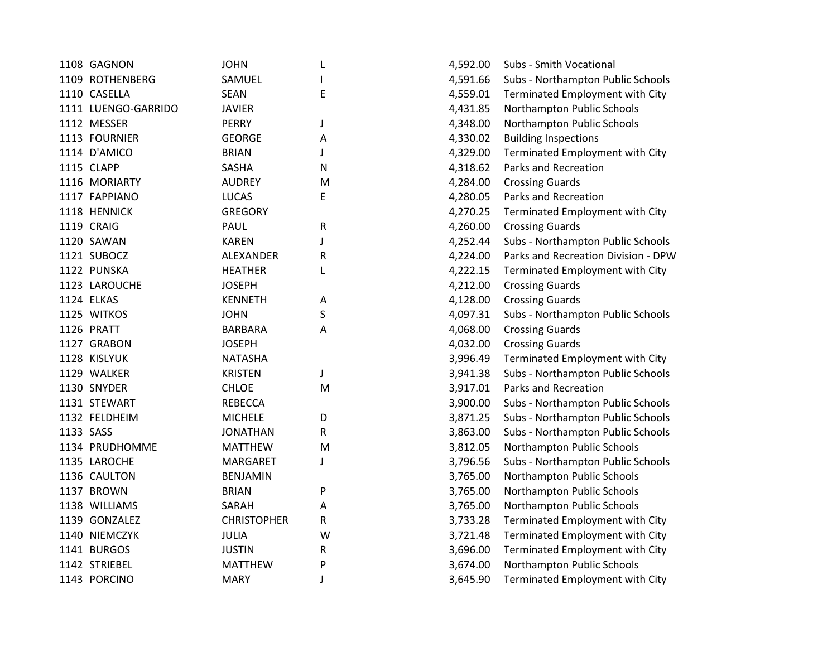| <b>JOHN</b>                                                                                                                                                                                                                                                                                                                                                                                                                                                                                                                                                                               | L         | 4,592.00 | Subs - Smith Vocational             |
|-------------------------------------------------------------------------------------------------------------------------------------------------------------------------------------------------------------------------------------------------------------------------------------------------------------------------------------------------------------------------------------------------------------------------------------------------------------------------------------------------------------------------------------------------------------------------------------------|-----------|----------|-------------------------------------|
| SAMUEL                                                                                                                                                                                                                                                                                                                                                                                                                                                                                                                                                                                    |           | 4,591.66 | Subs - Northampton Public Schools   |
| <b>SEAN</b>                                                                                                                                                                                                                                                                                                                                                                                                                                                                                                                                                                               | E         | 4,559.01 | Terminated Employment with City     |
| <b>JAVIER</b>                                                                                                                                                                                                                                                                                                                                                                                                                                                                                                                                                                             |           | 4,431.85 | Northampton Public Schools          |
| <b>PERRY</b>                                                                                                                                                                                                                                                                                                                                                                                                                                                                                                                                                                              | J         | 4,348.00 | Northampton Public Schools          |
| <b>GEORGE</b>                                                                                                                                                                                                                                                                                                                                                                                                                                                                                                                                                                             | Α         | 4,330.02 | <b>Building Inspections</b>         |
| <b>BRIAN</b>                                                                                                                                                                                                                                                                                                                                                                                                                                                                                                                                                                              | J         | 4,329.00 | Terminated Employment with City     |
| SASHA                                                                                                                                                                                                                                                                                                                                                                                                                                                                                                                                                                                     | N         | 4,318.62 | Parks and Recreation                |
| <b>AUDREY</b>                                                                                                                                                                                                                                                                                                                                                                                                                                                                                                                                                                             | M         | 4,284.00 | <b>Crossing Guards</b>              |
| <b>LUCAS</b>                                                                                                                                                                                                                                                                                                                                                                                                                                                                                                                                                                              | E         | 4,280.05 | Parks and Recreation                |
| <b>GREGORY</b>                                                                                                                                                                                                                                                                                                                                                                                                                                                                                                                                                                            |           | 4,270.25 | Terminated Employment with City     |
| PAUL                                                                                                                                                                                                                                                                                                                                                                                                                                                                                                                                                                                      | R         | 4,260.00 | <b>Crossing Guards</b>              |
| <b>KAREN</b>                                                                                                                                                                                                                                                                                                                                                                                                                                                                                                                                                                              | J         | 4,252.44 | Subs - Northampton Public Schools   |
| ALEXANDER                                                                                                                                                                                                                                                                                                                                                                                                                                                                                                                                                                                 | R         | 4,224.00 | Parks and Recreation Division - DPV |
| <b>HEATHER</b>                                                                                                                                                                                                                                                                                                                                                                                                                                                                                                                                                                            | L         | 4,222.15 | Terminated Employment with City     |
| <b>JOSEPH</b>                                                                                                                                                                                                                                                                                                                                                                                                                                                                                                                                                                             |           | 4,212.00 | <b>Crossing Guards</b>              |
| <b>KENNETH</b>                                                                                                                                                                                                                                                                                                                                                                                                                                                                                                                                                                            | Α         | 4,128.00 | <b>Crossing Guards</b>              |
| <b>JOHN</b>                                                                                                                                                                                                                                                                                                                                                                                                                                                                                                                                                                               | S         | 4,097.31 | Subs - Northampton Public Schools   |
| <b>BARBARA</b>                                                                                                                                                                                                                                                                                                                                                                                                                                                                                                                                                                            | Α         | 4,068.00 | <b>Crossing Guards</b>              |
| <b>JOSEPH</b>                                                                                                                                                                                                                                                                                                                                                                                                                                                                                                                                                                             |           | 4,032.00 | <b>Crossing Guards</b>              |
| <b>NATASHA</b>                                                                                                                                                                                                                                                                                                                                                                                                                                                                                                                                                                            |           | 3,996.49 | Terminated Employment with City     |
| <b>KRISTEN</b>                                                                                                                                                                                                                                                                                                                                                                                                                                                                                                                                                                            | J         | 3,941.38 | Subs - Northampton Public Schools   |
| <b>CHLOE</b>                                                                                                                                                                                                                                                                                                                                                                                                                                                                                                                                                                              | ${\sf M}$ | 3,917.01 | Parks and Recreation                |
| <b>REBECCA</b>                                                                                                                                                                                                                                                                                                                                                                                                                                                                                                                                                                            |           | 3,900.00 | Subs - Northampton Public Schools   |
| <b>MICHELE</b>                                                                                                                                                                                                                                                                                                                                                                                                                                                                                                                                                                            | D         | 3,871.25 | Subs - Northampton Public Schools   |
| <b>JONATHAN</b>                                                                                                                                                                                                                                                                                                                                                                                                                                                                                                                                                                           | ${\sf R}$ | 3,863.00 | Subs - Northampton Public Schools   |
| <b>MATTHEW</b>                                                                                                                                                                                                                                                                                                                                                                                                                                                                                                                                                                            | M         | 3,812.05 | Northampton Public Schools          |
| <b>MARGARET</b>                                                                                                                                                                                                                                                                                                                                                                                                                                                                                                                                                                           | J         | 3,796.56 | Subs - Northampton Public Schools   |
| <b>BENJAMIN</b>                                                                                                                                                                                                                                                                                                                                                                                                                                                                                                                                                                           |           | 3,765.00 | Northampton Public Schools          |
| <b>BRIAN</b>                                                                                                                                                                                                                                                                                                                                                                                                                                                                                                                                                                              | P         | 3,765.00 | Northampton Public Schools          |
| SARAH                                                                                                                                                                                                                                                                                                                                                                                                                                                                                                                                                                                     | Α         | 3,765.00 | Northampton Public Schools          |
| <b>CHRISTOPHER</b>                                                                                                                                                                                                                                                                                                                                                                                                                                                                                                                                                                        | R         | 3,733.28 | Terminated Employment with City     |
| JULIA                                                                                                                                                                                                                                                                                                                                                                                                                                                                                                                                                                                     | W         | 3,721.48 | Terminated Employment with City     |
| <b>JUSTIN</b>                                                                                                                                                                                                                                                                                                                                                                                                                                                                                                                                                                             | R         | 3,696.00 | Terminated Employment with City     |
| <b>MATTHEW</b>                                                                                                                                                                                                                                                                                                                                                                                                                                                                                                                                                                            | P         | 3,674.00 | Northampton Public Schools          |
| <b>MARY</b>                                                                                                                                                                                                                                                                                                                                                                                                                                                                                                                                                                               | J         | 3,645.90 | Terminated Employment with City     |
| 1108 GAGNON<br>1109 ROTHENBERG<br>1110 CASELLA<br>1111 LUENGO-GARRIDO<br>1112 MESSER<br>1113 FOURNIER<br>1114 D'AMICO<br>1115 CLAPP<br>1116 MORIARTY<br>1117 FAPPIANO<br>1118 HENNICK<br>1119 CRAIG<br>1120 SAWAN<br>1121 SUBOCZ<br>1122 PUNSKA<br>1123 LAROUCHE<br>1124 ELKAS<br>1125 WITKOS<br>1126 PRATT<br>1127 GRABON<br>1128 KISLYUK<br>1129 WALKER<br>1130 SNYDER<br>1131 STEWART<br>1132 FELDHEIM<br>1133 SASS<br>1134 PRUDHOMME<br>1135 LAROCHE<br>1136 CAULTON<br>1137 BROWN<br>1138 WILLIAMS<br>1139 GONZALEZ<br>1140 NIEMCZYK<br>1141 BURGOS<br>1142 STRIEBEL<br>1143 PORCINO |           |          |                                     |

| L | 4,592.00 | Subs - Smith Vocational             |
|---|----------|-------------------------------------|
| L | 4,591.66 | Subs - Northampton Public Schools   |
| E | 4,559.01 | Terminated Employment with City     |
|   | 4,431.85 | Northampton Public Schools          |
| J | 4,348.00 | Northampton Public Schools          |
| Α | 4,330.02 | <b>Building Inspections</b>         |
| J | 4,329.00 | Terminated Employment with City     |
| N | 4,318.62 | Parks and Recreation                |
| M | 4,284.00 | <b>Crossing Guards</b>              |
| E | 4,280.05 | Parks and Recreation                |
|   | 4,270.25 | Terminated Employment with City     |
| R | 4,260.00 | <b>Crossing Guards</b>              |
| J | 4,252.44 | Subs - Northampton Public Schools   |
| R | 4,224.00 | Parks and Recreation Division - DPW |
| L | 4,222.15 | Terminated Employment with City     |
|   | 4,212.00 | <b>Crossing Guards</b>              |
| A | 4,128.00 | <b>Crossing Guards</b>              |
| S | 4,097.31 | Subs - Northampton Public Schools   |
| A | 4,068.00 | <b>Crossing Guards</b>              |
|   | 4,032.00 | <b>Crossing Guards</b>              |
|   | 3,996.49 | Terminated Employment with City     |
| J | 3,941.38 | Subs - Northampton Public Schools   |
| M | 3,917.01 | <b>Parks and Recreation</b>         |
|   | 3,900.00 | Subs - Northampton Public Schools   |
| D | 3,871.25 | Subs - Northampton Public Schools   |
| R | 3,863.00 | Subs - Northampton Public Schools   |
| M | 3,812.05 | Northampton Public Schools          |
| J | 3,796.56 | Subs - Northampton Public Schools   |
|   | 3,765.00 | Northampton Public Schools          |
| P | 3,765.00 | Northampton Public Schools          |
| Α | 3,765.00 | Northampton Public Schools          |
| R | 3,733.28 | Terminated Employment with City     |
| W | 3,721.48 | Terminated Employment with City     |
| R | 3,696.00 | Terminated Employment with City     |
| P | 3,674.00 | Northampton Public Schools          |
| J | 3,645.90 | Terminated Employment with City     |
|   |          |                                     |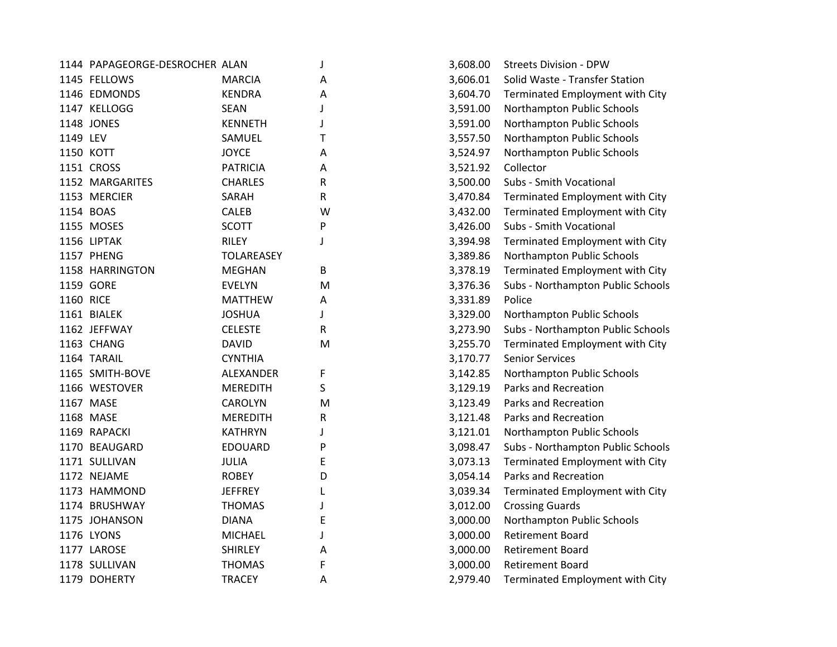|           | 1144 PAPAGEORGE-DESROCHER ALAN |                   | J | 3,608.00 | <b>Streets Division - DPW</b>     |
|-----------|--------------------------------|-------------------|---|----------|-----------------------------------|
|           | 1145 FELLOWS                   | <b>MARCIA</b>     | Α | 3,606.01 | Solid Waste - Transfer Station    |
|           | 1146 EDMONDS                   | <b>KENDRA</b>     | Α | 3,604.70 | Terminated Employment with City   |
|           | 1147 KELLOGG                   | <b>SEAN</b>       | J | 3,591.00 | Northampton Public Schools        |
|           | 1148 JONES                     | <b>KENNETH</b>    | J | 3,591.00 | Northampton Public Schools        |
| 1149 LEV  |                                | SAMUEL            | Τ | 3,557.50 | Northampton Public Schools        |
|           | 1150 KOTT                      | <b>JOYCE</b>      | A | 3,524.97 | Northampton Public Schools        |
|           | 1151 CROSS                     | <b>PATRICIA</b>   | A | 3,521.92 | Collector                         |
|           | 1152 MARGARITES                | <b>CHARLES</b>    | R | 3,500.00 | Subs - Smith Vocational           |
|           | 1153 MERCIER                   | SARAH             | R | 3,470.84 | Terminated Employment with City   |
|           | 1154 BOAS                      | <b>CALEB</b>      | W | 3,432.00 | Terminated Employment with City   |
|           | 1155 MOSES                     | <b>SCOTT</b>      | P | 3,426.00 | Subs - Smith Vocational           |
|           | 1156 LIPTAK                    | <b>RILEY</b>      | J | 3,394.98 | Terminated Employment with City   |
|           | 1157 PHENG                     | <b>TOLAREASEY</b> |   | 3,389.86 | Northampton Public Schools        |
|           | 1158 HARRINGTON                | <b>MEGHAN</b>     | B | 3,378.19 | Terminated Employment with City   |
|           | 1159 GORE                      | <b>EVELYN</b>     | M | 3,376.36 | Subs - Northampton Public Schools |
| 1160 RICE |                                | <b>MATTHEW</b>    | A | 3,331.89 | Police                            |
|           | 1161 BIALEK                    | <b>JOSHUA</b>     | J | 3,329.00 | Northampton Public Schools        |
|           | 1162 JEFFWAY                   | <b>CELESTE</b>    | R | 3,273.90 | Subs - Northampton Public Schools |
|           | 1163 CHANG                     | <b>DAVID</b>      | M | 3,255.70 | Terminated Employment with City   |
|           | 1164 TARAIL                    | <b>CYNTHIA</b>    |   | 3,170.77 | <b>Senior Services</b>            |
|           | 1165 SMITH-BOVE                | ALEXANDER         | F | 3,142.85 | Northampton Public Schools        |
|           | 1166 WESTOVER                  | <b>MEREDITH</b>   | S | 3,129.19 | Parks and Recreation              |
|           | 1167 MASE                      | <b>CAROLYN</b>    | M | 3,123.49 | Parks and Recreation              |
|           | 1168 MASE                      | <b>MEREDITH</b>   | R | 3,121.48 | Parks and Recreation              |
|           | 1169 RAPACKI                   | <b>KATHRYN</b>    | J | 3,121.01 | Northampton Public Schools        |
|           | 1170 BEAUGARD                  | <b>EDOUARD</b>    | P | 3,098.47 | Subs - Northampton Public Schools |
|           | 1171 SULLIVAN                  | JULIA             | E | 3,073.13 | Terminated Employment with City   |
|           | 1172 NEJAME                    | <b>ROBEY</b>      | D | 3,054.14 | Parks and Recreation              |
|           | 1173 HAMMOND                   | <b>JEFFREY</b>    | L | 3,039.34 | Terminated Employment with City   |
|           | 1174 BRUSHWAY                  | <b>THOMAS</b>     | J | 3,012.00 | <b>Crossing Guards</b>            |
|           | 1175 JOHANSON                  | <b>DIANA</b>      | Ε | 3,000.00 | Northampton Public Schools        |
|           | 1176 LYONS                     | <b>MICHAEL</b>    | J | 3,000.00 | <b>Retirement Board</b>           |
|           | 1177 LAROSE                    | <b>SHIRLEY</b>    | Α | 3,000.00 | <b>Retirement Board</b>           |
|           | 1178 SULLIVAN                  | <b>THOMAS</b>     | F | 3,000.00 | <b>Retirement Board</b>           |
|           | 1179 DOHERTY                   | <b>TRACEY</b>     | Α | 2,979.40 | Terminated Employment with City   |

| 3,608.00 | <b>Streets Division - DPW</b>     |
|----------|-----------------------------------|
| 3,606.01 | Solid Waste - Transfer Station    |
| 3,604.70 | Terminated Employment with City   |
| 3,591.00 | Northampton Public Schools        |
| 3,591.00 | Northampton Public Schools        |
| 3,557.50 | Northampton Public Schools        |
| 3,524.97 | Northampton Public Schools        |
| 3,521.92 | Collector                         |
| 3,500.00 | <b>Subs - Smith Vocational</b>    |
| 3,470.84 | Terminated Employment with City   |
| 3,432.00 | Terminated Employment with City   |
| 3,426.00 | Subs - Smith Vocational           |
| 3,394.98 | Terminated Employment with City   |
| 3,389.86 | Northampton Public Schools        |
| 3,378.19 | Terminated Employment with City   |
| 3,376.36 | Subs - Northampton Public Schools |
| 3,331.89 | Police                            |
| 3,329.00 | Northampton Public Schools        |
| 3,273.90 | Subs - Northampton Public Schools |
| 3,255.70 | Terminated Employment with City   |
| 3,170.77 | <b>Senior Services</b>            |
| 3,142.85 | Northampton Public Schools        |
| 3,129.19 | <b>Parks and Recreation</b>       |
| 3,123.49 | <b>Parks and Recreation</b>       |
| 3,121.48 | Parks and Recreation              |
| 3,121.01 | Northampton Public Schools        |
| 3,098.47 | Subs - Northampton Public Schools |
| 3,073.13 | Terminated Employment with City   |
| 3,054.14 | Parks and Recreation              |
| 3,039.34 | Terminated Employment with City   |
| 3,012.00 | <b>Crossing Guards</b>            |
| 3,000.00 | Northampton Public Schools        |
| 3,000.00 | <b>Retirement Board</b>           |
| 3,000.00 | <b>Retirement Board</b>           |
| 3,000.00 | Retirement Board                  |
| 2,979.40 | Terminated Employment with City   |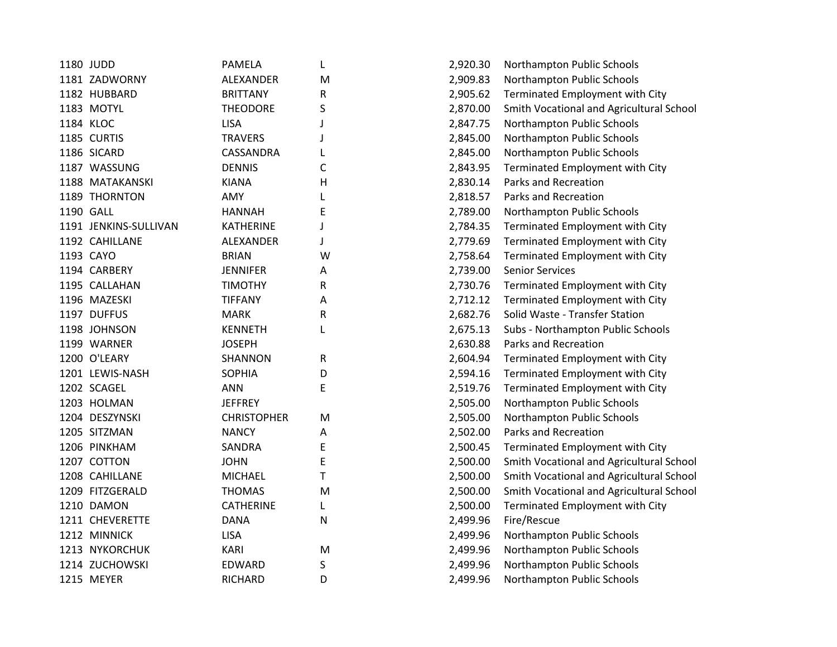| 1180 JUDD             | <b>PAMELA</b>      | L | 2,920.30 | Northampton Public Schools     |
|-----------------------|--------------------|---|----------|--------------------------------|
| 1181 ZADWORNY         | ALEXANDER          | M | 2,909.83 | Northampton Public Schools     |
| 1182 HUBBARD          | <b>BRITTANY</b>    | R | 2,905.62 | Terminated Employment wit      |
| 1183 MOTYL            | <b>THEODORE</b>    | S | 2,870.00 | Smith Vocational and Agricul   |
| 1184 KLOC             | <b>LISA</b>        | J | 2,847.75 | Northampton Public Schools     |
| 1185 CURTIS           | <b>TRAVERS</b>     | J | 2,845.00 | Northampton Public Schools     |
| 1186 SICARD           | CASSANDRA          | L | 2,845.00 | Northampton Public Schools     |
| 1187 WASSUNG          | <b>DENNIS</b>      | C | 2,843.95 | Terminated Employment wit      |
| 1188 MATAKANSKI       | <b>KIANA</b>       | Н | 2,830.14 | Parks and Recreation           |
| 1189 THORNTON         | AMY                | L | 2,818.57 | Parks and Recreation           |
| 1190 GALL             | <b>HANNAH</b>      | E | 2,789.00 | Northampton Public Schools     |
| 1191 JENKINS-SULLIVAN | <b>KATHERINE</b>   | J | 2,784.35 | Terminated Employment wit      |
| 1192 CAHILLANE        | ALEXANDER          | J | 2,779.69 | Terminated Employment wit      |
| 1193 CAYO             | <b>BRIAN</b>       | W | 2,758.64 | Terminated Employment wit      |
| 1194 CARBERY          | <b>JENNIFER</b>    | Α | 2,739.00 | <b>Senior Services</b>         |
| 1195 CALLAHAN         | <b>TIMOTHY</b>     | R | 2,730.76 | Terminated Employment wit      |
| 1196 MAZESKI          | <b>TIFFANY</b>     | Α | 2,712.12 | Terminated Employment wit      |
| 1197 DUFFUS           | <b>MARK</b>        | R | 2,682.76 | Solid Waste - Transfer Statior |
| 1198 JOHNSON          | <b>KENNETH</b>     | L | 2,675.13 | Subs - Northampton Public So   |
| 1199 WARNER           | <b>JOSEPH</b>      |   | 2,630.88 | Parks and Recreation           |
| 1200 O'LEARY          | SHANNON            | R | 2,604.94 | Terminated Employment wit      |
| 1201 LEWIS-NASH       | <b>SOPHIA</b>      | D | 2,594.16 | Terminated Employment wit      |
| 1202 SCAGEL           | <b>ANN</b>         | E | 2,519.76 | Terminated Employment wit      |
| 1203 HOLMAN           | <b>JEFFREY</b>     |   | 2,505.00 | Northampton Public Schools     |
| 1204 DESZYNSKI        | <b>CHRISTOPHER</b> | M | 2,505.00 | Northampton Public Schools     |
| 1205 SITZMAN          | <b>NANCY</b>       | A | 2,502.00 | Parks and Recreation           |
| 1206 PINKHAM          | SANDRA             | E | 2,500.45 | Terminated Employment wit      |
| 1207 COTTON           | <b>JOHN</b>        | E | 2,500.00 | Smith Vocational and Agricul   |
| 1208 CAHILLANE        | <b>MICHAEL</b>     | T | 2,500.00 | Smith Vocational and Agricul   |
| 1209 FITZGERALD       | <b>THOMAS</b>      | M | 2,500.00 | Smith Vocational and Agricul   |
| 1210 DAMON            | <b>CATHERINE</b>   | L | 2,500.00 | Terminated Employment wit      |
| 1211 CHEVERETTE       | <b>DANA</b>        | N | 2,499.96 | Fire/Rescue                    |
| 1212 MINNICK          | <b>LISA</b>        |   | 2,499.96 | Northampton Public Schools     |
| 1213 NYKORCHUK        | <b>KARI</b>        | M | 2,499.96 | Northampton Public Schools     |
| 1214 ZUCHOWSKI        | EDWARD             | S | 2,499.96 | Northampton Public Schools     |
| 1215 MEYER            | RICHARD            | D | 2,499.96 | Northampton Public Schools     |
|                       |                    |   |          |                                |

| L | 2,920.30 | Northampton Public Schools               |
|---|----------|------------------------------------------|
| M | 2,909.83 | Northampton Public Schools               |
| R | 2,905.62 | Terminated Employment with City          |
| S | 2,870.00 | Smith Vocational and Agricultural School |
| J | 2,847.75 | Northampton Public Schools               |
| J | 2,845.00 | Northampton Public Schools               |
| L | 2,845.00 | Northampton Public Schools               |
| C | 2,843.95 | Terminated Employment with City          |
| Н | 2,830.14 | Parks and Recreation                     |
| L | 2,818.57 | Parks and Recreation                     |
| E | 2,789.00 | Northampton Public Schools               |
| J | 2,784.35 | Terminated Employment with City          |
| J | 2,779.69 | Terminated Employment with City          |
| W | 2,758.64 | Terminated Employment with City          |
| A | 2,739.00 | <b>Senior Services</b>                   |
| R | 2,730.76 | Terminated Employment with City          |
| A | 2,712.12 | Terminated Employment with City          |
| R | 2,682.76 | Solid Waste - Transfer Station           |
| L | 2,675.13 | Subs - Northampton Public Schools        |
|   | 2,630.88 | Parks and Recreation                     |
| R | 2,604.94 | Terminated Employment with City          |
| D | 2,594.16 | Terminated Employment with City          |
| E | 2,519.76 | Terminated Employment with City          |
|   | 2,505.00 | Northampton Public Schools               |
| M | 2,505.00 | Northampton Public Schools               |
| A | 2,502.00 | Parks and Recreation                     |
| E | 2,500.45 | Terminated Employment with City          |
| E | 2,500.00 | Smith Vocational and Agricultural School |
| T | 2,500.00 | Smith Vocational and Agricultural School |
| M | 2,500.00 | Smith Vocational and Agricultural School |
| L | 2,500.00 | Terminated Employment with City          |
| N | 2,499.96 | Fire/Rescue                              |
|   | 2,499.96 | Northampton Public Schools               |
| M | 2,499.96 | Northampton Public Schools               |
| S | 2,499.96 | Northampton Public Schools               |
| D | 2,499.96 | Northampton Public Schools               |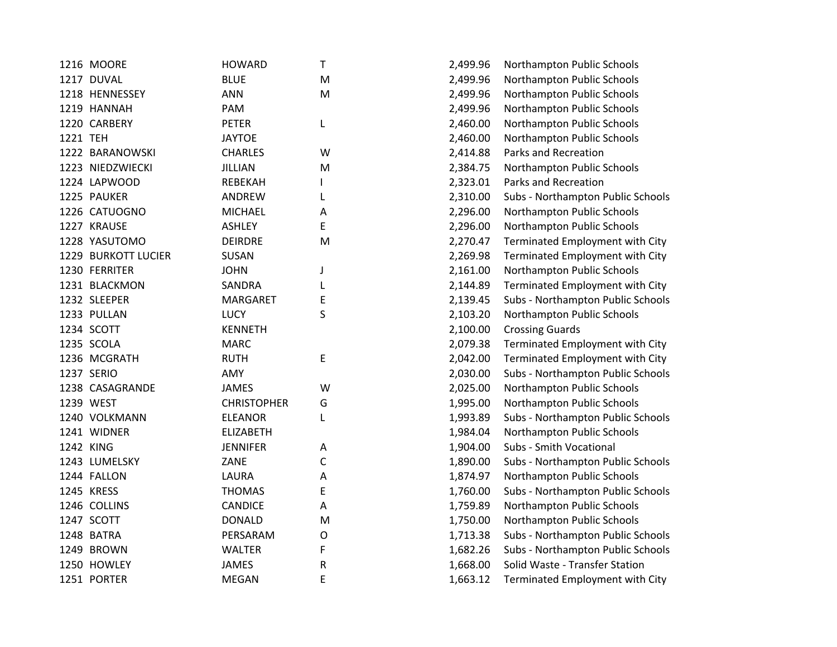|          | 1216 MOORE          | <b>HOWARD</b>      | Τ           | 2,499.96 | Northampton Public Schools        |
|----------|---------------------|--------------------|-------------|----------|-----------------------------------|
|          | 1217 DUVAL          | <b>BLUE</b>        | M           | 2,499.96 | Northampton Public Schools        |
|          | 1218 HENNESSEY      | <b>ANN</b>         | M           | 2,499.96 | Northampton Public Schools        |
|          | 1219 HANNAH         | PAM                |             | 2,499.96 | Northampton Public Schools        |
|          | 1220 CARBERY        | <b>PETER</b>       | L           | 2,460.00 | Northampton Public Schools        |
| 1221 TEH |                     | <b>JAYTOE</b>      |             | 2,460.00 | Northampton Public Schools        |
|          | 1222 BARANOWSKI     | <b>CHARLES</b>     | W           | 2,414.88 | Parks and Recreation              |
|          | 1223 NIEDZWIECKI    | JILLIAN            | M           | 2,384.75 | Northampton Public Schools        |
|          | 1224 LAPWOOD        | REBEKAH            |             | 2,323.01 | Parks and Recreation              |
|          | 1225 PAUKER         | ANDREW             | L           | 2,310.00 | Subs - Northampton Public Schools |
|          | 1226 CATUOGNO       | <b>MICHAEL</b>     | Α           | 2,296.00 | Northampton Public Schools        |
|          | 1227 KRAUSE         | <b>ASHLEY</b>      | E           | 2,296.00 | Northampton Public Schools        |
|          | 1228 YASUTOMO       | <b>DEIRDRE</b>     | M           | 2,270.47 | Terminated Employment with City   |
|          | 1229 BURKOTT LUCIER | SUSAN              |             | 2,269.98 | Terminated Employment with City   |
|          | 1230 FERRITER       | <b>JOHN</b>        | J           | 2,161.00 | Northampton Public Schools        |
|          | 1231 BLACKMON       | SANDRA             | L           | 2,144.89 | Terminated Employment with City   |
|          | 1232 SLEEPER        | <b>MARGARET</b>    | Ε           | 2,139.45 | Subs - Northampton Public Schools |
|          | 1233 PULLAN         | <b>LUCY</b>        | S           | 2,103.20 | Northampton Public Schools        |
|          | 1234 SCOTT          | <b>KENNETH</b>     |             | 2,100.00 | <b>Crossing Guards</b>            |
|          | 1235 SCOLA          | <b>MARC</b>        |             | 2,079.38 | Terminated Employment with City   |
|          | 1236 MCGRATH        | <b>RUTH</b>        | E           | 2,042.00 | Terminated Employment with City   |
|          | 1237 SERIO          | AMY                |             | 2,030.00 | Subs - Northampton Public Schools |
|          | 1238 CASAGRANDE     | <b>JAMES</b>       | W           | 2,025.00 | Northampton Public Schools        |
|          | 1239 WEST           | <b>CHRISTOPHER</b> | G           | 1,995.00 | Northampton Public Schools        |
|          | 1240 VOLKMANN       | <b>ELEANOR</b>     | L           | 1,993.89 | Subs - Northampton Public Schools |
|          | 1241 WIDNER         | <b>ELIZABETH</b>   |             | 1,984.04 | Northampton Public Schools        |
|          | 1242 KING           | <b>JENNIFER</b>    | A           | 1,904.00 | Subs - Smith Vocational           |
|          | 1243 LUMELSKY       | ZANE               | C           | 1,890.00 | Subs - Northampton Public Schools |
|          | 1244 FALLON         | LAURA              | Α           | 1,874.97 | Northampton Public Schools        |
|          | 1245 KRESS          | <b>THOMAS</b>      | Е           | 1,760.00 | Subs - Northampton Public Schools |
|          | 1246 COLLINS        | <b>CANDICE</b>     | Α           | 1,759.89 | Northampton Public Schools        |
|          | 1247 SCOTT          | <b>DONALD</b>      | M           | 1,750.00 | Northampton Public Schools        |
|          | 1248 BATRA          | PERSARAM           | $\mathsf O$ | 1,713.38 | Subs - Northampton Public Schools |
|          | 1249 BROWN          | <b>WALTER</b>      | F           | 1,682.26 | Subs - Northampton Public Schools |
|          | 1250 HOWLEY         | <b>JAMES</b>       | R           | 1,668.00 | Solid Waste - Transfer Station    |
|          | 1251 PORTER         | <b>MEGAN</b>       | E           | 1,663.12 | Terminated Employment with City   |
|          |                     |                    |             |          |                                   |

| 2,499.96 | Northampton Public Schools        |
|----------|-----------------------------------|
| 2,499.96 | Northampton Public Schools        |
| 2,499.96 | Northampton Public Schools        |
| 2,499.96 | Northampton Public Schools        |
| 2,460.00 | Northampton Public Schools        |
| 2,460.00 | Northampton Public Schools        |
| 2,414.88 | <b>Parks and Recreation</b>       |
| 2,384.75 | Northampton Public Schools        |
| 2,323.01 | Parks and Recreation              |
| 2,310.00 | Subs - Northampton Public Schools |
| 2,296.00 | Northampton Public Schools        |
| 2,296.00 | Northampton Public Schools        |
| 2,270.47 | Terminated Employment with City   |
| 2,269.98 | Terminated Employment with City   |
| 2,161.00 | Northampton Public Schools        |
| 2,144.89 | Terminated Employment with City   |
| 2,139.45 | Subs - Northampton Public Schools |
| 2,103.20 | Northampton Public Schools        |
| 2,100.00 | <b>Crossing Guards</b>            |
| 2,079.38 | Terminated Employment with City   |
| 2,042.00 | Terminated Employment with City   |
| 2,030.00 | Subs - Northampton Public Schools |
| 2,025.00 | Northampton Public Schools        |
| 1,995.00 | Northampton Public Schools        |
| 1,993.89 | Subs - Northampton Public Schools |
| 1,984.04 | Northampton Public Schools        |
| 1,904.00 | Subs - Smith Vocational           |
| 1,890.00 | Subs - Northampton Public Schools |
| 1,874.97 | Northampton Public Schools        |
| 1,760.00 | Subs - Northampton Public Schools |
| 1,759.89 | Northampton Public Schools        |
| 1,750.00 | Northampton Public Schools        |
| 1,713.38 | Subs - Northampton Public Schools |
| 1,682.26 | Subs - Northampton Public Schools |
| 1,668.00 | Solid Waste - Transfer Station    |
| 1,663.12 | Terminated Employment with City   |
|          |                                   |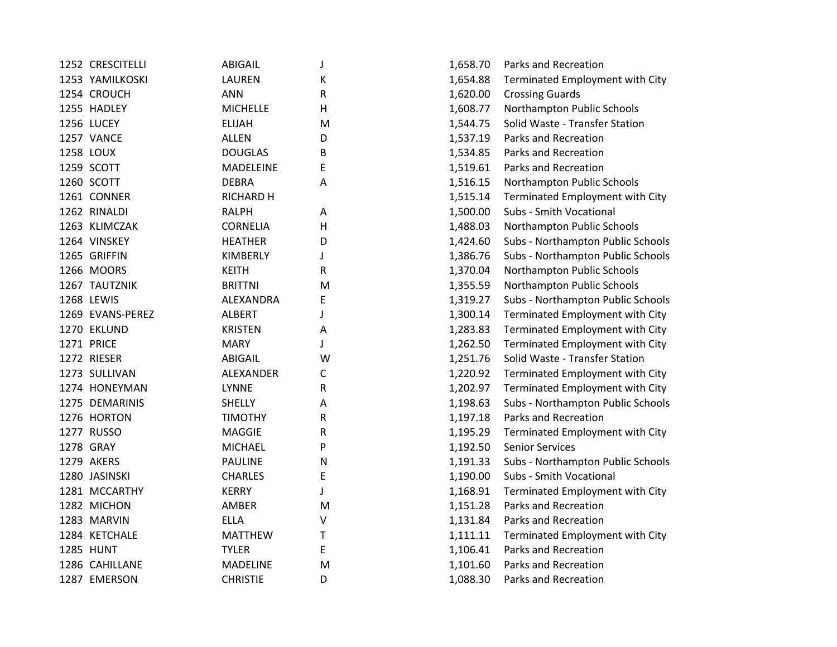| 1252 CRESCITELLI | <b>ABIGAIL</b>   | J         | 1,658.70 | Parks and Recreation             |
|------------------|------------------|-----------|----------|----------------------------------|
| 1253 YAMILKOSKI  | LAUREN           | Κ         | 1,654.88 | Terminated Employment with City  |
| 1254 CROUCH      | <b>ANN</b>       | R         | 1,620.00 | <b>Crossing Guards</b>           |
| 1255 HADLEY      | <b>MICHELLE</b>  | Н         | 1,608.77 | Northampton Public Schools       |
| 1256 LUCEY       | <b>ELIJAH</b>    | M         | 1,544.75 | Solid Waste - Transfer Station   |
| 1257 VANCE       | <b>ALLEN</b>     | D         | 1,537.19 | Parks and Recreation             |
| 1258 LOUX        | <b>DOUGLAS</b>   | B         | 1,534.85 | Parks and Recreation             |
| 1259 SCOTT       | MADELEINE        | E         | 1,519.61 | Parks and Recreation             |
| 1260 SCOTT       | <b>DEBRA</b>     | Α         | 1,516.15 | Northampton Public Schools       |
| 1261 CONNER      | <b>RICHARD H</b> |           | 1,515.14 | Terminated Employment with City  |
| 1262 RINALDI     | <b>RALPH</b>     | Α         | 1,500.00 | Subs - Smith Vocational          |
| 1263 KLIMCZAK    | <b>CORNELIA</b>  | н         | 1,488.03 | Northampton Public Schools       |
| 1264 VINSKEY     | <b>HEATHER</b>   | D         | 1,424.60 | Subs - Northampton Public School |
| 1265 GRIFFIN     | KIMBERLY         | J         | 1,386.76 | Subs - Northampton Public School |
| 1266 MOORS       | <b>KEITH</b>     | R         | 1,370.04 | Northampton Public Schools       |
| 1267 TAUTZNIK    | <b>BRITTNI</b>   | M         | 1,355.59 | Northampton Public Schools       |
| 1268 LEWIS       | ALEXANDRA        | Ε         | 1,319.27 | Subs - Northampton Public School |
| 1269 EVANS-PEREZ | <b>ALBERT</b>    | J         | 1,300.14 | Terminated Employment with City  |
| 1270 EKLUND      | <b>KRISTEN</b>   | A         | 1,283.83 | Terminated Employment with City  |
| 1271 PRICE       | <b>MARY</b>      | J         | 1,262.50 | Terminated Employment with City  |
| 1272 RIESER      | ABIGAIL          | W         | 1,251.76 | Solid Waste - Transfer Station   |
| 1273 SULLIVAN    | ALEXANDER        | С         | 1,220.92 | Terminated Employment with City  |
| 1274 HONEYMAN    | <b>LYNNE</b>     | R         | 1,202.97 | Terminated Employment with City  |
| 1275 DEMARINIS   | <b>SHELLY</b>    | Α         | 1,198.63 | Subs - Northampton Public School |
| 1276 HORTON      | <b>TIMOTHY</b>   | R         | 1,197.18 | Parks and Recreation             |
| 1277 RUSSO       | <b>MAGGIE</b>    | R         | 1,195.29 | Terminated Employment with City  |
| 1278 GRAY        | <b>MICHAEL</b>   | P         | 1,192.50 | <b>Senior Services</b>           |
| 1279 AKERS       | <b>PAULINE</b>   | N         | 1,191.33 | Subs - Northampton Public School |
| 1280 JASINSKI    | <b>CHARLES</b>   | Ε         | 1,190.00 | Subs - Smith Vocational          |
| 1281 MCCARTHY    | <b>KERRY</b>     | J         | 1,168.91 | Terminated Employment with City  |
| 1282 MICHON      | AMBER            | M         | 1,151.28 | Parks and Recreation             |
| 1283 MARVIN      | <b>ELLA</b>      | V         | 1,131.84 | Parks and Recreation             |
| 1284 KETCHALE    | <b>MATTHEW</b>   | T         | 1,111.11 | Terminated Employment with City  |
| <b>1285 HUNT</b> | <b>TYLER</b>     | E         | 1,106.41 | Parks and Recreation             |
| 1286 CAHILLANE   | MADELINE         | ${\sf M}$ | 1,101.60 | Parks and Recreation             |
| 1287 EMERSON     | <b>CHRISTIE</b>  | D         | 1,088.30 | Parks and Recreation             |
|                  |                  |           |          |                                  |

| J | 1,658.70 | Parks and Recreation              |
|---|----------|-----------------------------------|
| K | 1,654.88 | Terminated Employment with City   |
| R | 1,620.00 | <b>Crossing Guards</b>            |
| H | 1,608.77 | Northampton Public Schools        |
| M | 1,544.75 | Solid Waste - Transfer Station    |
| D | 1,537.19 | Parks and Recreation              |
| B | 1,534.85 | Parks and Recreation              |
| E | 1,519.61 | Parks and Recreation              |
| A | 1,516.15 | Northampton Public Schools        |
|   | 1,515.14 | Terminated Employment with City   |
| A | 1,500.00 | Subs - Smith Vocational           |
| Н | 1,488.03 | Northampton Public Schools        |
| D | 1,424.60 | Subs - Northampton Public Schools |
| J | 1,386.76 | Subs - Northampton Public Schools |
| R | 1,370.04 | Northampton Public Schools        |
| M | 1,355.59 | Northampton Public Schools        |
| E | 1,319.27 | Subs - Northampton Public Schools |
| J | 1,300.14 | Terminated Employment with City   |
| A | 1,283.83 | Terminated Employment with City   |
| J | 1,262.50 | Terminated Employment with City   |
| W | 1,251.76 | Solid Waste - Transfer Station    |
| С | 1,220.92 | Terminated Employment with City   |
| R | 1,202.97 | Terminated Employment with City   |
| A | 1,198.63 | Subs - Northampton Public Schools |
| R | 1,197.18 | Parks and Recreation              |
| R | 1,195.29 | Terminated Employment with City   |
| P | 1,192.50 | <b>Senior Services</b>            |
| Ν | 1,191.33 | Subs - Northampton Public Schools |
| E | 1,190.00 | Subs - Smith Vocational           |
| J | 1,168.91 | Terminated Employment with City   |
| M | 1,151.28 | Parks and Recreation              |
| V | 1,131.84 | Parks and Recreation              |
| T | 1,111.11 | Terminated Employment with City   |
| E | 1,106.41 | Parks and Recreation              |
| M | 1,101.60 | Parks and Recreation              |
| D | 1,088.30 | Parks and Recreation              |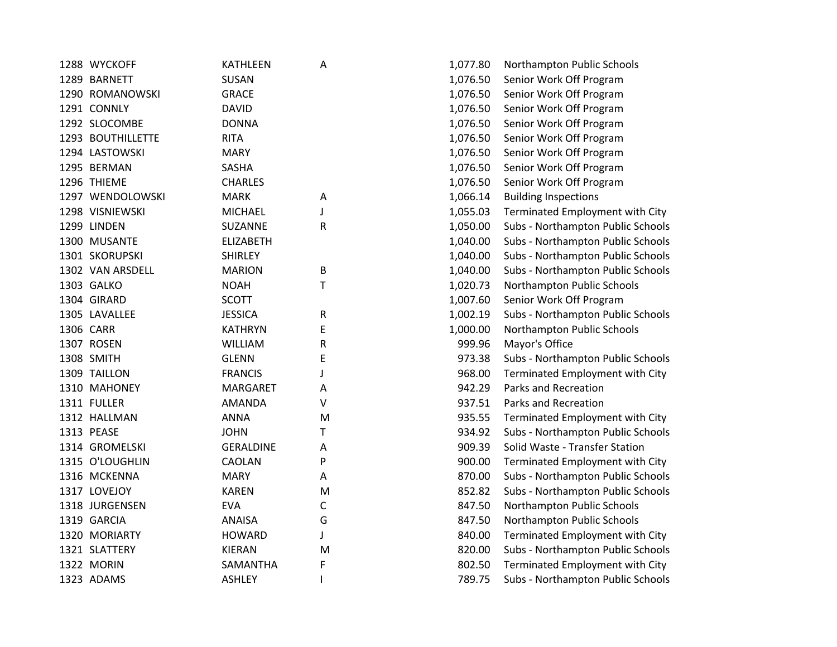| 1288 WYCKOFF      | <b>KATHLEEN</b>  | Α | 1,077.80 | Northampton Public Schools        |
|-------------------|------------------|---|----------|-----------------------------------|
| 1289 BARNETT      | SUSAN            |   | 1,076.50 | Senior Work Off Program           |
| 1290 ROMANOWSKI   | <b>GRACE</b>     |   | 1,076.50 | Senior Work Off Program           |
| 1291 CONNLY       | <b>DAVID</b>     |   | 1,076.50 | Senior Work Off Program           |
| 1292 SLOCOMBE     | <b>DONNA</b>     |   | 1,076.50 | Senior Work Off Program           |
| 1293 BOUTHILLETTE | <b>RITA</b>      |   | 1,076.50 | Senior Work Off Program           |
| 1294 LASTOWSKI    | <b>MARY</b>      |   | 1,076.50 | Senior Work Off Program           |
| 1295 BERMAN       | SASHA            |   | 1,076.50 | Senior Work Off Program           |
| 1296 THIEME       | <b>CHARLES</b>   |   | 1,076.50 | Senior Work Off Program           |
| 1297 WENDOLOWSKI  | <b>MARK</b>      | А | 1,066.14 | <b>Building Inspections</b>       |
| 1298 VISNIEWSKI   | <b>MICHAEL</b>   | J | 1,055.03 | Terminated Employment with City   |
| 1299 LINDEN       | SUZANNE          | R | 1,050.00 | Subs - Northampton Public Schools |
| 1300 MUSANTE      | <b>ELIZABETH</b> |   | 1,040.00 | Subs - Northampton Public Schools |
| 1301 SKORUPSKI    | <b>SHIRLEY</b>   |   | 1,040.00 | Subs - Northampton Public Schools |
| 1302 VAN ARSDELL  | <b>MARION</b>    | B | 1,040.00 | Subs - Northampton Public Schools |
| 1303 GALKO        | <b>NOAH</b>      | Τ | 1,020.73 | Northampton Public Schools        |
| 1304 GIRARD       | <b>SCOTT</b>     |   | 1,007.60 | Senior Work Off Program           |
| 1305 LAVALLEE     | <b>JESSICA</b>   | R | 1,002.19 | Subs - Northampton Public Schools |
| 1306 CARR         | <b>KATHRYN</b>   | E | 1,000.00 | Northampton Public Schools        |
| 1307 ROSEN        | <b>WILLIAM</b>   | R | 999.96   | Mayor's Office                    |
| 1308 SMITH        | <b>GLENN</b>     | E | 973.38   | Subs - Northampton Public Schools |
| 1309 TAILLON      | <b>FRANCIS</b>   | J | 968.00   | Terminated Employment with City   |
| 1310 MAHONEY      | <b>MARGARET</b>  | Α | 942.29   | Parks and Recreation              |
| 1311 FULLER       | <b>AMANDA</b>    | ٧ | 937.51   | Parks and Recreation              |
| 1312 HALLMAN      | <b>ANNA</b>      | M | 935.55   | Terminated Employment with City   |
| 1313 PEASE        | <b>JOHN</b>      | т | 934.92   | Subs - Northampton Public Schools |
| 1314 GROMELSKI    | <b>GERALDINE</b> | Α | 909.39   | Solid Waste - Transfer Station    |
| 1315 O'LOUGHLIN   | CAOLAN           | P | 900.00   | Terminated Employment with City   |
| 1316 MCKENNA      | <b>MARY</b>      | А | 870.00   | Subs - Northampton Public Schools |
| 1317 LOVEJOY      | <b>KAREN</b>     | M | 852.82   | Subs - Northampton Public Schools |
| 1318 JURGENSEN    | <b>EVA</b>       | C | 847.50   | Northampton Public Schools        |
| 1319 GARCIA       | <b>ANAISA</b>    | G | 847.50   | Northampton Public Schools        |
| 1320 MORIARTY     | <b>HOWARD</b>    | J | 840.00   | Terminated Employment with City   |
| 1321 SLATTERY     | <b>KIERAN</b>    | M | 820.00   | Subs - Northampton Public Schools |
| 1322 MORIN        | SAMANTHA         | F | 802.50   | Terminated Employment with City   |
| 1323 ADAMS        | <b>ASHLEY</b>    | T | 789.75   | Subs - Northampton Public Schools |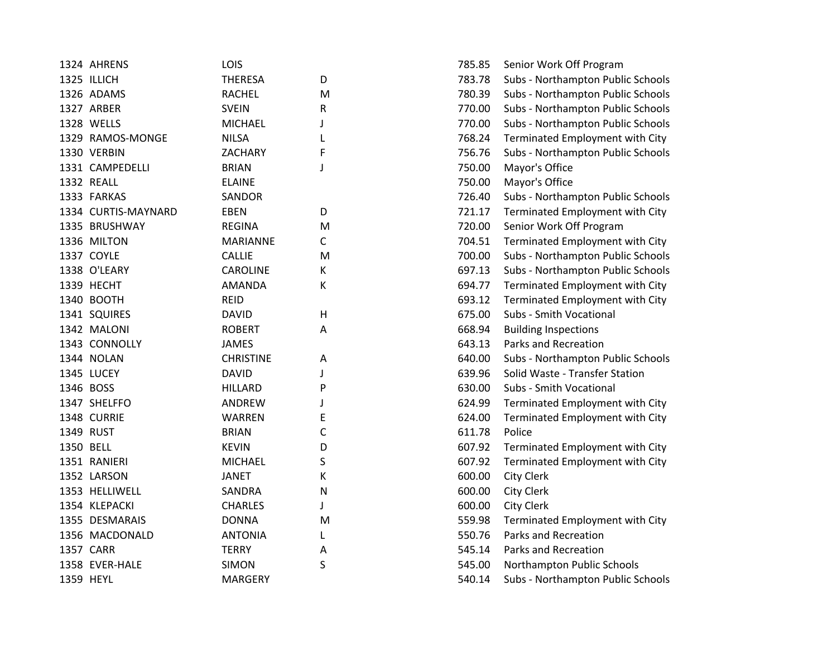| 783.78<br>1325 ILLICH<br><b>THERESA</b><br>D<br>780.39<br>1326 ADAMS<br><b>RACHEL</b><br>M<br>1327 ARBER<br><b>SVEIN</b><br>770.00<br>R<br>1328 WELLS<br>770.00<br><b>MICHAEL</b><br>J<br><b>NILSA</b><br>768.24<br>1329 RAMOS-MONGE<br>Terminated Employment with City<br>L<br>1330 VERBIN<br>756.76<br>ZACHARY<br>F<br>1331 CAMPEDELLI<br>750.00<br>Mayor's Office<br><b>BRIAN</b><br>J<br>1332 REALL<br>750.00<br><b>ELAINE</b><br>Mayor's Office<br>726.40<br>1333 FARKAS<br><b>SANDOR</b><br>1334 CURTIS-MAYNARD<br><b>EBEN</b><br>D<br>721.17<br>Terminated Employment with City<br>720.00<br>1335 BRUSHWAY<br><b>REGINA</b><br>Senior Work Off Program<br>M<br>1336 MILTON<br><b>MARIANNE</b><br>C<br>704.51<br>Terminated Employment with City<br>1337 COYLE<br>700.00<br><b>CALLIE</b><br>M<br>1338 O'LEARY<br>К<br>697.13<br><b>CAROLINE</b><br>1339 HECHT<br>К<br>694.77<br><b>AMANDA</b><br>Terminated Employment with City<br>1340 BOOTH<br><b>REID</b><br>693.12<br>Terminated Employment with City<br>1341 SQUIRES<br>H<br>675.00<br>Subs - Smith Vocational<br><b>DAVID</b><br>668.94<br>1342 MALONI<br><b>ROBERT</b><br>Α<br><b>Building Inspections</b><br>1343 CONNOLLY<br><b>JAMES</b><br>643.13<br>Parks and Recreation<br>1344 NOLAN<br><b>CHRISTINE</b><br>640.00<br>A<br>Solid Waste - Transfer Station<br>1345 LUCEY<br><b>DAVID</b><br>639.96<br>J<br>1346 BOSS<br>630.00<br>Subs - Smith Vocational<br><b>HILLARD</b><br>P<br>1347 SHELFFO<br>ANDREW<br>624.99<br>Terminated Employment with City<br>J<br>1348 CURRIE<br>WARREN<br>E<br>624.00<br>Terminated Employment with City<br>1349 RUST<br><b>BRIAN</b><br>C<br>611.78<br>Police<br>1350 BELL<br>607.92<br><b>KEVIN</b><br>D<br>Terminated Employment with City<br>S<br>607.92<br>1351 RANIERI<br><b>MICHAEL</b><br>Terminated Employment with City<br>1352 LARSON<br>К<br>600.00<br><b>City Clerk</b><br><b>JANET</b><br>1353 HELLIWELL<br>SANDRA<br>$\mathsf{N}$<br>600.00<br><b>City Clerk</b><br>1354 KLEPACKI<br><b>CHARLES</b><br>600.00<br><b>City Clerk</b><br>J<br>1355 DESMARAIS<br><b>DONNA</b><br>559.98<br>M<br>Terminated Employment with City<br>1356 MACDONALD<br><b>ANTONIA</b><br>550.76<br>Parks and Recreation<br>L<br>1357 CARR<br><b>TERRY</b><br>545.14<br>Parks and Recreation<br>А<br>S<br>1358 EVER-HALE<br><b>SIMON</b><br>545.00<br>Northampton Public Schools<br>1359 HEYL<br><b>MARGERY</b><br>540.14 | 1324 AHRENS | LOIS | 785.85 | Senior Work Off Program           |
|-----------------------------------------------------------------------------------------------------------------------------------------------------------------------------------------------------------------------------------------------------------------------------------------------------------------------------------------------------------------------------------------------------------------------------------------------------------------------------------------------------------------------------------------------------------------------------------------------------------------------------------------------------------------------------------------------------------------------------------------------------------------------------------------------------------------------------------------------------------------------------------------------------------------------------------------------------------------------------------------------------------------------------------------------------------------------------------------------------------------------------------------------------------------------------------------------------------------------------------------------------------------------------------------------------------------------------------------------------------------------------------------------------------------------------------------------------------------------------------------------------------------------------------------------------------------------------------------------------------------------------------------------------------------------------------------------------------------------------------------------------------------------------------------------------------------------------------------------------------------------------------------------------------------------------------------------------------------------------------------------------------------------------------------------------------------------------------------------------------------------------------------------------------------------------------------------------------------------------------------------------------------------------------------------------------------------------------------------------------------------------------------------------------------------|-------------|------|--------|-----------------------------------|
|                                                                                                                                                                                                                                                                                                                                                                                                                                                                                                                                                                                                                                                                                                                                                                                                                                                                                                                                                                                                                                                                                                                                                                                                                                                                                                                                                                                                                                                                                                                                                                                                                                                                                                                                                                                                                                                                                                                                                                                                                                                                                                                                                                                                                                                                                                                                                                                                                       |             |      |        | Subs - Northampton Public Schools |
|                                                                                                                                                                                                                                                                                                                                                                                                                                                                                                                                                                                                                                                                                                                                                                                                                                                                                                                                                                                                                                                                                                                                                                                                                                                                                                                                                                                                                                                                                                                                                                                                                                                                                                                                                                                                                                                                                                                                                                                                                                                                                                                                                                                                                                                                                                                                                                                                                       |             |      |        | Subs - Northampton Public Schools |
|                                                                                                                                                                                                                                                                                                                                                                                                                                                                                                                                                                                                                                                                                                                                                                                                                                                                                                                                                                                                                                                                                                                                                                                                                                                                                                                                                                                                                                                                                                                                                                                                                                                                                                                                                                                                                                                                                                                                                                                                                                                                                                                                                                                                                                                                                                                                                                                                                       |             |      |        | Subs - Northampton Public Schools |
|                                                                                                                                                                                                                                                                                                                                                                                                                                                                                                                                                                                                                                                                                                                                                                                                                                                                                                                                                                                                                                                                                                                                                                                                                                                                                                                                                                                                                                                                                                                                                                                                                                                                                                                                                                                                                                                                                                                                                                                                                                                                                                                                                                                                                                                                                                                                                                                                                       |             |      |        | Subs - Northampton Public Schools |
|                                                                                                                                                                                                                                                                                                                                                                                                                                                                                                                                                                                                                                                                                                                                                                                                                                                                                                                                                                                                                                                                                                                                                                                                                                                                                                                                                                                                                                                                                                                                                                                                                                                                                                                                                                                                                                                                                                                                                                                                                                                                                                                                                                                                                                                                                                                                                                                                                       |             |      |        |                                   |
|                                                                                                                                                                                                                                                                                                                                                                                                                                                                                                                                                                                                                                                                                                                                                                                                                                                                                                                                                                                                                                                                                                                                                                                                                                                                                                                                                                                                                                                                                                                                                                                                                                                                                                                                                                                                                                                                                                                                                                                                                                                                                                                                                                                                                                                                                                                                                                                                                       |             |      |        | Subs - Northampton Public Schools |
|                                                                                                                                                                                                                                                                                                                                                                                                                                                                                                                                                                                                                                                                                                                                                                                                                                                                                                                                                                                                                                                                                                                                                                                                                                                                                                                                                                                                                                                                                                                                                                                                                                                                                                                                                                                                                                                                                                                                                                                                                                                                                                                                                                                                                                                                                                                                                                                                                       |             |      |        |                                   |
|                                                                                                                                                                                                                                                                                                                                                                                                                                                                                                                                                                                                                                                                                                                                                                                                                                                                                                                                                                                                                                                                                                                                                                                                                                                                                                                                                                                                                                                                                                                                                                                                                                                                                                                                                                                                                                                                                                                                                                                                                                                                                                                                                                                                                                                                                                                                                                                                                       |             |      |        |                                   |
|                                                                                                                                                                                                                                                                                                                                                                                                                                                                                                                                                                                                                                                                                                                                                                                                                                                                                                                                                                                                                                                                                                                                                                                                                                                                                                                                                                                                                                                                                                                                                                                                                                                                                                                                                                                                                                                                                                                                                                                                                                                                                                                                                                                                                                                                                                                                                                                                                       |             |      |        | Subs - Northampton Public Schools |
|                                                                                                                                                                                                                                                                                                                                                                                                                                                                                                                                                                                                                                                                                                                                                                                                                                                                                                                                                                                                                                                                                                                                                                                                                                                                                                                                                                                                                                                                                                                                                                                                                                                                                                                                                                                                                                                                                                                                                                                                                                                                                                                                                                                                                                                                                                                                                                                                                       |             |      |        |                                   |
|                                                                                                                                                                                                                                                                                                                                                                                                                                                                                                                                                                                                                                                                                                                                                                                                                                                                                                                                                                                                                                                                                                                                                                                                                                                                                                                                                                                                                                                                                                                                                                                                                                                                                                                                                                                                                                                                                                                                                                                                                                                                                                                                                                                                                                                                                                                                                                                                                       |             |      |        |                                   |
|                                                                                                                                                                                                                                                                                                                                                                                                                                                                                                                                                                                                                                                                                                                                                                                                                                                                                                                                                                                                                                                                                                                                                                                                                                                                                                                                                                                                                                                                                                                                                                                                                                                                                                                                                                                                                                                                                                                                                                                                                                                                                                                                                                                                                                                                                                                                                                                                                       |             |      |        |                                   |
|                                                                                                                                                                                                                                                                                                                                                                                                                                                                                                                                                                                                                                                                                                                                                                                                                                                                                                                                                                                                                                                                                                                                                                                                                                                                                                                                                                                                                                                                                                                                                                                                                                                                                                                                                                                                                                                                                                                                                                                                                                                                                                                                                                                                                                                                                                                                                                                                                       |             |      |        | Subs - Northampton Public Schools |
|                                                                                                                                                                                                                                                                                                                                                                                                                                                                                                                                                                                                                                                                                                                                                                                                                                                                                                                                                                                                                                                                                                                                                                                                                                                                                                                                                                                                                                                                                                                                                                                                                                                                                                                                                                                                                                                                                                                                                                                                                                                                                                                                                                                                                                                                                                                                                                                                                       |             |      |        | Subs - Northampton Public Schools |
|                                                                                                                                                                                                                                                                                                                                                                                                                                                                                                                                                                                                                                                                                                                                                                                                                                                                                                                                                                                                                                                                                                                                                                                                                                                                                                                                                                                                                                                                                                                                                                                                                                                                                                                                                                                                                                                                                                                                                                                                                                                                                                                                                                                                                                                                                                                                                                                                                       |             |      |        |                                   |
|                                                                                                                                                                                                                                                                                                                                                                                                                                                                                                                                                                                                                                                                                                                                                                                                                                                                                                                                                                                                                                                                                                                                                                                                                                                                                                                                                                                                                                                                                                                                                                                                                                                                                                                                                                                                                                                                                                                                                                                                                                                                                                                                                                                                                                                                                                                                                                                                                       |             |      |        |                                   |
|                                                                                                                                                                                                                                                                                                                                                                                                                                                                                                                                                                                                                                                                                                                                                                                                                                                                                                                                                                                                                                                                                                                                                                                                                                                                                                                                                                                                                                                                                                                                                                                                                                                                                                                                                                                                                                                                                                                                                                                                                                                                                                                                                                                                                                                                                                                                                                                                                       |             |      |        |                                   |
|                                                                                                                                                                                                                                                                                                                                                                                                                                                                                                                                                                                                                                                                                                                                                                                                                                                                                                                                                                                                                                                                                                                                                                                                                                                                                                                                                                                                                                                                                                                                                                                                                                                                                                                                                                                                                                                                                                                                                                                                                                                                                                                                                                                                                                                                                                                                                                                                                       |             |      |        |                                   |
|                                                                                                                                                                                                                                                                                                                                                                                                                                                                                                                                                                                                                                                                                                                                                                                                                                                                                                                                                                                                                                                                                                                                                                                                                                                                                                                                                                                                                                                                                                                                                                                                                                                                                                                                                                                                                                                                                                                                                                                                                                                                                                                                                                                                                                                                                                                                                                                                                       |             |      |        |                                   |
|                                                                                                                                                                                                                                                                                                                                                                                                                                                                                                                                                                                                                                                                                                                                                                                                                                                                                                                                                                                                                                                                                                                                                                                                                                                                                                                                                                                                                                                                                                                                                                                                                                                                                                                                                                                                                                                                                                                                                                                                                                                                                                                                                                                                                                                                                                                                                                                                                       |             |      |        | Subs - Northampton Public Schools |
|                                                                                                                                                                                                                                                                                                                                                                                                                                                                                                                                                                                                                                                                                                                                                                                                                                                                                                                                                                                                                                                                                                                                                                                                                                                                                                                                                                                                                                                                                                                                                                                                                                                                                                                                                                                                                                                                                                                                                                                                                                                                                                                                                                                                                                                                                                                                                                                                                       |             |      |        |                                   |
|                                                                                                                                                                                                                                                                                                                                                                                                                                                                                                                                                                                                                                                                                                                                                                                                                                                                                                                                                                                                                                                                                                                                                                                                                                                                                                                                                                                                                                                                                                                                                                                                                                                                                                                                                                                                                                                                                                                                                                                                                                                                                                                                                                                                                                                                                                                                                                                                                       |             |      |        |                                   |
|                                                                                                                                                                                                                                                                                                                                                                                                                                                                                                                                                                                                                                                                                                                                                                                                                                                                                                                                                                                                                                                                                                                                                                                                                                                                                                                                                                                                                                                                                                                                                                                                                                                                                                                                                                                                                                                                                                                                                                                                                                                                                                                                                                                                                                                                                                                                                                                                                       |             |      |        |                                   |
|                                                                                                                                                                                                                                                                                                                                                                                                                                                                                                                                                                                                                                                                                                                                                                                                                                                                                                                                                                                                                                                                                                                                                                                                                                                                                                                                                                                                                                                                                                                                                                                                                                                                                                                                                                                                                                                                                                                                                                                                                                                                                                                                                                                                                                                                                                                                                                                                                       |             |      |        |                                   |
|                                                                                                                                                                                                                                                                                                                                                                                                                                                                                                                                                                                                                                                                                                                                                                                                                                                                                                                                                                                                                                                                                                                                                                                                                                                                                                                                                                                                                                                                                                                                                                                                                                                                                                                                                                                                                                                                                                                                                                                                                                                                                                                                                                                                                                                                                                                                                                                                                       |             |      |        |                                   |
|                                                                                                                                                                                                                                                                                                                                                                                                                                                                                                                                                                                                                                                                                                                                                                                                                                                                                                                                                                                                                                                                                                                                                                                                                                                                                                                                                                                                                                                                                                                                                                                                                                                                                                                                                                                                                                                                                                                                                                                                                                                                                                                                                                                                                                                                                                                                                                                                                       |             |      |        |                                   |
|                                                                                                                                                                                                                                                                                                                                                                                                                                                                                                                                                                                                                                                                                                                                                                                                                                                                                                                                                                                                                                                                                                                                                                                                                                                                                                                                                                                                                                                                                                                                                                                                                                                                                                                                                                                                                                                                                                                                                                                                                                                                                                                                                                                                                                                                                                                                                                                                                       |             |      |        |                                   |
|                                                                                                                                                                                                                                                                                                                                                                                                                                                                                                                                                                                                                                                                                                                                                                                                                                                                                                                                                                                                                                                                                                                                                                                                                                                                                                                                                                                                                                                                                                                                                                                                                                                                                                                                                                                                                                                                                                                                                                                                                                                                                                                                                                                                                                                                                                                                                                                                                       |             |      |        |                                   |
|                                                                                                                                                                                                                                                                                                                                                                                                                                                                                                                                                                                                                                                                                                                                                                                                                                                                                                                                                                                                                                                                                                                                                                                                                                                                                                                                                                                                                                                                                                                                                                                                                                                                                                                                                                                                                                                                                                                                                                                                                                                                                                                                                                                                                                                                                                                                                                                                                       |             |      |        |                                   |
|                                                                                                                                                                                                                                                                                                                                                                                                                                                                                                                                                                                                                                                                                                                                                                                                                                                                                                                                                                                                                                                                                                                                                                                                                                                                                                                                                                                                                                                                                                                                                                                                                                                                                                                                                                                                                                                                                                                                                                                                                                                                                                                                                                                                                                                                                                                                                                                                                       |             |      |        |                                   |
|                                                                                                                                                                                                                                                                                                                                                                                                                                                                                                                                                                                                                                                                                                                                                                                                                                                                                                                                                                                                                                                                                                                                                                                                                                                                                                                                                                                                                                                                                                                                                                                                                                                                                                                                                                                                                                                                                                                                                                                                                                                                                                                                                                                                                                                                                                                                                                                                                       |             |      |        |                                   |
|                                                                                                                                                                                                                                                                                                                                                                                                                                                                                                                                                                                                                                                                                                                                                                                                                                                                                                                                                                                                                                                                                                                                                                                                                                                                                                                                                                                                                                                                                                                                                                                                                                                                                                                                                                                                                                                                                                                                                                                                                                                                                                                                                                                                                                                                                                                                                                                                                       |             |      |        |                                   |
|                                                                                                                                                                                                                                                                                                                                                                                                                                                                                                                                                                                                                                                                                                                                                                                                                                                                                                                                                                                                                                                                                                                                                                                                                                                                                                                                                                                                                                                                                                                                                                                                                                                                                                                                                                                                                                                                                                                                                                                                                                                                                                                                                                                                                                                                                                                                                                                                                       |             |      |        |                                   |
|                                                                                                                                                                                                                                                                                                                                                                                                                                                                                                                                                                                                                                                                                                                                                                                                                                                                                                                                                                                                                                                                                                                                                                                                                                                                                                                                                                                                                                                                                                                                                                                                                                                                                                                                                                                                                                                                                                                                                                                                                                                                                                                                                                                                                                                                                                                                                                                                                       |             |      |        |                                   |
|                                                                                                                                                                                                                                                                                                                                                                                                                                                                                                                                                                                                                                                                                                                                                                                                                                                                                                                                                                                                                                                                                                                                                                                                                                                                                                                                                                                                                                                                                                                                                                                                                                                                                                                                                                                                                                                                                                                                                                                                                                                                                                                                                                                                                                                                                                                                                                                                                       |             |      |        | Subs - Northampton Public Schools |

|   | 785.85 | Senior Work Off Program           |
|---|--------|-----------------------------------|
| D | 783.78 | Subs - Northampton Public Schools |
| M | 780.39 | Subs - Northampton Public Schools |
| R | 770.00 | Subs - Northampton Public Schools |
| J | 770.00 | Subs - Northampton Public Schools |
| L | 768.24 | Terminated Employment with City   |
| F | 756.76 | Subs - Northampton Public Schools |
| J | 750.00 | Mayor's Office                    |
|   | 750.00 | Mayor's Office                    |
|   | 726.40 | Subs - Northampton Public Schools |
| D | 721.17 | Terminated Employment with City   |
| M | 720.00 | Senior Work Off Program           |
| C | 704.51 | Terminated Employment with City   |
| M | 700.00 | Subs - Northampton Public Schools |
| K | 697.13 | Subs - Northampton Public Schools |
| Κ | 694.77 | Terminated Employment with City   |
|   | 693.12 | Terminated Employment with City   |
| н | 675.00 | Subs - Smith Vocational           |
| А | 668.94 | <b>Building Inspections</b>       |
|   | 643.13 | Parks and Recreation              |
| A | 640.00 | Subs - Northampton Public Schools |
| J | 639.96 | Solid Waste - Transfer Station    |
| P | 630.00 | Subs - Smith Vocational           |
| J | 624.99 | Terminated Employment with City   |
| E | 624.00 | Terminated Employment with City   |
| C | 611.78 | Police                            |
| D | 607.92 | Terminated Employment with City   |
| S | 607.92 | Terminated Employment with City   |
| K | 600.00 | <b>City Clerk</b>                 |
| Ν | 600.00 | <b>City Clerk</b>                 |
| J | 600.00 | <b>City Clerk</b>                 |
| M | 559.98 | Terminated Employment with City   |
| L | 550.76 | Parks and Recreation              |
| A | 545.14 | Parks and Recreation              |
| S | 545.00 | Northampton Public Schools        |
|   | 540.14 | Subs - Northampton Public Schools |
|   |        |                                   |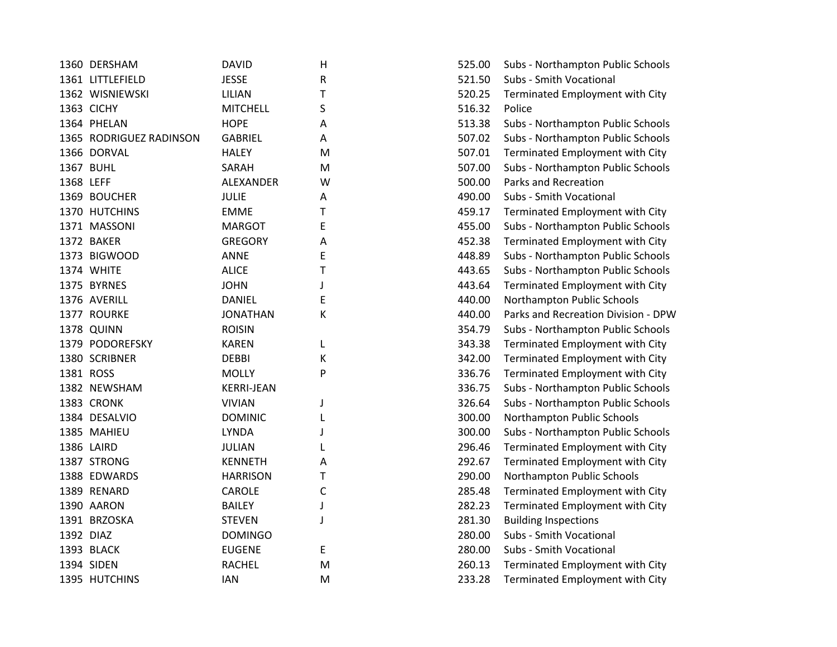|           | 1360 DERSHAM            | <b>DAVID</b>      | $\mathsf{H}$ | 525.00 | Subs - Northampton Public Schools   |
|-----------|-------------------------|-------------------|--------------|--------|-------------------------------------|
|           | 1361 LITTLEFIELD        | <b>JESSE</b>      | R            | 521.50 | Subs - Smith Vocational             |
|           | 1362 WISNIEWSKI         | LILIAN            | Т            | 520.25 | Terminated Employment with City     |
|           | 1363 CICHY              | <b>MITCHELL</b>   | S            | 516.32 | Police                              |
|           | 1364 PHELAN             | <b>HOPE</b>       | Α            | 513.38 | Subs - Northampton Public Schools   |
|           | 1365 RODRIGUEZ RADINSON | <b>GABRIEL</b>    | А            | 507.02 | Subs - Northampton Public Schools   |
|           | 1366 DORVAL             | <b>HALEY</b>      | M            | 507.01 | Terminated Employment with City     |
|           | 1367 BUHL               | SARAH             | M            | 507.00 | Subs - Northampton Public Schools   |
| 1368 LEFF |                         | ALEXANDER         | W            | 500.00 | Parks and Recreation                |
|           | 1369 BOUCHER            | <b>JULIE</b>      | A            | 490.00 | Subs - Smith Vocational             |
|           | 1370 HUTCHINS           | <b>EMME</b>       | Τ            | 459.17 | Terminated Employment with City     |
|           | 1371 MASSONI            | <b>MARGOT</b>     | E            | 455.00 | Subs - Northampton Public Schools   |
|           | 1372 BAKER              | <b>GREGORY</b>    | Α            | 452.38 | Terminated Employment with City     |
|           | 1373 BIGWOOD            | ANNE              | E            | 448.89 | Subs - Northampton Public Schools   |
|           | 1374 WHITE              | <b>ALICE</b>      | T            | 443.65 | Subs - Northampton Public Schools   |
|           | 1375 BYRNES             | <b>JOHN</b>       | J            | 443.64 | Terminated Employment with City     |
|           | 1376 AVERILL            | <b>DANIEL</b>     | E            | 440.00 | Northampton Public Schools          |
|           | 1377 ROURKE             | <b>JONATHAN</b>   | K            | 440.00 | Parks and Recreation Division - DPV |
|           | 1378 QUINN              | <b>ROISIN</b>     |              | 354.79 | Subs - Northampton Public Schools   |
|           | 1379 PODOREFSKY         | <b>KAREN</b>      | L            | 343.38 | Terminated Employment with City     |
|           | 1380 SCRIBNER           | <b>DEBBI</b>      | Κ            | 342.00 | Terminated Employment with City     |
|           | 1381 ROSS               | <b>MOLLY</b>      | P            | 336.76 | Terminated Employment with City     |
|           | 1382 NEWSHAM            | <b>KERRI-JEAN</b> |              | 336.75 | Subs - Northampton Public Schools   |
|           | 1383 CRONK              | <b>VIVIAN</b>     | J            | 326.64 | Subs - Northampton Public Schools   |
|           | 1384 DESALVIO           | <b>DOMINIC</b>    |              | 300.00 | Northampton Public Schools          |
|           | 1385 MAHIEU             | <b>LYNDA</b>      |              | 300.00 | Subs - Northampton Public Schools   |
|           | 1386 LAIRD              | <b>JULIAN</b>     |              | 296.46 | Terminated Employment with City     |
|           | 1387 STRONG             | <b>KENNETH</b>    | Α            | 292.67 | Terminated Employment with City     |
|           | 1388 EDWARDS            | <b>HARRISON</b>   | Т            | 290.00 | Northampton Public Schools          |
|           | 1389 RENARD             | CAROLE            | C            | 285.48 | Terminated Employment with City     |
|           | 1390 AARON              | <b>BAILEY</b>     | J            | 282.23 | Terminated Employment with City     |
|           | 1391 BRZOSKA            | <b>STEVEN</b>     | J            | 281.30 | <b>Building Inspections</b>         |
| 1392 DIAZ |                         | <b>DOMINGO</b>    |              | 280.00 | Subs - Smith Vocational             |
|           | 1393 BLACK              | <b>EUGENE</b>     | E            | 280.00 | Subs - Smith Vocational             |
|           | 1394 SIDEN              | <b>RACHEL</b>     | M            | 260.13 | Terminated Employment with City     |
|           | 1395 HUTCHINS           | <b>IAN</b>        | M            | 233.28 | Terminated Employment with City     |
|           |                         |                   |              |        |                                     |

| Н | 525.00 | Subs - Northampton Public Schools   |
|---|--------|-------------------------------------|
| R | 521.50 | Subs - Smith Vocational             |
| T | 520.25 | Terminated Employment with City     |
| S | 516.32 | Police                              |
| Α | 513.38 | Subs - Northampton Public Schools   |
| Α | 507.02 | Subs - Northampton Public Schools   |
| M | 507.01 | Terminated Employment with City     |
| M | 507.00 | Subs - Northampton Public Schools   |
| W | 500.00 | Parks and Recreation                |
| Α | 490.00 | Subs - Smith Vocational             |
| T | 459.17 | Terminated Employment with City     |
| E | 455.00 | Subs - Northampton Public Schools   |
| A | 452.38 | Terminated Employment with City     |
| E | 448.89 | Subs - Northampton Public Schools   |
| T | 443.65 | Subs - Northampton Public Schools   |
| J | 443.64 | Terminated Employment with City     |
| E | 440.00 | Northampton Public Schools          |
| K | 440.00 | Parks and Recreation Division - DPW |
|   | 354.79 | Subs - Northampton Public Schools   |
| L | 343.38 | Terminated Employment with City     |
| K | 342.00 | Terminated Employment with City     |
| P | 336.76 | Terminated Employment with City     |
|   | 336.75 | Subs - Northampton Public Schools   |
| J | 326.64 | Subs - Northampton Public Schools   |
| L | 300.00 | Northampton Public Schools          |
| J | 300.00 | Subs - Northampton Public Schools   |
| L | 296.46 | Terminated Employment with City     |
| A | 292.67 | Terminated Employment with City     |
| T | 290.00 | Northampton Public Schools          |
| C | 285.48 | Terminated Employment with City     |
| J | 282.23 | Terminated Employment with City     |
| J | 281.30 | <b>Building Inspections</b>         |
|   | 280.00 | Subs - Smith Vocational             |
| E | 280.00 | Subs - Smith Vocational             |
| M | 260.13 | Terminated Employment with City     |
| M | 233.28 | Terminated Employment with City     |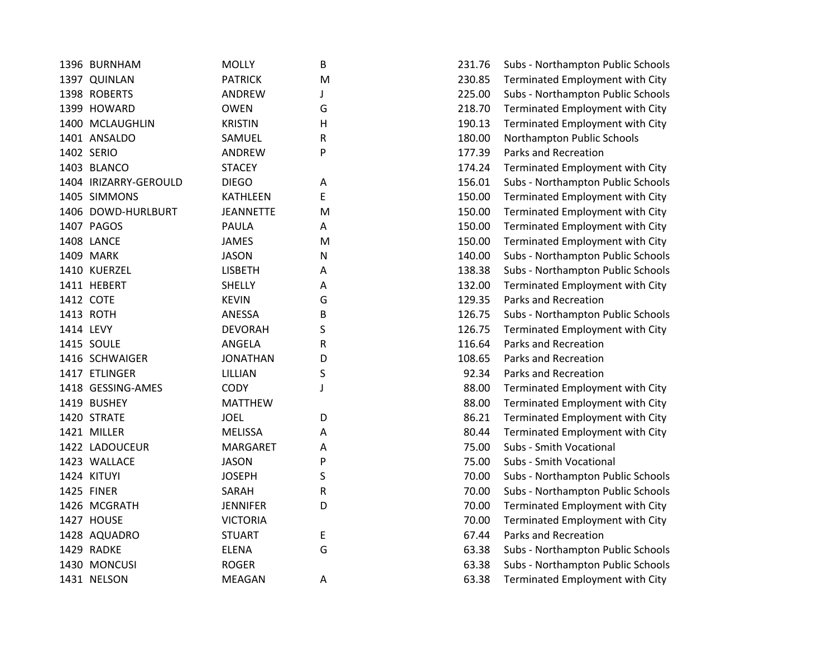| 1396 BURNHAM          | <b>MOLLY</b>     | B | 231.76 | Subs - Northampton Public Schools |
|-----------------------|------------------|---|--------|-----------------------------------|
| 1397 QUINLAN          | <b>PATRICK</b>   | M | 230.85 | Terminated Employment with City   |
| 1398 ROBERTS          | ANDREW           | J | 225.00 | Subs - Northampton Public Schools |
| 1399 HOWARD           | <b>OWEN</b>      | G | 218.70 | Terminated Employment with City   |
| 1400 MCLAUGHLIN       | <b>KRISTIN</b>   | н | 190.13 | Terminated Employment with City   |
| 1401 ANSALDO          | SAMUEL           | R | 180.00 | Northampton Public Schools        |
| 1402 SERIO            | <b>ANDREW</b>    | P | 177.39 | Parks and Recreation              |
| 1403 BLANCO           | <b>STACEY</b>    |   | 174.24 | Terminated Employment with City   |
| 1404 IRIZARRY-GEROULD | <b>DIEGO</b>     | Α | 156.01 | Subs - Northampton Public Schools |
| 1405 SIMMONS          | <b>KATHLEEN</b>  | E | 150.00 | Terminated Employment with City   |
| 1406 DOWD-HURLBURT    | <b>JEANNETTE</b> | M | 150.00 | Terminated Employment with City   |
| 1407 PAGOS            | <b>PAULA</b>     | Α | 150.00 | Terminated Employment with City   |
| 1408 LANCE            | <b>JAMES</b>     | M | 150.00 | Terminated Employment with City   |
| 1409 MARK             | <b>JASON</b>     | Ν | 140.00 | Subs - Northampton Public Schools |
| 1410 KUERZEL          | <b>LISBETH</b>   | Α | 138.38 | Subs - Northampton Public Schools |
| 1411 HEBERT           | <b>SHELLY</b>    | Α | 132.00 | Terminated Employment with City   |
| 1412 COTE             | <b>KEVIN</b>     | G | 129.35 | Parks and Recreation              |
| 1413 ROTH             | ANESSA           | В | 126.75 | Subs - Northampton Public Schools |
| 1414 LEVY             | <b>DEVORAH</b>   | S | 126.75 | Terminated Employment with City   |
| 1415 SOULE            | ANGELA           | R | 116.64 | Parks and Recreation              |
| 1416 SCHWAIGER        | <b>JONATHAN</b>  | D | 108.65 | Parks and Recreation              |
| 1417 ETLINGER         | LILLIAN          | S | 92.34  | Parks and Recreation              |
| 1418 GESSING-AMES     | <b>CODY</b>      | J | 88.00  | Terminated Employment with City   |
| 1419 BUSHEY           | <b>MATTHEW</b>   |   | 88.00  | Terminated Employment with City   |
| 1420 STRATE           | <b>JOEL</b>      | D | 86.21  | Terminated Employment with City   |
| 1421 MILLER           | <b>MELISSA</b>   | Α | 80.44  | Terminated Employment with City   |
| 1422 LADOUCEUR        | <b>MARGARET</b>  | A | 75.00  | Subs - Smith Vocational           |
| 1423 WALLACE          | <b>JASON</b>     | P | 75.00  | Subs - Smith Vocational           |
| 1424 KITUYI           | <b>JOSEPH</b>    | S | 70.00  | Subs - Northampton Public Schools |
| 1425 FINER            | SARAH            | R | 70.00  | Subs - Northampton Public Schools |
| 1426 MCGRATH          | <b>JENNIFER</b>  | D | 70.00  | Terminated Employment with City   |
| 1427 HOUSE            | <b>VICTORIA</b>  |   | 70.00  | Terminated Employment with City   |
| 1428 AQUADRO          | <b>STUART</b>    | E | 67.44  | Parks and Recreation              |
| 1429 RADKE            | <b>ELENA</b>     | G | 63.38  | Subs - Northampton Public Schools |
| 1430 MONCUSI          | <b>ROGER</b>     |   | 63.38  | Subs - Northampton Public Schools |
| 1431 NELSON           | <b>MEAGAN</b>    | Α | 63.38  | Terminated Employment with City   |

| B | 231.76 | Subs - Northampton Public Schools |
|---|--------|-----------------------------------|
| M | 230.85 | Terminated Employment with City   |
| J | 225.00 | Subs - Northampton Public Schools |
| G | 218.70 | Terminated Employment with City   |
| н | 190.13 | Terminated Employment with City   |
| R | 180.00 | Northampton Public Schools        |
| P | 177.39 | Parks and Recreation              |
|   | 174.24 | Terminated Employment with City   |
| A | 156.01 | Subs - Northampton Public Schools |
| E | 150.00 | Terminated Employment with City   |
| M | 150.00 | Terminated Employment with City   |
| A | 150.00 | Terminated Employment with City   |
| M | 150.00 | Terminated Employment with City   |
| N | 140.00 | Subs - Northampton Public Schools |
| А | 138.38 | Subs - Northampton Public Schools |
| A | 132.00 | Terminated Employment with City   |
| G | 129.35 | <b>Parks and Recreation</b>       |
| B | 126.75 | Subs - Northampton Public Schools |
| S | 126.75 | Terminated Employment with City   |
| R | 116.64 | Parks and Recreation              |
| D | 108.65 | Parks and Recreation              |
| S | 92.34  | Parks and Recreation              |
| J | 88.00  | Terminated Employment with City   |
|   | 88.00  | Terminated Employment with City   |
| D | 86.21  | Terminated Employment with City   |
| A | 80.44  | Terminated Employment with City   |
| Α | 75.00  | Subs - Smith Vocational           |
| P | 75.00  | Subs - Smith Vocational           |
| S | 70.00  | Subs - Northampton Public Schools |
| R | 70.00  | Subs - Northampton Public Schools |
| D | 70.00  | Terminated Employment with City   |
|   | 70.00  | Terminated Employment with City   |
| E | 67.44  | <b>Parks and Recreation</b>       |
| G | 63.38  | Subs - Northampton Public Schools |
|   | 63.38  | Subs - Northampton Public Schools |
| A | 63.38  | Terminated Employment with City   |